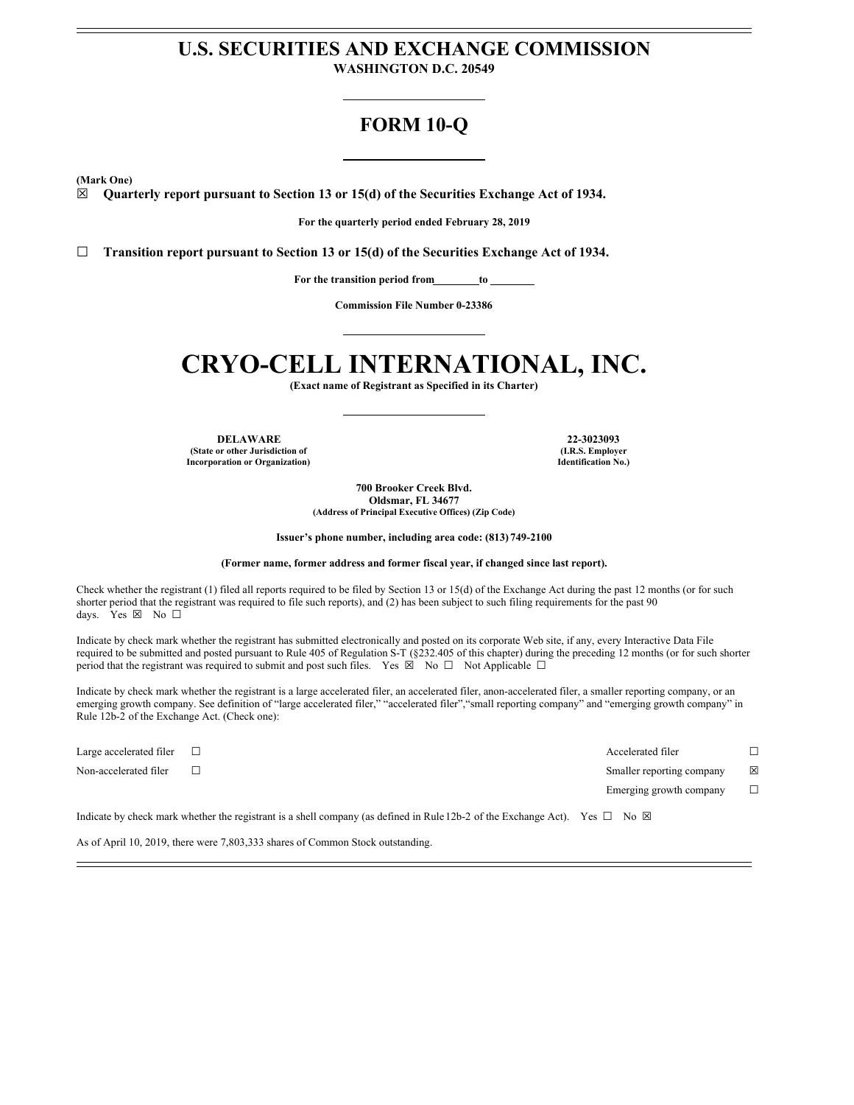# <span id="page-0-0"></span>**U.S. SECURITIES AND EXCHANGE COMMISSION WASHINGTON D.C. 20549**

# **FORM 10-Q**

**(Mark One)**

☒ **Quarterly report pursuant to Section 13 or 15(d) of the Securities Exchange Act of 1934.**

**For the quarterly period ended February 28, 2019**

☐ **Transition report pursuant to Section 13 or 15(d) of the Securities Exchange Act of 1934.**

**For the transition period from to**

**Commission File Number 0-23386**

# **CRYO-CELL INTERNATIONAL, INC.**

**(Exact name of Registrant as Specified in its Charter)**

**DELAWARE 22-3023093 (State or other Jurisdiction of Incorporation or Organization)**

**(I.R.S. Employer Identification No.)**

**700 Brooker Creek Blvd. Oldsmar, FL 34677 (Address of Principal Executive Offices) (Zip Code)**

**Issuer's phone number, including area code: (813) 749-2100**

**(Former name, former address and former fiscal year, if changed since last report).**

Check whether the registrant (1) filed all reports required to be filed by Section 13 or 15(d) of the Exchange Act during the past 12 months (or for such shorter period that the registrant was required to file such reports), and (2) has been subject to such filing requirements for the past 90 days. Yes ⊠ No □

Indicate by check mark whether the registrant has submitted electronically and posted on its corporate Web site, if any, every Interactive Data File required to be submitted and posted pursuant to Rule 405 of Regulation S-T (§232.405 of this chapter) during the preceding 12 months (or for such shorter period that the registrant was required to submit and post such files. Yes  $\boxtimes$  No  $\Box$  Not Applicable  $\Box$ 

Indicate by check mark whether the registrant is a large accelerated filer, an accelerated filer, anon-accelerated filer, a smaller reporting company, or an emerging growth company. See definition of "large accelerated filer," "accelerated filer","small reporting company" and "emerging growth company" in Rule 12b-2 of the Exchange Act. (Check one):

| Large accelerated filer |                                                                                                                                            | Accelerated filer         |   |
|-------------------------|--------------------------------------------------------------------------------------------------------------------------------------------|---------------------------|---|
| Non-accelerated filer   |                                                                                                                                            | Smaller reporting company | × |
|                         |                                                                                                                                            | Emerging growth company   |   |
|                         | Indicate by check mark whether the registrant is a shell company (as defined in Rule 12b-2 of the Exchange Act). Yes $\Box$ No $\boxtimes$ |                           |   |

As of April 10, 2019, there were 7,803,333 shares of Common Stock outstanding.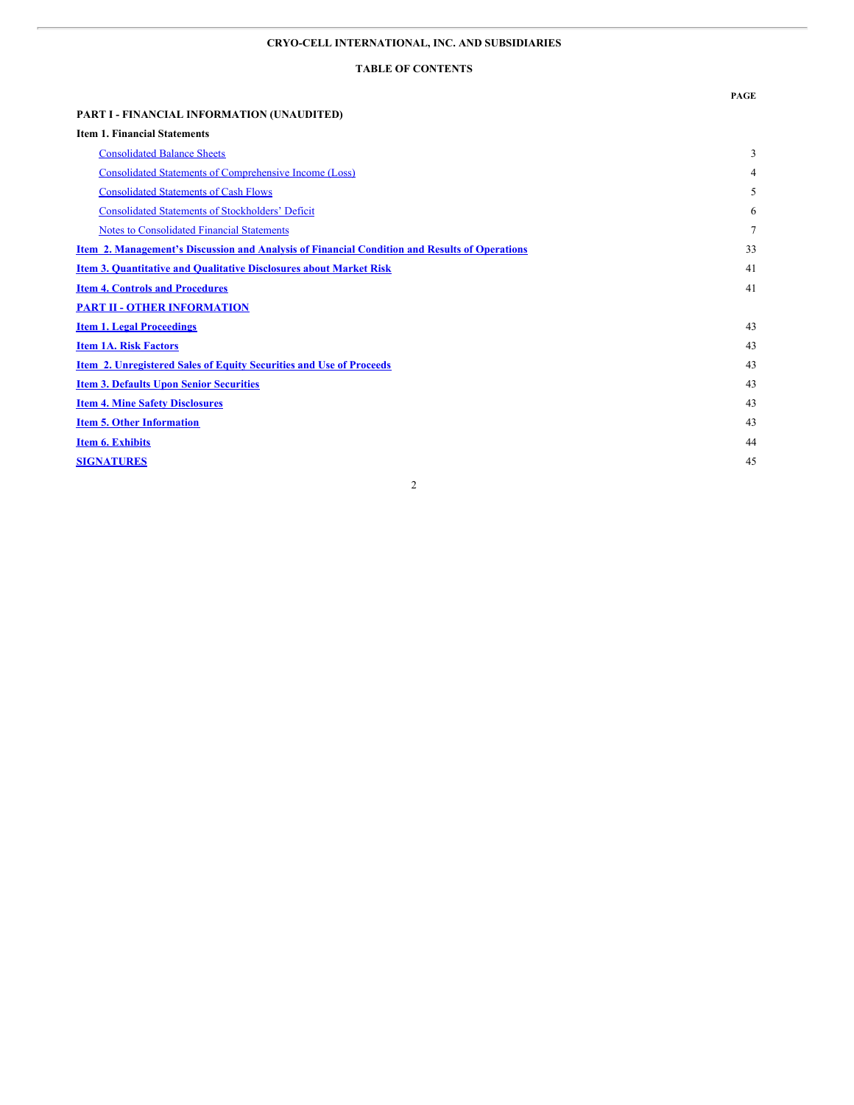# **CRYO-CELL INTERNATIONAL, INC. AND SUBSIDIARIES**

# **TABLE OF CONTENTS**

| <b>PART I - FINANCIAL INFORMATION (UNAUDITED)</b>                                                    |    |
|------------------------------------------------------------------------------------------------------|----|
| <b>Item 1. Financial Statements</b>                                                                  |    |
| <b>Consolidated Balance Sheets</b>                                                                   | 3  |
| <b>Consolidated Statements of Comprehensive Income (Loss)</b>                                        | 4  |
| <b>Consolidated Statements of Cash Flows</b>                                                         | 5  |
| <b>Consolidated Statements of Stockholders' Deficit</b>                                              | 6  |
| <b>Notes to Consolidated Financial Statements</b>                                                    | 7  |
| <b>Item 2. Management's Discussion and Analysis of Financial Condition and Results of Operations</b> | 33 |
| <b>Item 3. Quantitative and Qualitative Disclosures about Market Risk</b>                            | 41 |
| <b>Item 4. Controls and Procedures</b>                                                               | 41 |
| <b>PART II - OTHER INFORMATION</b>                                                                   |    |
| <b>Item 1. Legal Proceedings</b>                                                                     | 43 |
| <b>Item 1A. Risk Factors</b>                                                                         | 43 |
| <b>Item 2. Unregistered Sales of Equity Securities and Use of Proceeds</b>                           | 43 |
| <b>Item 3. Defaults Upon Senior Securities</b>                                                       | 43 |
| <b>Item 4. Mine Safety Disclosures</b>                                                               | 43 |
| <b>Item 5. Other Information</b>                                                                     | 43 |
| <b>Item 6. Exhibits</b>                                                                              | 44 |
| <b>SIGNATURES</b>                                                                                    | 45 |

# 2

# **PAGE**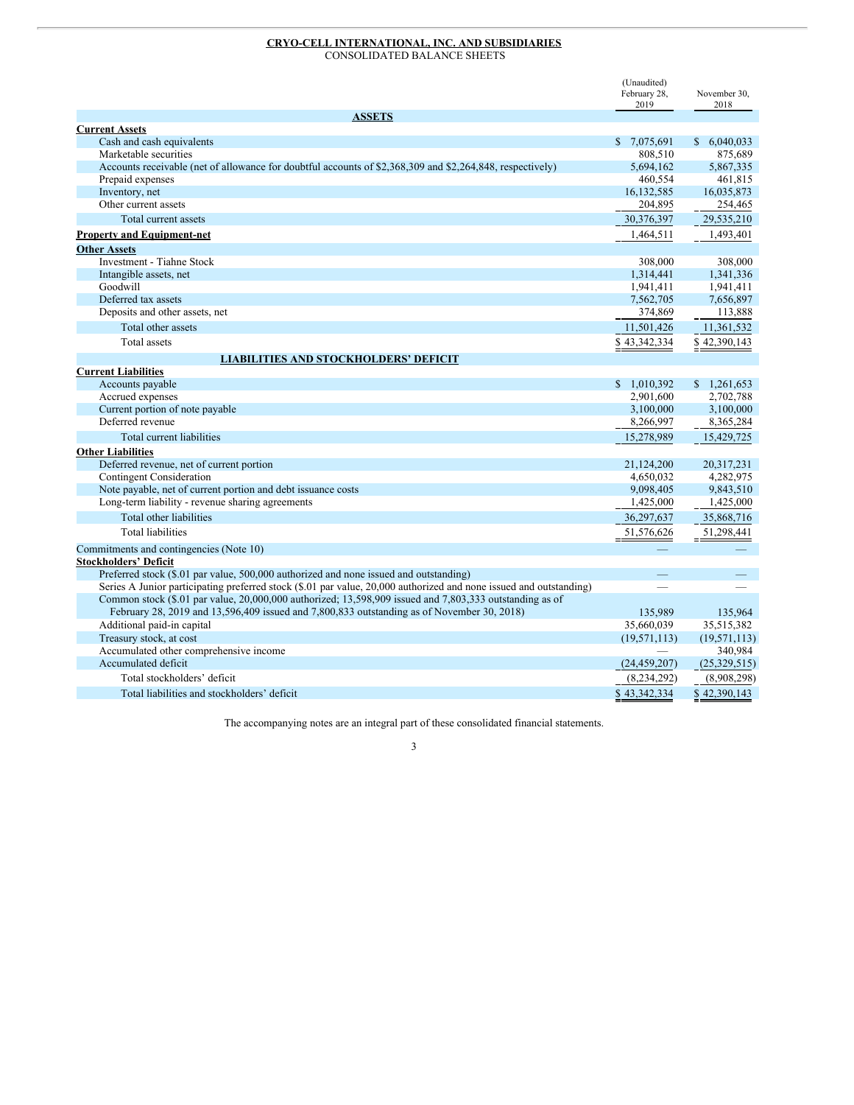#### <span id="page-2-0"></span>**CRYO-CELL INTERNATIONAL, INC. AND SUBSIDIARIES** CONSOLIDATED BALANCE SHEETS

|                                                                                                                    | (Unaudited)<br>February 28,<br>2019 | November 30,<br>2018 |
|--------------------------------------------------------------------------------------------------------------------|-------------------------------------|----------------------|
| <b>ASSETS</b>                                                                                                      |                                     |                      |
| <b>Current Assets</b>                                                                                              |                                     |                      |
| Cash and cash equivalents                                                                                          | \$ 7,075,691                        | \$6,040,033          |
| Marketable securities                                                                                              | 808,510                             | 875,689              |
| Accounts receivable (net of allowance for doubtful accounts of \$2,368,309 and \$2,264,848, respectively)          | 5,694,162                           | 5,867,335            |
| Prepaid expenses                                                                                                   | 460,554                             | 461,815              |
| Inventory, net                                                                                                     | 16,132,585                          | 16,035,873           |
| Other current assets                                                                                               | 204,895                             | 254,465              |
| Total current assets                                                                                               | 30,376,397                          | 29,535,210           |
| <b>Property and Equipment-net</b>                                                                                  | 1,464,511                           | 1,493,401            |
| <b>Other Assets</b>                                                                                                |                                     |                      |
| <b>Investment - Tiahne Stock</b>                                                                                   | 308,000                             | 308,000              |
| Intangible assets, net                                                                                             | 1,314,441                           | 1,341,336            |
| Goodwill                                                                                                           | 1,941,411                           | 1,941,411            |
| Deferred tax assets                                                                                                | 7,562,705                           | 7,656,897            |
| Deposits and other assets, net                                                                                     | 374,869                             | 113,888              |
| Total other assets                                                                                                 | 11,501,426                          | 11,361,532           |
| Total assets                                                                                                       | \$43,342,334                        | \$42,390,143         |
| <b>LIABILITIES AND STOCKHOLDERS' DEFICIT</b>                                                                       |                                     |                      |
| <b>Current Liabilities</b>                                                                                         |                                     |                      |
| Accounts payable                                                                                                   | \$1,010,392                         | \$1,261,653          |
| Accrued expenses                                                                                                   | 2.901.600                           | 2,702,788            |
| Current portion of note payable                                                                                    | 3,100,000                           | 3,100,000            |
| Deferred revenue                                                                                                   | 8,266,997                           | 8,365,284            |
| Total current liabilities                                                                                          | 15,278,989                          | 15,429,725           |
| <b>Other Liabilities</b>                                                                                           |                                     |                      |
| Deferred revenue, net of current portion                                                                           | 21,124,200                          | 20,317,231           |
| <b>Contingent Consideration</b>                                                                                    | 4,650,032                           | 4,282,975            |
| Note payable, net of current portion and debt issuance costs                                                       | 9,098,405                           | 9,843,510            |
| Long-term liability - revenue sharing agreements                                                                   | 1,425,000                           | 1,425,000            |
| Total other liabilities                                                                                            | 36,297,637                          | 35,868,716           |
| <b>Total liabilities</b>                                                                                           | 51,576,626                          | 51,298,441           |
|                                                                                                                    |                                     |                      |
| Commitments and contingencies (Note 10)<br><b>Stockholders' Deficit</b>                                            |                                     |                      |
| Preferred stock (\$.01 par value, 500,000 authorized and none issued and outstanding)                              |                                     |                      |
| Series A Junior participating preferred stock (\$.01 par value, 20,000 authorized and none issued and outstanding) |                                     |                      |
| Common stock (\$.01 par value, 20,000,000 authorized; 13,598,909 issued and 7,803,333 outstanding as of            |                                     |                      |
| February 28, 2019 and 13,596,409 issued and 7,800,833 outstanding as of November 30, 2018)                         | 135,989                             | 135,964              |
| Additional paid-in capital                                                                                         | 35,660,039                          | 35,515,382           |
| Treasury stock, at cost                                                                                            | (19, 571, 113)                      | (19, 571, 113)       |
| Accumulated other comprehensive income                                                                             |                                     | 340,984              |
| Accumulated deficit                                                                                                | (24, 459, 207)                      | (25,329,515)         |
| Total stockholders' deficit                                                                                        | (8, 234, 292)                       | (8,908,298)          |
| Total liabilities and stockholders' deficit                                                                        | \$43,342,334                        | \$42,390,143         |
|                                                                                                                    |                                     |                      |

The accompanying notes are an integral part of these consolidated financial statements.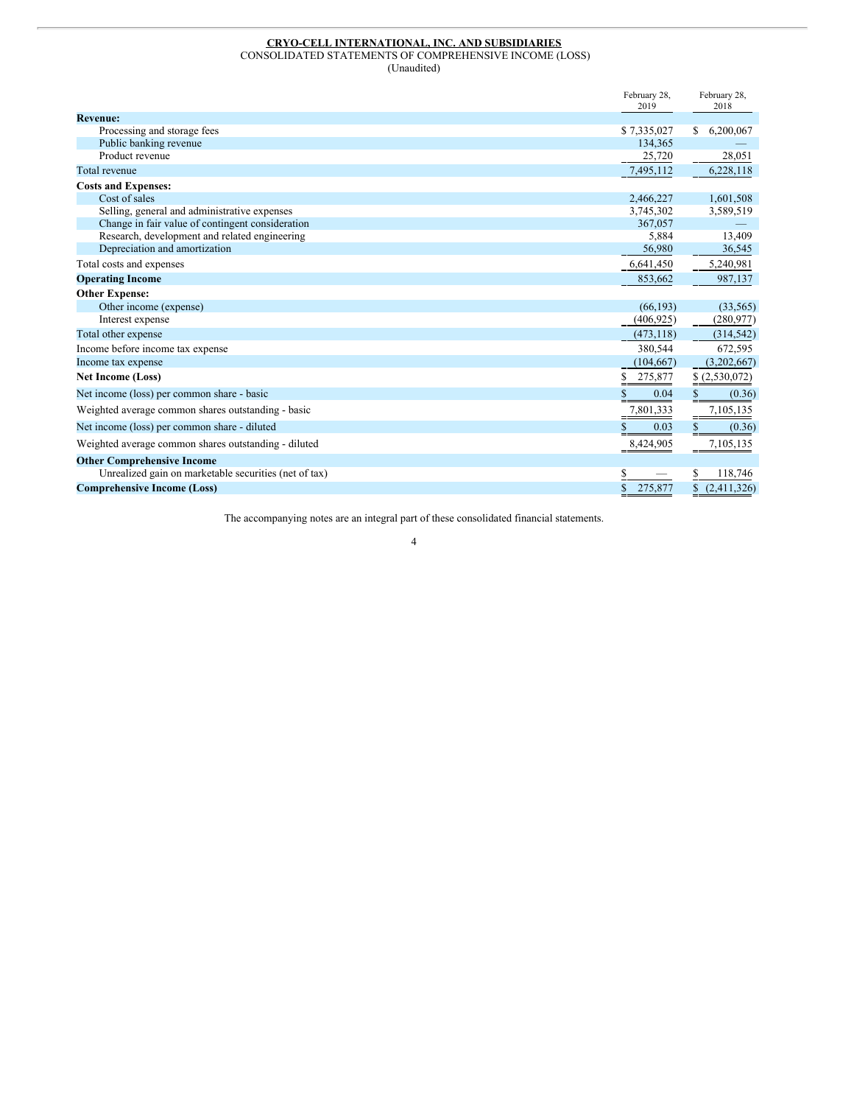#### <span id="page-3-0"></span>**CRYO-CELL INTERNATIONAL, INC. AND SUBSIDIARIES** CONSOLIDATED STATEMENTS OF COMPREHENSIVE INCOME (LOSS) (Unaudited)

February 28, 2019 February 28, 2018 **Revenue:** Processing and storage fees \$ 7,335,027 \$ 6,200,067 Public banking revenue 134,365 and 134,365 and 134,365 and 134,365 and 134,365 and 134,365 and 134,365 and 134,365 and 134,365 and 134,365 and 134,365 and 134,365 and 134,365 and 134,365 and 135,720 and 135,720 and 135,720 Product revenue 25,720 28,051 Total revenue 7,495,112 6,228,118 **Costs and Expenses:** Cost of sales 2,466,227 1,601,508 Selling, general and administrative expenses 3,745,302 3,589,519 Change in fair value of contingent consideration and the state of contingent consideration 367,057 — 367,057 — 367,057 — 367,057 — 36884 13,409 Research, development and related engineering 5,884 13,409<br>
Depreciation and amortization 56,980 56,980 56,545 Depreciation and amortization Total costs and expenses 6,641,450 5,240,981 **Operating Income** 853,662 987,137 **Other Expense:** Other income (expense) (66,193) (33,565)<br>Interest expense (406,925) (280,977) Interest expense (406,925) Total other expense (473,118) (314,542) Income before income tax expense 380,544 672,595<br>Income tax expense  $(104,667)$   $(3,202,667)$ Income tax expense **Net Income (Loss)** \$ 275,877 \$ (2,530,072) Net income (loss) per common share - basic  $$ 0.04 \$ 0.06$ Weighted average common shares outstanding - basic 7,801,333 7,105,135 7,801,333 7,105,135 Net income (loss) per common share - diluted  $$ 0.03 \$ 0.03 \$ 0.036$ Weighted average common shares outstanding - diluted 8,424,905 7,105,135 **Other Comprehensive Income** Unrealized gain on marketable securities (net of tax)  $\frac{S}{s}$  =  $\frac{118,746}{S}$ **Comprehensive Income (Loss)** \$ 275,877 \$ (2,411,326)

The accompanying notes are an integral part of these consolidated financial statements.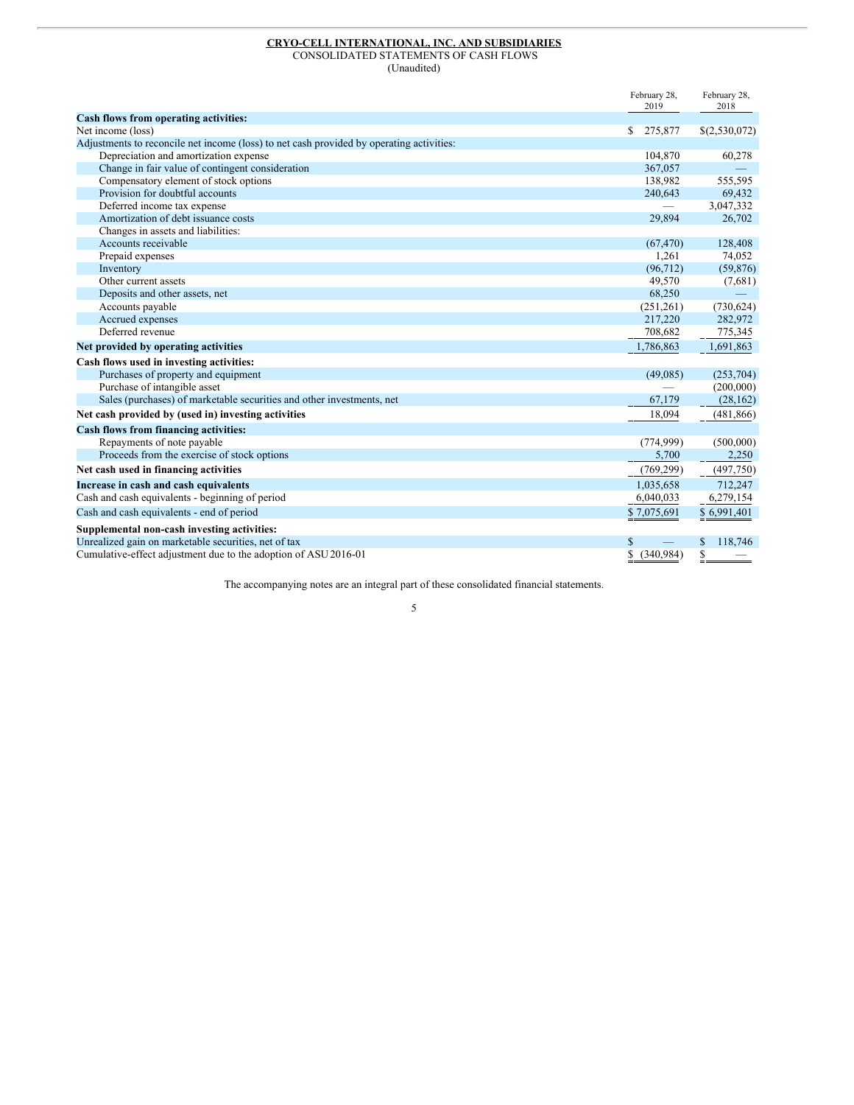#### <span id="page-4-0"></span>**CRYO-CELL INTERNATIONAL, INC. AND SUBSIDIARIES** CONSOLIDATED STATEMENTS OF CASH FLOWS

(Unaudited)

|                                                                                          | February 28,<br>2019 | February 28,<br>2018 |
|------------------------------------------------------------------------------------------|----------------------|----------------------|
| Cash flows from operating activities:                                                    |                      |                      |
| Net income (loss)                                                                        | 275,877<br>S         | \$(2,530,072)        |
| Adjustments to reconcile net income (loss) to net cash provided by operating activities: |                      |                      |
| Depreciation and amortization expense                                                    | 104,870              | 60,278               |
| Change in fair value of contingent consideration                                         | 367,057              |                      |
| Compensatory element of stock options                                                    | 138,982              | 555,595              |
| Provision for doubtful accounts                                                          | 240,643              | 69,432               |
| Deferred income tax expense                                                              |                      | 3,047,332            |
| Amortization of debt issuance costs                                                      | 29.894               | 26,702               |
| Changes in assets and liabilities:                                                       |                      |                      |
| Accounts receivable                                                                      | (67, 470)            | 128,408              |
| Prepaid expenses                                                                         | 1,261                | 74,052               |
| Inventory                                                                                | (96, 712)            | (59, 876)            |
| Other current assets                                                                     | 49,570               | (7,681)              |
| Deposits and other assets, net                                                           | 68,250               |                      |
| Accounts payable                                                                         | (251, 261)           | (730, 624)           |
| Accrued expenses                                                                         | 217,220              | 282,972              |
| Deferred revenue                                                                         | 708,682              | 775,345              |
| Net provided by operating activities                                                     | 1,786,863            | 1,691,863            |
| Cash flows used in investing activities:                                                 |                      |                      |
| Purchases of property and equipment                                                      | (49,085)             | (253,704)            |
| Purchase of intangible asset                                                             |                      | (200,000)            |
| Sales (purchases) of marketable securities and other investments, net                    | 67,179               | (28, 162)            |
| Net cash provided by (used in) investing activities                                      | 18,094               | (481, 866)           |
| Cash flows from financing activities:                                                    |                      |                      |
| Repayments of note payable                                                               | (774, 999)           | (500,000)            |
| Proceeds from the exercise of stock options                                              | 5,700                | 2,250                |
| Net cash used in financing activities                                                    | (769, 299)           | (497,750)            |
| Increase in cash and cash equivalents                                                    | 1,035,658            | 712,247              |
| Cash and cash equivalents - beginning of period                                          | 6,040,033            | 6,279,154            |
| Cash and cash equivalents - end of period                                                | \$7,075,691          | \$6,991,401          |
| Supplemental non-cash investing activities:                                              |                      |                      |
| Unrealized gain on marketable securities, net of tax                                     | \$                   | 118,746<br>\$        |
| Cumulative-effect adjustment due to the adoption of ASU 2016-01                          | S<br>(340, 984)      | S                    |

The accompanying notes are an integral part of these consolidated financial statements.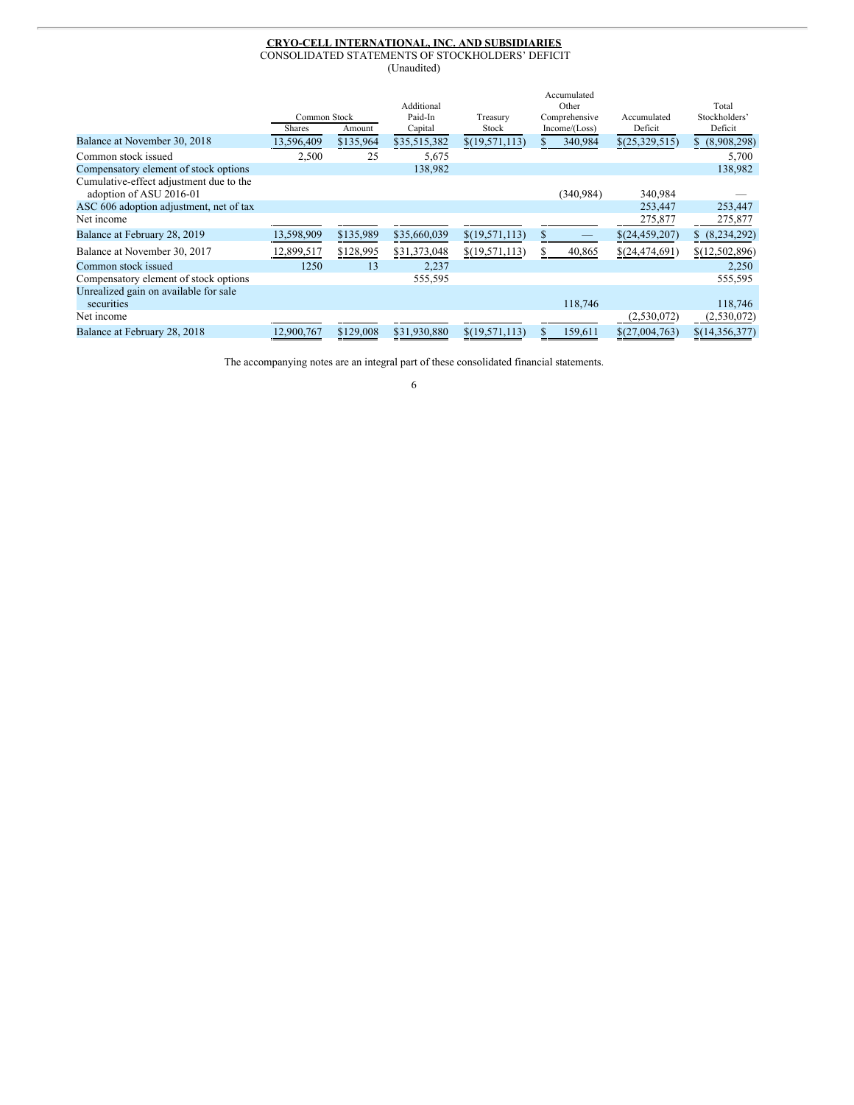#### <span id="page-5-0"></span>**CRYO-CELL INTERNATIONAL, INC. AND SUBSIDIARIES** CONSOLIDATED STATEMENTS OF STOCKHOLDERS' DEFICIT (Unaudited)

|                                         |               |           | Additional   |                |    | Accumulated<br>Other |                | Total          |
|-----------------------------------------|---------------|-----------|--------------|----------------|----|----------------------|----------------|----------------|
|                                         | Common Stock  |           | Paid-In      | Treasury       |    | Comprehensive        | Accumulated    | Stockholders'  |
|                                         | <b>Shares</b> | Amount    | Capital      | Stock          |    | Income/(Loss)        | Deficit        | Deficit        |
| Balance at November 30, 2018            | 13,596,409    | \$135,964 | \$35,515,382 | \$(19,571,113) |    | 340,984              | \$(25,329,515) | \$ (8,908,298) |
| Common stock issued                     | 2,500         | 25        | 5,675        |                |    |                      |                | 5,700          |
| Compensatory element of stock options   |               |           | 138,982      |                |    |                      |                | 138,982        |
| Cumulative-effect adjustment due to the |               |           |              |                |    |                      |                |                |
| adoption of ASU 2016-01                 |               |           |              |                |    | (340,984)            | 340,984        |                |
| ASC 606 adoption adjustment, net of tax |               |           |              |                |    |                      | 253,447        | 253,447        |
| Net income                              |               |           |              |                |    |                      | 275,877        | 275,877        |
| Balance at February 28, 2019            | 13,598,909    | \$135,989 | \$35,660,039 | \$(19,571,113) | ъ  |                      | \$(24,459,207) | \$ (8,234,292) |
| Balance at November 30, 2017            | 12,899,517    | \$128,995 | \$31,373,048 | \$(19,571,113) | S  | 40,865               | \$(24,474,691) | \$(12,502,896) |
| Common stock issued                     | 1250          | 13        | 2,237        |                |    |                      |                | 2,250          |
| Compensatory element of stock options   |               |           | 555,595      |                |    |                      |                | 555,595        |
| Unrealized gain on available for sale   |               |           |              |                |    |                      |                |                |
| securities                              |               |           |              |                |    | 118,746              |                | 118,746        |
| Net income                              |               |           |              |                |    |                      | (2,530,072)    | (2,530,072)    |
| Balance at February 28, 2018            | 12,900,767    | \$129,008 | \$31,930,880 | \$(19,571,113) | \$ | 159,611              | \$(27,004,763) | \$(14,356,377) |

The accompanying notes are an integral part of these consolidated financial statements.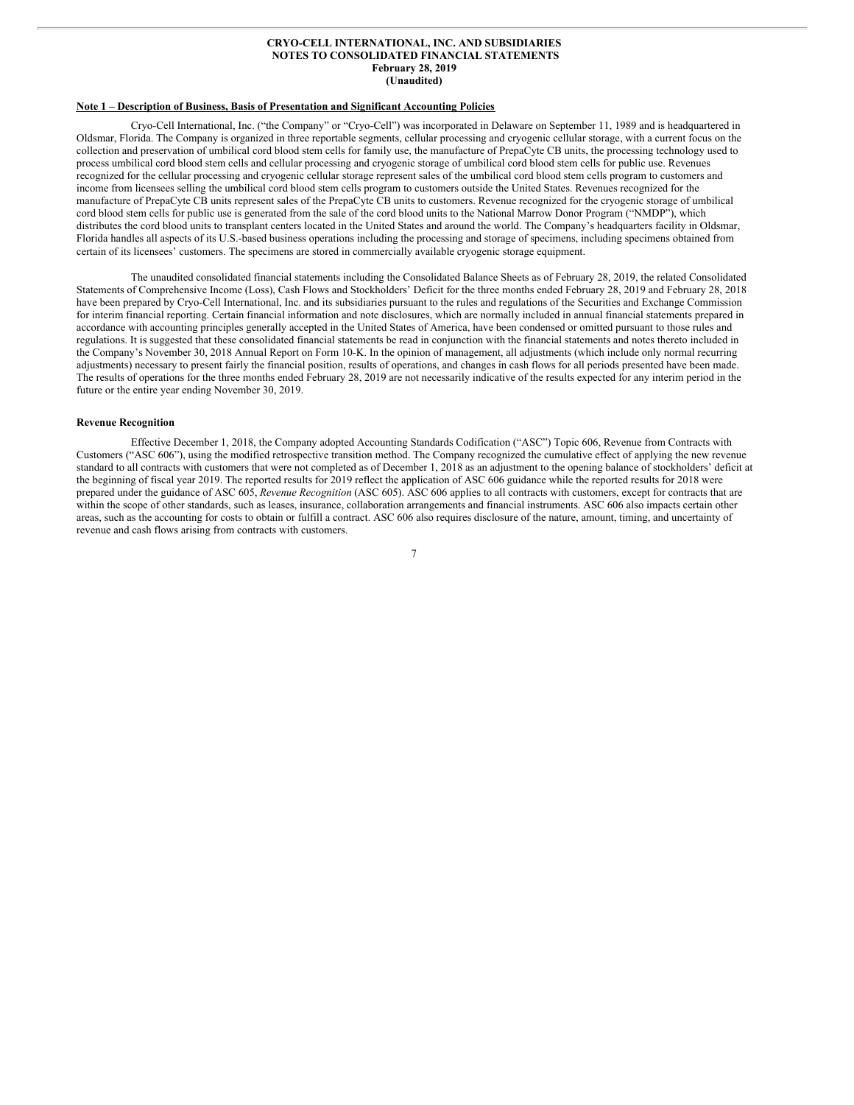#### <span id="page-6-0"></span>**CRYO-CELL INTERNATIONAL, INC. AND SUBSIDIARIES NOTES TO CONSOLIDATED FINANCIAL STATEMENTS February 28, 2019 (Unaudited)**

#### **Note 1 – Description of Business, Basis of Presentation and Significant Accounting Policies**

Cryo-Cell International, Inc. ("the Company" or "Cryo-Cell") was incorporated in Delaware on September 11, 1989 and is headquartered in Oldsmar, Florida. The Company is organized in three reportable segments, cellular processing and cryogenic cellular storage, with a current focus on the collection and preservation of umbilical cord blood stem cells for family use, the manufacture of PrepaCyte CB units, the processing technology used to process umbilical cord blood stem cells and cellular processing and cryogenic storage of umbilical cord blood stem cells for public use. Revenues recognized for the cellular processing and cryogenic cellular storage represent sales of the umbilical cord blood stem cells program to customers and income from licensees selling the umbilical cord blood stem cells program to customers outside the United States. Revenues recognized for the manufacture of PrepaCyte CB units represent sales of the PrepaCyte CB units to customers. Revenue recognized for the cryogenic storage of umbilical cord blood stem cells for public use is generated from the sale of the cord blood units to the National Marrow Donor Program ("NMDP"), which distributes the cord blood units to transplant centers located in the United States and around the world. The Company's headquarters facility in Oldsmar, Florida handles all aspects of its U.S.-based business operations including the processing and storage of specimens, including specimens obtained from certain of its licensees' customers. The specimens are stored in commercially available cryogenic storage equipment.

The unaudited consolidated financial statements including the Consolidated Balance Sheets as of February 28, 2019, the related Consolidated Statements of Comprehensive Income (Loss), Cash Flows and Stockholders' Deficit for the three months ended February 28, 2019 and February 28, 2018 have been prepared by Cryo-Cell International, Inc. and its subsidiaries pursuant to the rules and regulations of the Securities and Exchange Commission for interim financial reporting. Certain financial information and note disclosures, which are normally included in annual financial statements prepared in accordance with accounting principles generally accepted in the United States of America, have been condensed or omitted pursuant to those rules and regulations. It is suggested that these consolidated financial statements be read in conjunction with the financial statements and notes thereto included in the Company's November 30, 2018 Annual Report on Form 10-K. In the opinion of management, all adjustments (which include only normal recurring adjustments) necessary to present fairly the financial position, results of operations, and changes in cash flows for all periods presented have been made. The results of operations for the three months ended February 28, 2019 are not necessarily indicative of the results expected for any interim period in the future or the entire year ending November 30, 2019.

#### **Revenue Recognition**

Effective December 1, 2018, the Company adopted Accounting Standards Codification ("ASC") Topic 606, Revenue from Contracts with Customers ("ASC 606"), using the modified retrospective transition method. The Company recognized the cumulative effect of applying the new revenue standard to all contracts with customers that were not completed as of December 1, 2018 as an adjustment to the opening balance of stockholders' deficit at the beginning of fiscal year 2019. The reported results for 2019 reflect the application of ASC 606 guidance while the reported results for 2018 were prepared under the guidance of ASC 605, *Revenue Recognition* (ASC 605). ASC 606 applies to all contracts with customers, except for contracts that are within the scope of other standards, such as leases, insurance, collaboration arrangements and financial instruments. ASC 606 also impacts certain other areas, such as the accounting for costs to obtain or fulfill a contract. ASC 606 also requires disclosure of the nature, amount, timing, and uncertainty of revenue and cash flows arising from contracts with customers.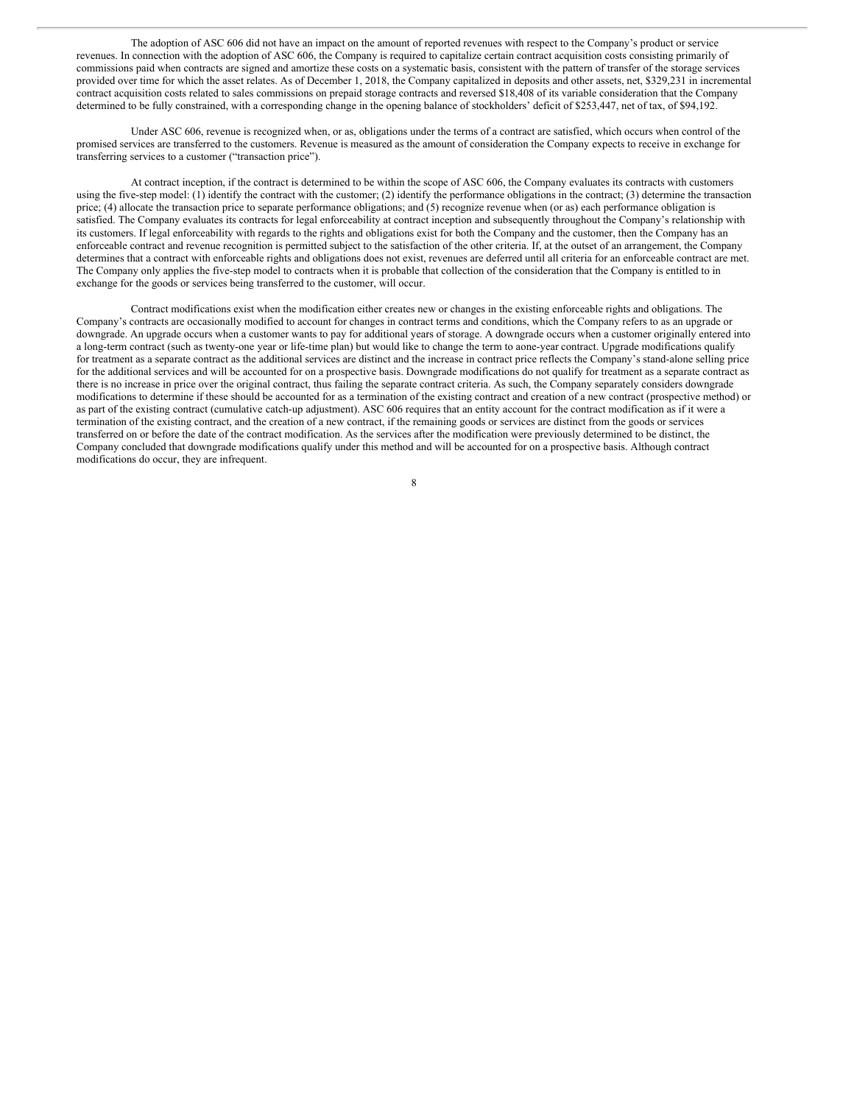The adoption of ASC 606 did not have an impact on the amount of reported revenues with respect to the Company's product or service revenues. In connection with the adoption of ASC 606, the Company is required to capitalize certain contract acquisition costs consisting primarily of commissions paid when contracts are signed and amortize these costs on a systematic basis, consistent with the pattern of transfer of the storage services provided over time for which the asset relates. As of December 1, 2018, the Company capitalized in deposits and other assets, net, \$329,231 in incremental contract acquisition costs related to sales commissions on prepaid storage contracts and reversed \$18,408 of its variable consideration that the Company determined to be fully constrained, with a corresponding change in the opening balance of stockholders' deficit of \$253,447, net of tax, of \$94,192.

Under ASC 606, revenue is recognized when, or as, obligations under the terms of a contract are satisfied, which occurs when control of the promised services are transferred to the customers. Revenue is measured as the amount of consideration the Company expects to receive in exchange for transferring services to a customer ("transaction price").

At contract inception, if the contract is determined to be within the scope of ASC 606, the Company evaluates its contracts with customers using the five-step model: (1) identify the contract with the customer; (2) identify the performance obligations in the contract; (3) determine the transaction price; (4) allocate the transaction price to separate performance obligations; and (5) recognize revenue when (or as) each performance obligation is satisfied. The Company evaluates its contracts for legal enforceability at contract inception and subsequently throughout the Company's relationship with its customers. If legal enforceability with regards to the rights and obligations exist for both the Company and the customer, then the Company has an enforceable contract and revenue recognition is permitted subject to the satisfaction of the other criteria. If, at the outset of an arrangement, the Company determines that a contract with enforceable rights and obligations does not exist, revenues are deferred until all criteria for an enforceable contract are met. The Company only applies the five-step model to contracts when it is probable that collection of the consideration that the Company is entitled to in exchange for the goods or services being transferred to the customer, will occur.

Contract modifications exist when the modification either creates new or changes in the existing enforceable rights and obligations. The Company's contracts are occasionally modified to account for changes in contract terms and conditions, which the Company refers to as an upgrade or downgrade. An upgrade occurs when a customer wants to pay for additional years of storage. A downgrade occurs when a customer originally entered into a long-term contract (such as twenty-one year or life-time plan) but would like to change the term to aone-year contract. Upgrade modifications qualify for treatment as a separate contract as the additional services are distinct and the increase in contract price reflects the Company's stand-alone selling price for the additional services and will be accounted for on a prospective basis. Downgrade modifications do not qualify for treatment as a separate contract as there is no increase in price over the original contract, thus failing the separate contract criteria. As such, the Company separately considers downgrade modifications to determine if these should be accounted for as a termination of the existing contract and creation of a new contract (prospective method) or as part of the existing contract (cumulative catch-up adjustment). ASC 606 requires that an entity account for the contract modification as if it were a termination of the existing contract, and the creation of a new contract, if the remaining goods or services are distinct from the goods or services transferred on or before the date of the contract modification. As the services after the modification were previously determined to be distinct, the Company concluded that downgrade modifications qualify under this method and will be accounted for on a prospective basis. Although contract modifications do occur, they are infrequent.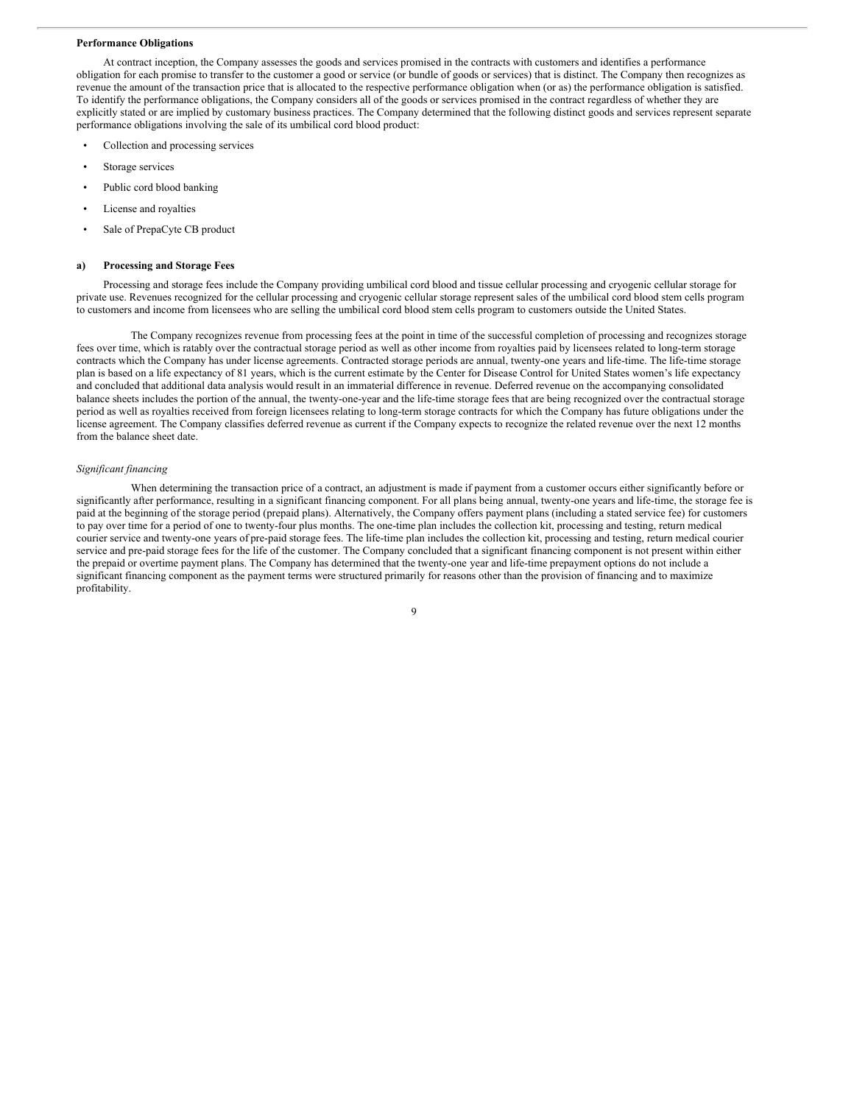#### **Performance Obligations**

At contract inception, the Company assesses the goods and services promised in the contracts with customers and identifies a performance obligation for each promise to transfer to the customer a good or service (or bundle of goods or services) that is distinct. The Company then recognizes as revenue the amount of the transaction price that is allocated to the respective performance obligation when (or as) the performance obligation is satisfied. To identify the performance obligations, the Company considers all of the goods or services promised in the contract regardless of whether they are explicitly stated or are implied by customary business practices. The Company determined that the following distinct goods and services represent separate performance obligations involving the sale of its umbilical cord blood product:

- Collection and processing services
- Storage services
- Public cord blood banking
- License and royalties
- Sale of PrepaCyte CB product

#### **a) Processing and Storage Fees**

Processing and storage fees include the Company providing umbilical cord blood and tissue cellular processing and cryogenic cellular storage for private use. Revenues recognized for the cellular processing and cryogenic cellular storage represent sales of the umbilical cord blood stem cells program to customers and income from licensees who are selling the umbilical cord blood stem cells program to customers outside the United States.

The Company recognizes revenue from processing fees at the point in time of the successful completion of processing and recognizes storage fees over time, which is ratably over the contractual storage period as well as other income from royalties paid by licensees related to long-term storage contracts which the Company has under license agreements. Contracted storage periods are annual, twenty-one years and life-time. The life-time storage plan is based on a life expectancy of 81 years, which is the current estimate by the Center for Disease Control for United States women's life expectancy and concluded that additional data analysis would result in an immaterial difference in revenue. Deferred revenue on the accompanying consolidated balance sheets includes the portion of the annual, the twenty-one-year and the life-time storage fees that are being recognized over the contractual storage period as well as royalties received from foreign licensees relating to long-term storage contracts for which the Company has future obligations under the license agreement. The Company classifies deferred revenue as current if the Company expects to recognize the related revenue over the next 12 months from the balance sheet date.

#### *Significant financing*

When determining the transaction price of a contract, an adjustment is made if payment from a customer occurs either significantly before or significantly after performance, resulting in a significant financing component. For all plans being annual, twenty-one years and life-time, the storage fee is paid at the beginning of the storage period (prepaid plans). Alternatively, the Company offers payment plans (including a stated service fee) for customers to pay over time for a period of one to twenty-four plus months. The one-time plan includes the collection kit, processing and testing, return medical courier service and twenty-one years of pre-paid storage fees. The life-time plan includes the collection kit, processing and testing, return medical courier service and pre-paid storage fees for the life of the customer. The Company concluded that a significant financing component is not present within either the prepaid or overtime payment plans. The Company has determined that the twenty-one year and life-time prepayment options do not include a significant financing component as the payment terms were structured primarily for reasons other than the provision of financing and to maximize profitability.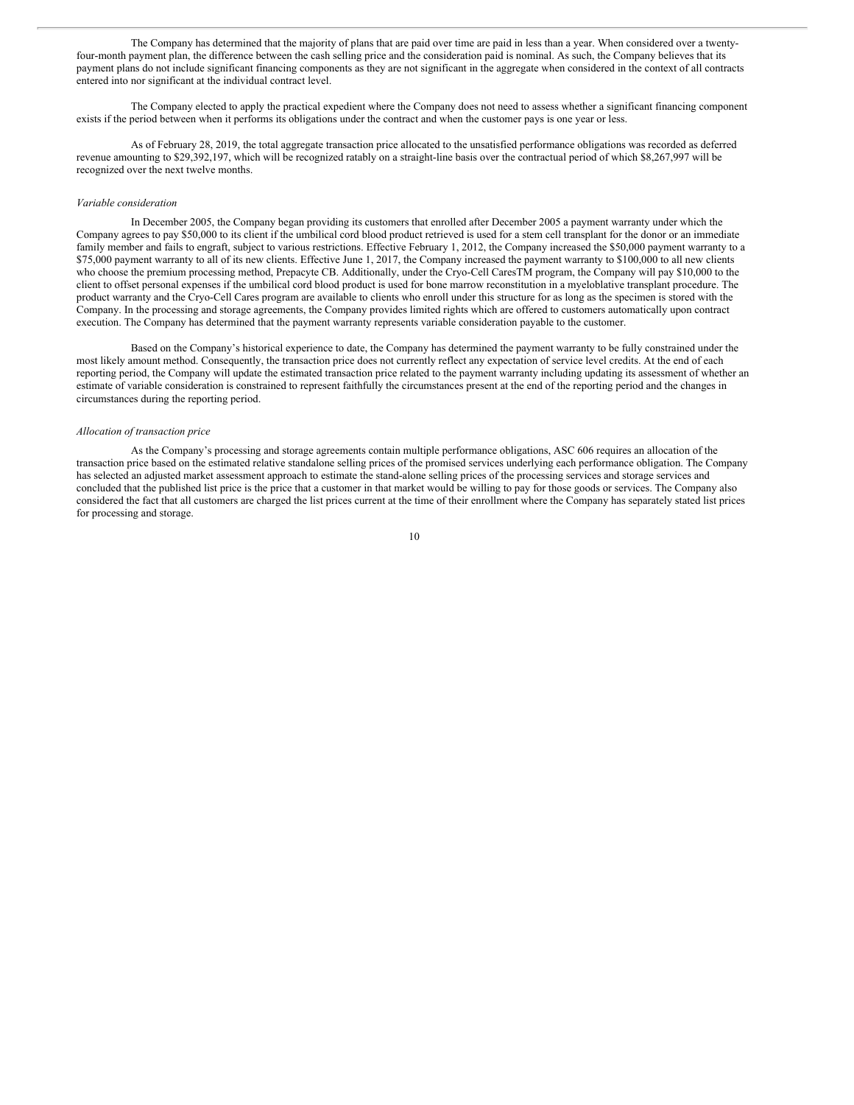The Company has determined that the majority of plans that are paid over time are paid in less than a year. When considered over a twentyfour-month payment plan, the difference between the cash selling price and the consideration paid is nominal. As such, the Company believes that its payment plans do not include significant financing components as they are not significant in the aggregate when considered in the context of all contracts entered into nor significant at the individual contract level.

The Company elected to apply the practical expedient where the Company does not need to assess whether a significant financing component exists if the period between when it performs its obligations under the contract and when the customer pays is one year or less.

As of February 28, 2019, the total aggregate transaction price allocated to the unsatisfied performance obligations was recorded as deferred revenue amounting to \$29,392,197, which will be recognized ratably on a straight-line basis over the contractual period of which \$8,267,997 will be recognized over the next twelve months.

#### *Variable consideration*

In December 2005, the Company began providing its customers that enrolled after December 2005 a payment warranty under which the Company agrees to pay \$50,000 to its client if the umbilical cord blood product retrieved is used for a stem cell transplant for the donor or an immediate family member and fails to engraft, subject to various restrictions. Effective February 1, 2012, the Company increased the \$50,000 payment warranty to a \$75,000 payment warranty to all of its new clients. Effective June 1, 2017, the Company increased the payment warranty to \$100,000 to all new clients who choose the premium processing method, Prepacyte CB. Additionally, under the Cryo-Cell CaresTM program, the Company will pay \$10,000 to the client to offset personal expenses if the umbilical cord blood product is used for bone marrow reconstitution in a myeloblative transplant procedure. The product warranty and the Cryo-Cell Cares program are available to clients who enroll under this structure for as long as the specimen is stored with the Company. In the processing and storage agreements, the Company provides limited rights which are offered to customers automatically upon contract execution. The Company has determined that the payment warranty represents variable consideration payable to the customer.

Based on the Company's historical experience to date, the Company has determined the payment warranty to be fully constrained under the most likely amount method. Consequently, the transaction price does not currently reflect any expectation of service level credits. At the end of each reporting period, the Company will update the estimated transaction price related to the payment warranty including updating its assessment of whether an estimate of variable consideration is constrained to represent faithfully the circumstances present at the end of the reporting period and the changes in circumstances during the reporting period.

#### *Allocation of transaction price*

As the Company's processing and storage agreements contain multiple performance obligations, ASC 606 requires an allocation of the transaction price based on the estimated relative standalone selling prices of the promised services underlying each performance obligation. The Company has selected an adjusted market assessment approach to estimate the stand-alone selling prices of the processing services and storage services and concluded that the published list price is the price that a customer in that market would be willing to pay for those goods or services. The Company also considered the fact that all customers are charged the list prices current at the time of their enrollment where the Company has separately stated list prices for processing and storage.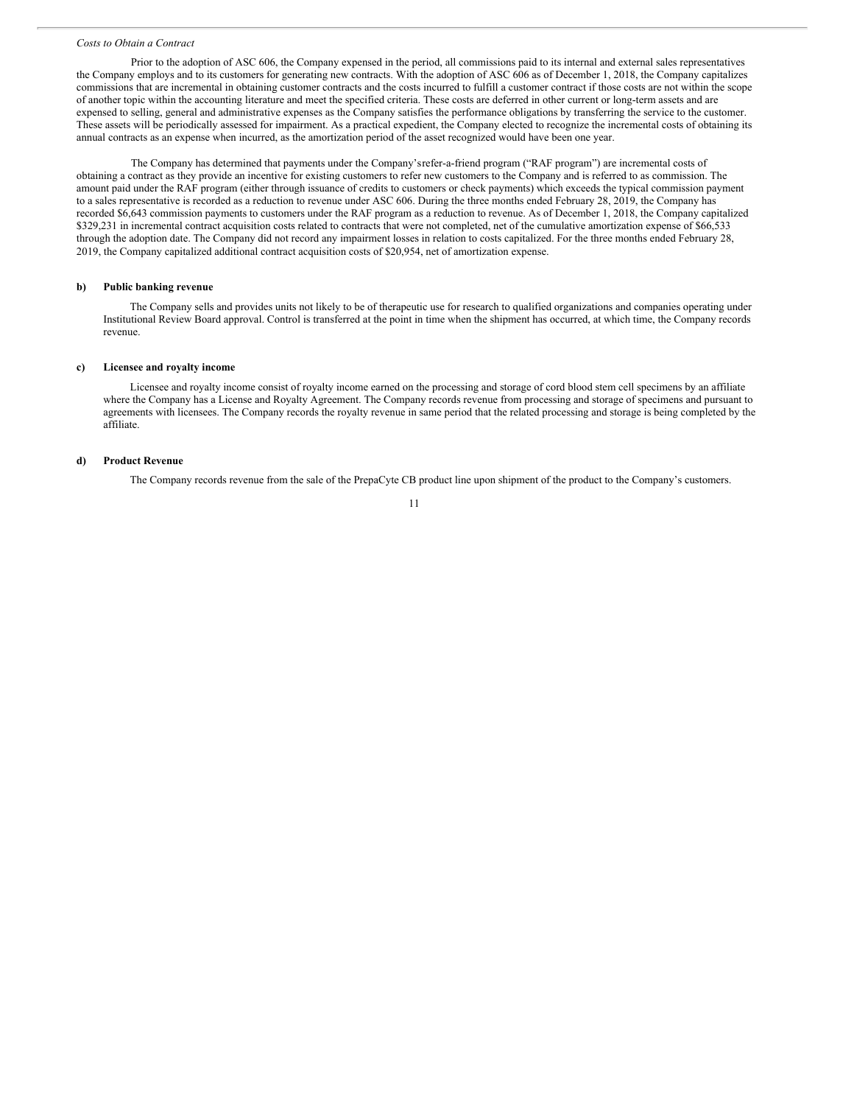#### *Costs to Obtain a Contract*

Prior to the adoption of ASC 606, the Company expensed in the period, all commissions paid to its internal and external sales representatives the Company employs and to its customers for generating new contracts. With the adoption of ASC 606 as of December 1, 2018, the Company capitalizes commissions that are incremental in obtaining customer contracts and the costs incurred to fulfill a customer contract if those costs are not within the scope of another topic within the accounting literature and meet the specified criteria. These costs are deferred in other current or long-term assets and are expensed to selling, general and administrative expenses as the Company satisfies the performance obligations by transferring the service to the customer. These assets will be periodically assessed for impairment. As a practical expedient, the Company elected to recognize the incremental costs of obtaining its annual contracts as an expense when incurred, as the amortization period of the asset recognized would have been one year.

The Company has determined that payments under the Company'srefer-a-friend program ("RAF program") are incremental costs of obtaining a contract as they provide an incentive for existing customers to refer new customers to the Company and is referred to as commission. The amount paid under the RAF program (either through issuance of credits to customers or check payments) which exceeds the typical commission payment to a sales representative is recorded as a reduction to revenue under ASC 606. During the three months ended February 28, 2019, the Company has recorded \$6,643 commission payments to customers under the RAF program as a reduction to revenue. As of December 1, 2018, the Company capitalized \$329,231 in incremental contract acquisition costs related to contracts that were not completed, net of the cumulative amortization expense of \$66,533 through the adoption date. The Company did not record any impairment losses in relation to costs capitalized. For the three months ended February 28, 2019, the Company capitalized additional contract acquisition costs of \$20,954, net of amortization expense.

#### **b) Public banking revenue**

The Company sells and provides units not likely to be of therapeutic use for research to qualified organizations and companies operating under Institutional Review Board approval. Control is transferred at the point in time when the shipment has occurred, at which time, the Company records revenue.

#### **c) Licensee and royalty income**

Licensee and royalty income consist of royalty income earned on the processing and storage of cord blood stem cell specimens by an affiliate where the Company has a License and Royalty Agreement. The Company records revenue from processing and storage of specimens and pursuant to agreements with licensees. The Company records the royalty revenue in same period that the related processing and storage is being completed by the affiliate.

# **d) Product Revenue**

The Company records revenue from the sale of the PrepaCyte CB product line upon shipment of the product to the Company's customers.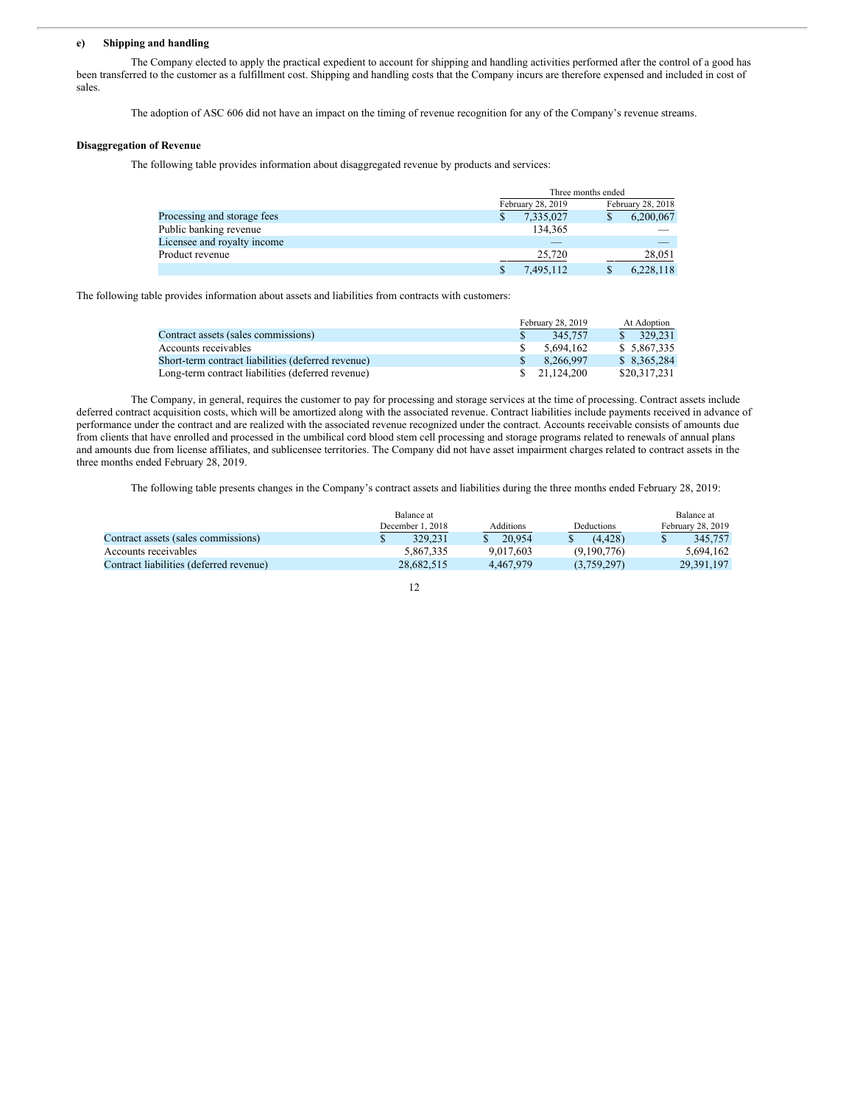# **e) Shipping and handling**

The Company elected to apply the practical expedient to account for shipping and handling activities performed after the control of a good has been transferred to the customer as a fulfillment cost. Shipping and handling costs that the Company incurs are therefore expensed and included in cost of sales.

The adoption of ASC 606 did not have an impact on the timing of revenue recognition for any of the Company's revenue streams.

#### **Disaggregation of Revenue**

The following table provides information about disaggregated revenue by products and services:

|                             |                   | Three months ended |  |  |  |
|-----------------------------|-------------------|--------------------|--|--|--|
|                             | February 28, 2019 |                    |  |  |  |
| Processing and storage fees | 7,335,027         | 6,200,067          |  |  |  |
| Public banking revenue      | 134.365           |                    |  |  |  |
| Licensee and royalty income |                   |                    |  |  |  |
| Product revenue             | 25,720            | 28,051             |  |  |  |
|                             | 7.495.112         | 6,228,118          |  |  |  |

The following table provides information about assets and liabilities from contracts with customers:

|                                                    | February 28, 2019 | At Adoption           |
|----------------------------------------------------|-------------------|-----------------------|
| Contract assets (sales commissions)                | 345.757           | $\frac{1}{2}$ 329.231 |
| Accounts receivables                               | 5.694.162         | \$5.867.335           |
| Short-term contract liabilities (deferred revenue) | 8.266.997<br>-S   | \$ 8,365,284          |
| Long-term contract liabilities (deferred revenue)  | 21.124.200        | \$20,317,231          |

The Company, in general, requires the customer to pay for processing and storage services at the time of processing. Contract assets include deferred contract acquisition costs, which will be amortized along with the associated revenue. Contract liabilities include payments received in advance of performance under the contract and are realized with the associated revenue recognized under the contract. Accounts receivable consists of amounts due from clients that have enrolled and processed in the umbilical cord blood stem cell processing and storage programs related to renewals of annual plans and amounts due from license affiliates, and sublicensee territories. The Company did not have asset impairment charges related to contract assets in the three months ended February 28, 2019.

The following table presents changes in the Company's contract assets and liabilities during the three months ended February 28, 2019:

|                                         | Balance at       |           |             | Balance at        |
|-----------------------------------------|------------------|-----------|-------------|-------------------|
|                                         | December 1, 2018 | Additions | Deductions  | February 28, 2019 |
| Contract assets (sales commissions)     | 329.231          | 20.954    | (4.428)     | 345,757           |
| Accounts receivables                    | 5.867.335        | 9.017.603 | (9.190.776) | 5.694.162         |
| Contract liabilities (deferred revenue) | 28,682,515       | 4.467.979 | (3,759,297) | 29.391.197        |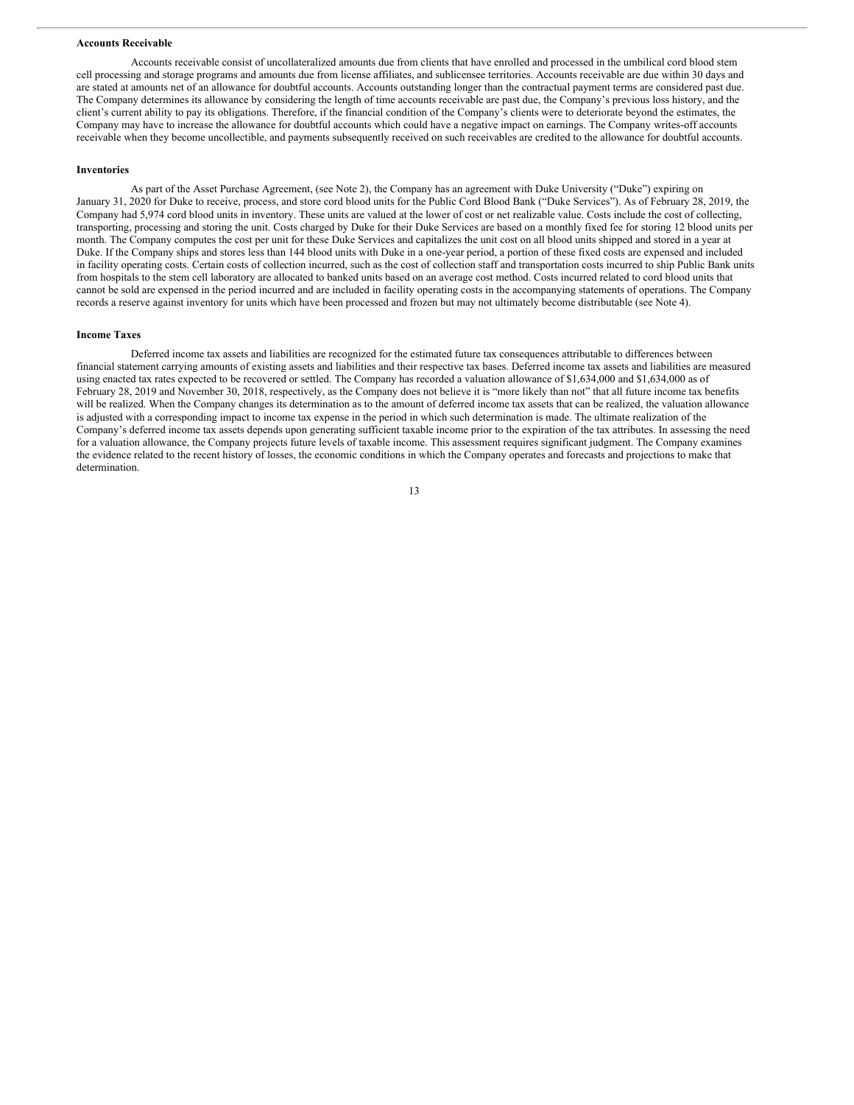#### **Accounts Receivable**

Accounts receivable consist of uncollateralized amounts due from clients that have enrolled and processed in the umbilical cord blood stem cell processing and storage programs and amounts due from license affiliates, and sublicensee territories. Accounts receivable are due within 30 days and are stated at amounts net of an allowance for doubtful accounts. Accounts outstanding longer than the contractual payment terms are considered past due. The Company determines its allowance by considering the length of time accounts receivable are past due, the Company's previous loss history, and the client's current ability to pay its obligations. Therefore, if the financial condition of the Company's clients were to deteriorate beyond the estimates, the Company may have to increase the allowance for doubtful accounts which could have a negative impact on earnings. The Company writes-off accounts receivable when they become uncollectible, and payments subsequently received on such receivables are credited to the allowance for doubtful accounts.

#### **Inventories**

As part of the Asset Purchase Agreement, (see Note 2), the Company has an agreement with Duke University ("Duke") expiring on January 31, 2020 for Duke to receive, process, and store cord blood units for the Public Cord Blood Bank ("Duke Services"). As of February 28, 2019, the Company had 5,974 cord blood units in inventory. These units are valued at the lower of cost or net realizable value. Costs include the cost of collecting, transporting, processing and storing the unit. Costs charged by Duke for their Duke Services are based on a monthly fixed fee for storing 12 blood units per month. The Company computes the cost per unit for these Duke Services and capitalizes the unit cost on all blood units shipped and stored in a year at Duke. If the Company ships and stores less than 144 blood units with Duke in a one-year period, a portion of these fixed costs are expensed and included in facility operating costs. Certain costs of collection incurred, such as the cost of collection staff and transportation costs incurred to ship Public Bank units from hospitals to the stem cell laboratory are allocated to banked units based on an average cost method. Costs incurred related to cord blood units that cannot be sold are expensed in the period incurred and are included in facility operating costs in the accompanying statements of operations. The Company records a reserve against inventory for units which have been processed and frozen but may not ultimately become distributable (see Note 4).

#### **Income Taxes**

Deferred income tax assets and liabilities are recognized for the estimated future tax consequences attributable to differences between financial statement carrying amounts of existing assets and liabilities and their respective tax bases. Deferred income tax assets and liabilities are measured using enacted tax rates expected to be recovered or settled. The Company has recorded a valuation allowance of \$1,634,000 and \$1,634,000 as of February 28, 2019 and November 30, 2018, respectively, as the Company does not believe it is "more likely than not" that all future income tax benefits will be realized. When the Company changes its determination as to the amount of deferred income tax assets that can be realized, the valuation allowance is adjusted with a corresponding impact to income tax expense in the period in which such determination is made. The ultimate realization of the Company's deferred income tax assets depends upon generating sufficient taxable income prior to the expiration of the tax attributes. In assessing the need for a valuation allowance, the Company projects future levels of taxable income. This assessment requires significant judgment. The Company examines the evidence related to the recent history of losses, the economic conditions in which the Company operates and forecasts and projections to make that determination.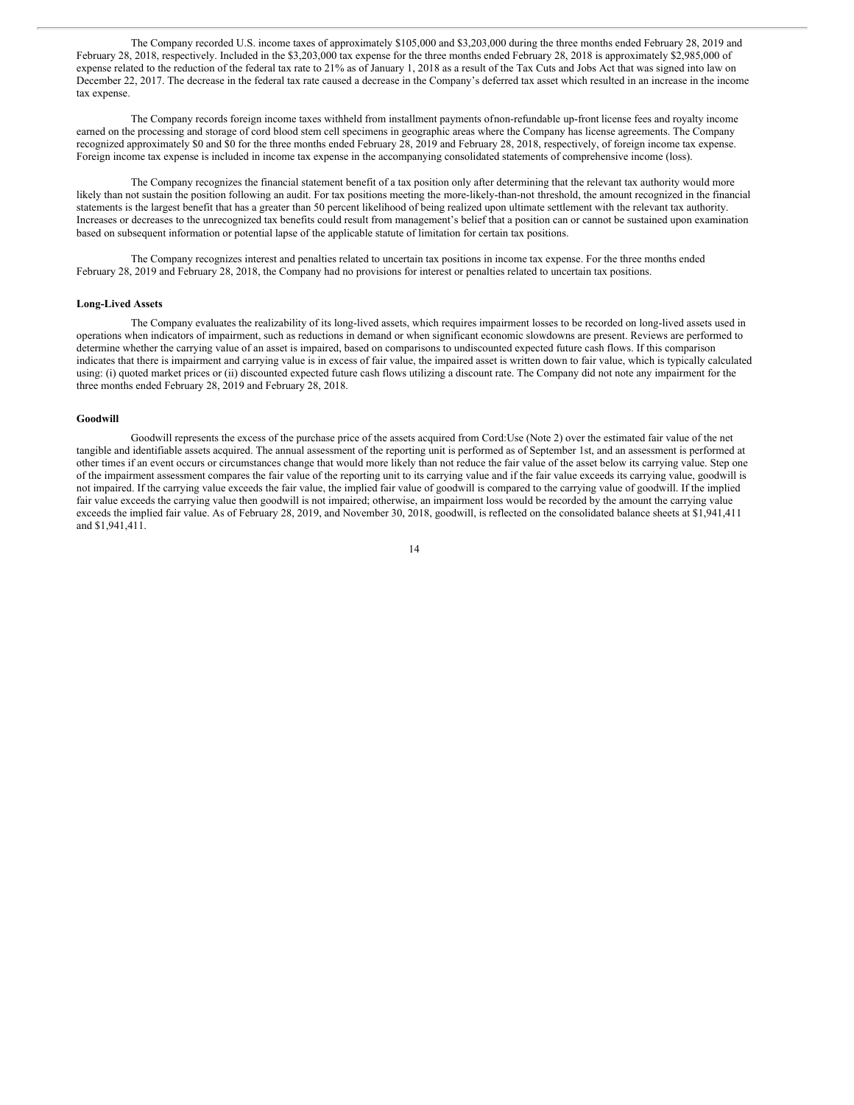The Company recorded U.S. income taxes of approximately \$105,000 and \$3,203,000 during the three months ended February 28, 2019 and February 28, 2018, respectively. Included in the \$3,203,000 tax expense for the three months ended February 28, 2018 is approximately \$2,985,000 of expense related to the reduction of the federal tax rate to 21% as of January 1, 2018 as a result of the Tax Cuts and Jobs Act that was signed into law on December 22, 2017. The decrease in the federal tax rate caused a decrease in the Company's deferred tax asset which resulted in an increase in the income tax expense.

The Company records foreign income taxes withheld from installment payments ofnon-refundable up-front license fees and royalty income earned on the processing and storage of cord blood stem cell specimens in geographic areas where the Company has license agreements. The Company recognized approximately \$0 and \$0 for the three months ended February 28, 2019 and February 28, 2018, respectively, of foreign income tax expense. Foreign income tax expense is included in income tax expense in the accompanying consolidated statements of comprehensive income (loss).

The Company recognizes the financial statement benefit of a tax position only after determining that the relevant tax authority would more likely than not sustain the position following an audit. For tax positions meeting the more-likely-than-not threshold, the amount recognized in the financial statements is the largest benefit that has a greater than 50 percent likelihood of being realized upon ultimate settlement with the relevant tax authority. Increases or decreases to the unrecognized tax benefits could result from management's belief that a position can or cannot be sustained upon examination based on subsequent information or potential lapse of the applicable statute of limitation for certain tax positions.

The Company recognizes interest and penalties related to uncertain tax positions in income tax expense. For the three months ended February 28, 2019 and February 28, 2018, the Company had no provisions for interest or penalties related to uncertain tax positions.

#### **Long-Lived Assets**

The Company evaluates the realizability of its long-lived assets, which requires impairment losses to be recorded on long-lived assets used in operations when indicators of impairment, such as reductions in demand or when significant economic slowdowns are present. Reviews are performed to determine whether the carrying value of an asset is impaired, based on comparisons to undiscounted expected future cash flows. If this comparison indicates that there is impairment and carrying value is in excess of fair value, the impaired asset is written down to fair value, which is typically calculated using: (i) quoted market prices or (ii) discounted expected future cash flows utilizing a discount rate. The Company did not note any impairment for the three months ended February 28, 2019 and February 28, 2018.

#### **Goodwill**

Goodwill represents the excess of the purchase price of the assets acquired from Cord:Use (Note 2) over the estimated fair value of the net tangible and identifiable assets acquired. The annual assessment of the reporting unit is performed as of September 1st, and an assessment is performed at other times if an event occurs or circumstances change that would more likely than not reduce the fair value of the asset below its carrying value. Step one of the impairment assessment compares the fair value of the reporting unit to its carrying value and if the fair value exceeds its carrying value, goodwill is not impaired. If the carrying value exceeds the fair value, the implied fair value of goodwill is compared to the carrying value of goodwill. If the implied fair value exceeds the carrying value then goodwill is not impaired; otherwise, an impairment loss would be recorded by the amount the carrying value exceeds the implied fair value. As of February 28, 2019, and November 30, 2018, goodwill, is reflected on the consolidated balance sheets at \$1,941,411 and \$1,941,411.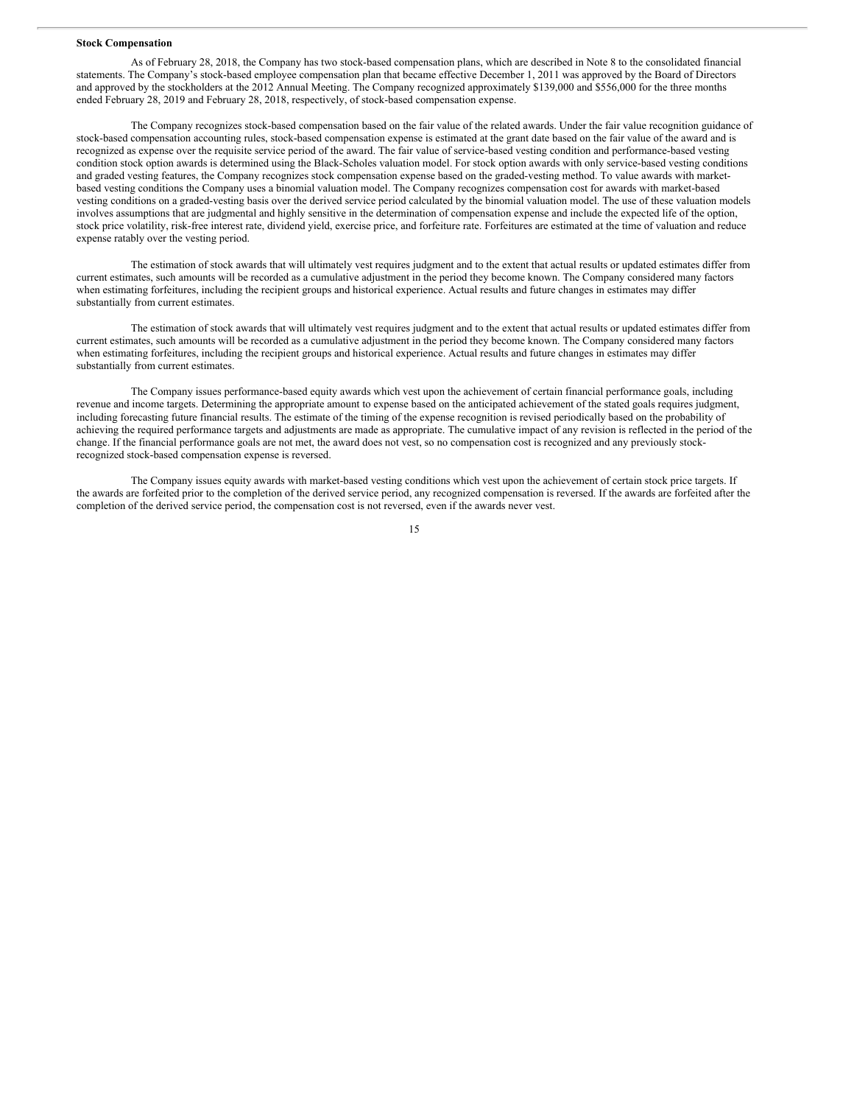#### **Stock Compensation**

As of February 28, 2018, the Company has two stock-based compensation plans, which are described in Note 8 to the consolidated financial statements. The Company's stock-based employee compensation plan that became effective December 1, 2011 was approved by the Board of Directors and approved by the stockholders at the 2012 Annual Meeting. The Company recognized approximately \$139,000 and \$556,000 for the three months ended February 28, 2019 and February 28, 2018, respectively, of stock-based compensation expense.

The Company recognizes stock-based compensation based on the fair value of the related awards. Under the fair value recognition guidance of stock-based compensation accounting rules, stock-based compensation expense is estimated at the grant date based on the fair value of the award and is recognized as expense over the requisite service period of the award. The fair value of service-based vesting condition and performance-based vesting condition stock option awards is determined using the Black-Scholes valuation model. For stock option awards with only service-based vesting conditions and graded vesting features, the Company recognizes stock compensation expense based on the graded-vesting method. To value awards with marketbased vesting conditions the Company uses a binomial valuation model. The Company recognizes compensation cost for awards with market-based vesting conditions on a graded-vesting basis over the derived service period calculated by the binomial valuation model. The use of these valuation models involves assumptions that are judgmental and highly sensitive in the determination of compensation expense and include the expected life of the option, stock price volatility, risk-free interest rate, dividend yield, exercise price, and forfeiture rate. Forfeitures are estimated at the time of valuation and reduce expense ratably over the vesting period.

The estimation of stock awards that will ultimately vest requires judgment and to the extent that actual results or updated estimates differ from current estimates, such amounts will be recorded as a cumulative adjustment in the period they become known. The Company considered many factors when estimating forfeitures, including the recipient groups and historical experience. Actual results and future changes in estimates may differ substantially from current estimates.

The estimation of stock awards that will ultimately vest requires judgment and to the extent that actual results or updated estimates differ from current estimates, such amounts will be recorded as a cumulative adjustment in the period they become known. The Company considered many factors when estimating forfeitures, including the recipient groups and historical experience. Actual results and future changes in estimates may differ substantially from current estimates.

The Company issues performance-based equity awards which vest upon the achievement of certain financial performance goals, including revenue and income targets. Determining the appropriate amount to expense based on the anticipated achievement of the stated goals requires judgment, including forecasting future financial results. The estimate of the timing of the expense recognition is revised periodically based on the probability of achieving the required performance targets and adjustments are made as appropriate. The cumulative impact of any revision is reflected in the period of the change. If the financial performance goals are not met, the award does not vest, so no compensation cost is recognized and any previously stockrecognized stock-based compensation expense is reversed.

The Company issues equity awards with market-based vesting conditions which vest upon the achievement of certain stock price targets. If the awards are forfeited prior to the completion of the derived service period, any recognized compensation is reversed. If the awards are forfeited after the completion of the derived service period, the compensation cost is not reversed, even if the awards never vest.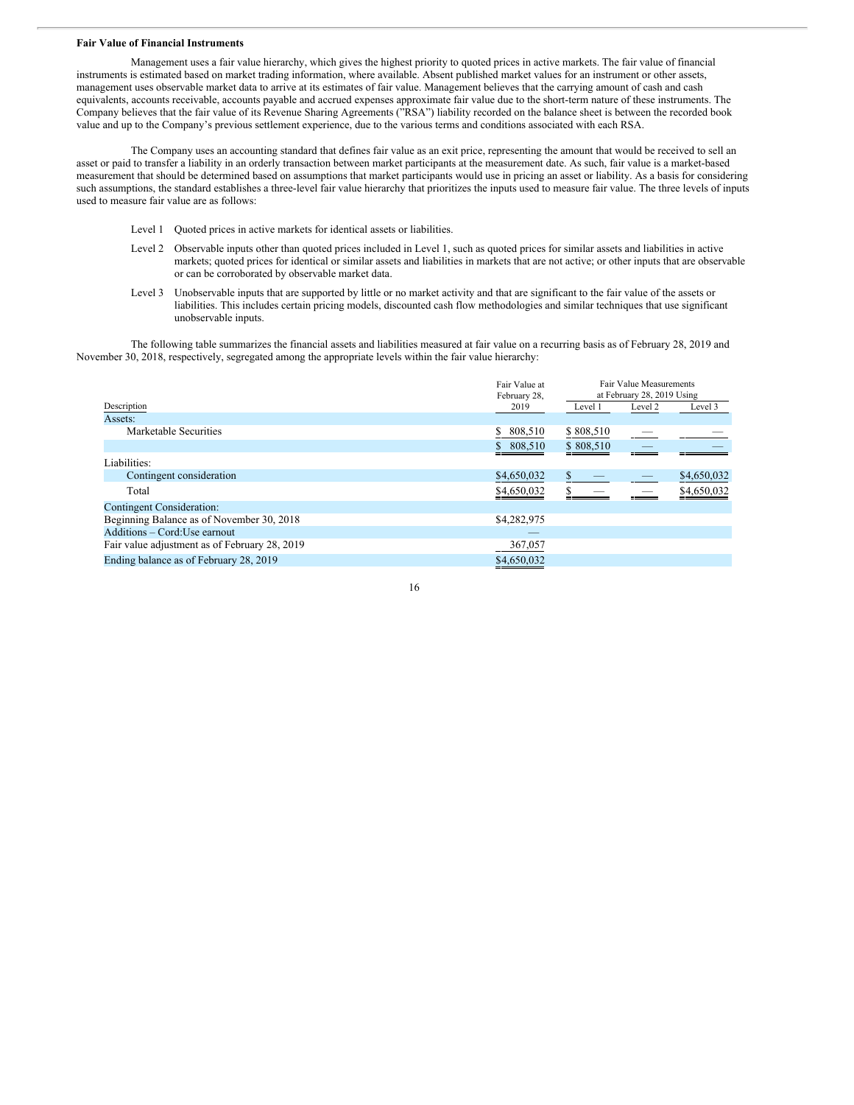#### **Fair Value of Financial Instruments**

Management uses a fair value hierarchy, which gives the highest priority to quoted prices in active markets. The fair value of financial instruments is estimated based on market trading information, where available. Absent published market values for an instrument or other assets, management uses observable market data to arrive at its estimates of fair value. Management believes that the carrying amount of cash and cash equivalents, accounts receivable, accounts payable and accrued expenses approximate fair value due to the short-term nature of these instruments. The Company believes that the fair value of its Revenue Sharing Agreements ("RSA") liability recorded on the balance sheet is between the recorded book value and up to the Company's previous settlement experience, due to the various terms and conditions associated with each RSA.

The Company uses an accounting standard that defines fair value as an exit price, representing the amount that would be received to sell an asset or paid to transfer a liability in an orderly transaction between market participants at the measurement date. As such, fair value is a market-based measurement that should be determined based on assumptions that market participants would use in pricing an asset or liability. As a basis for considering such assumptions, the standard establishes a three-level fair value hierarchy that prioritizes the inputs used to measure fair value. The three levels of inputs used to measure fair value are as follows:

- Level 1 Quoted prices in active markets for identical assets or liabilities.
- Level 2 Observable inputs other than quoted prices included in Level 1, such as quoted prices for similar assets and liabilities in active markets; quoted prices for identical or similar assets and liabilities in markets that are not active; or other inputs that are observable or can be corroborated by observable market data.
- Level 3 Unobservable inputs that are supported by little or no market activity and that are significant to the fair value of the assets or liabilities. This includes certain pricing models, discounted cash flow methodologies and similar techniques that use significant unobservable inputs.

The following table summarizes the financial assets and liabilities measured at fair value on a recurring basis as of February 28, 2019 and November 30, 2018, respectively, segregated among the appropriate levels within the fair value hierarchy:

|                                               | Fair Value at<br>February 28, | Fair Value Measurements<br>at February 28, 2019 Using |         |             |
|-----------------------------------------------|-------------------------------|-------------------------------------------------------|---------|-------------|
| Description                                   | 2019                          | Level 1                                               | Level 2 | Level 3     |
| Assets:                                       |                               |                                                       |         |             |
| Marketable Securities                         | 808,510<br>S.                 | \$808,510                                             |         |             |
|                                               | \$ 808,510                    | \$808,510                                             |         |             |
| Liabilities:                                  |                               |                                                       |         |             |
| Contingent consideration                      | \$4,650,032                   |                                                       |         | \$4,650,032 |
| Total                                         | \$4,650,032                   |                                                       |         | \$4,650,032 |
| <b>Contingent Consideration:</b>              |                               |                                                       |         |             |
| Beginning Balance as of November 30, 2018     | \$4,282,975                   |                                                       |         |             |
| Additions – Cord: Use earnout                 |                               |                                                       |         |             |
| Fair value adjustment as of February 28, 2019 | 367,057                       |                                                       |         |             |
| Ending balance as of February 28, 2019        | \$4,650,032                   |                                                       |         |             |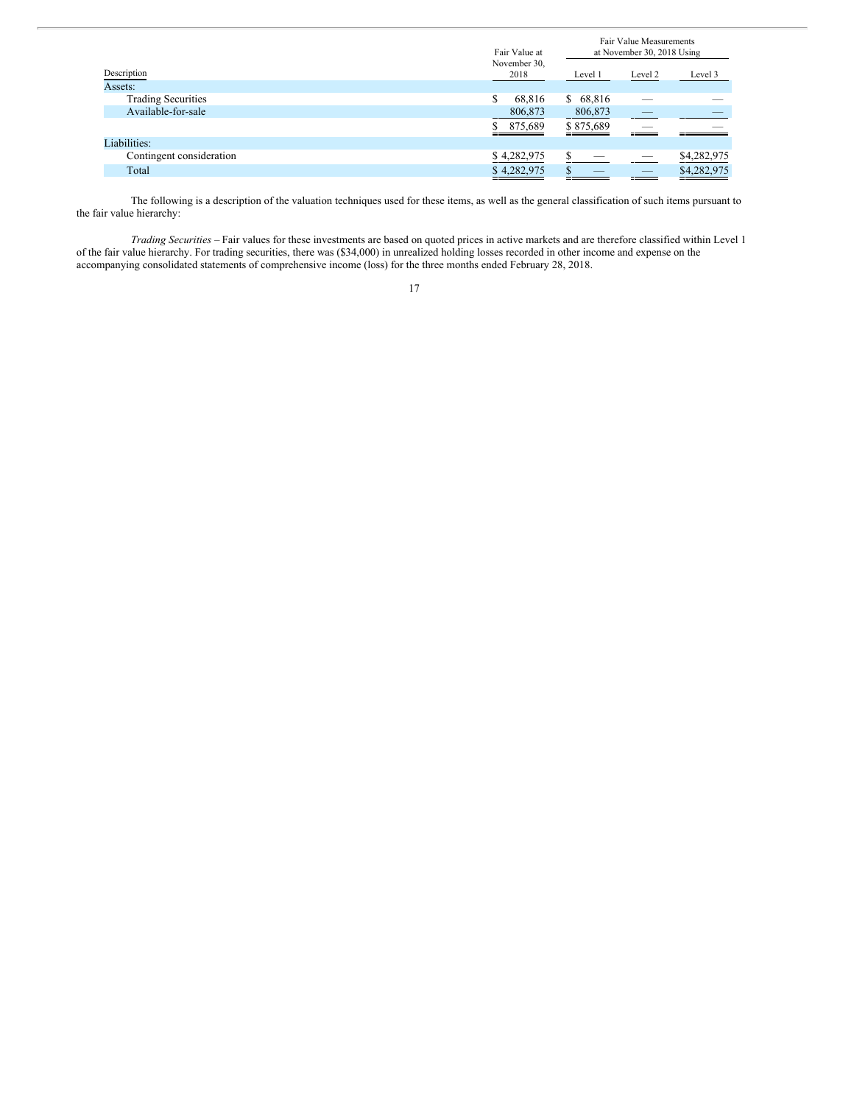|                           | Fair Value at        | Fair Value Measurements<br>at November 30, 2018 Using |         |             |  |
|---------------------------|----------------------|-------------------------------------------------------|---------|-------------|--|
| Description               | November 30,<br>2018 | Level 1                                               | Level 2 | Level 3     |  |
| Assets:                   |                      |                                                       |         |             |  |
| <b>Trading Securities</b> | S<br>68,816          | 68,816<br>S.                                          | --      |             |  |
| Available-for-sale        | 806,873              | 806,873                                               | _       | _           |  |
|                           | 875,689              | \$875,689                                             |         |             |  |
| Liabilities:              |                      |                                                       |         |             |  |
| Contingent consideration  | \$4,282,975          |                                                       |         | \$4,282,975 |  |
| Total                     | \$4,282,975          |                                                       |         | \$4,282,975 |  |

The following is a description of the valuation techniques used for these items, as well as the general classification of such items pursuant to the fair value hierarchy:

*Trading Securities –* Fair values for these investments are based on quoted prices in active markets and are therefore classified within Level 1 of the fair value hierarchy. For trading securities, there was (\$34,000) in unrealized holding losses recorded in other income and expense on the accompanying consolidated statements of comprehensive income (loss) for the three months ended February 28, 2018.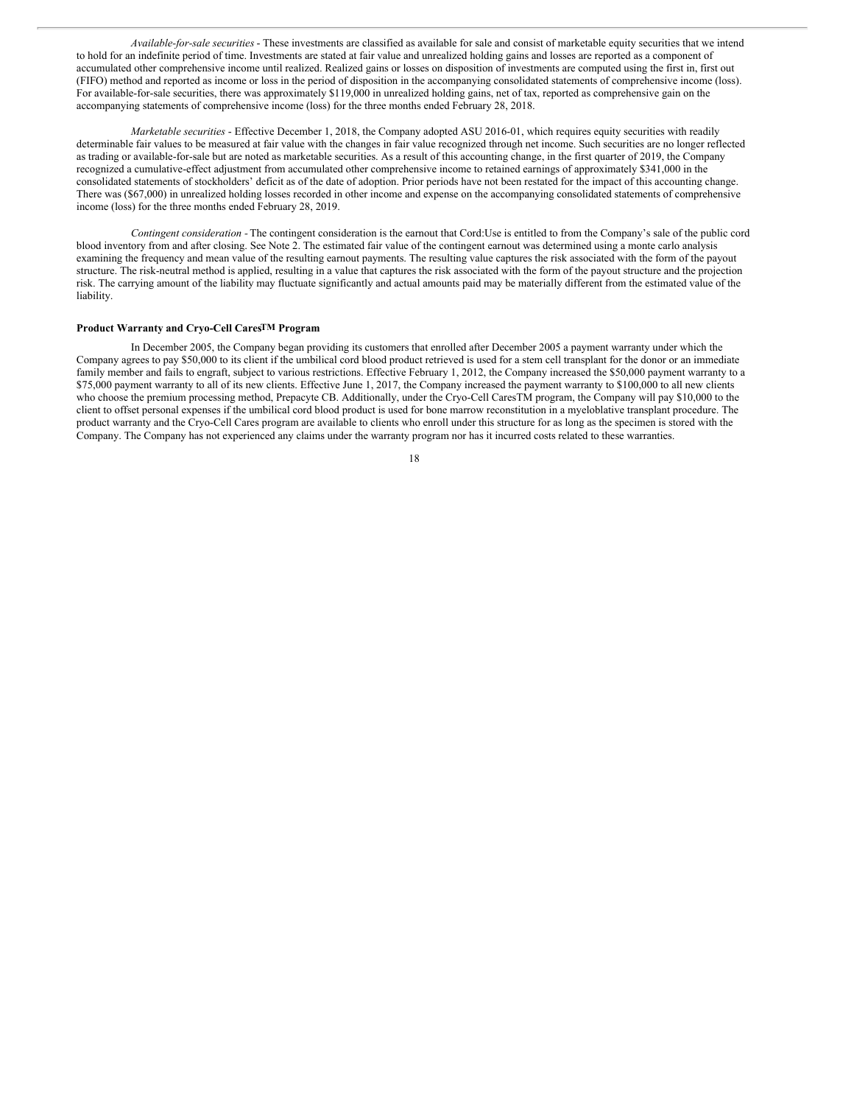*Available-for-sale securities* - These investments are classified as available for sale and consist of marketable equity securities that we intend to hold for an indefinite period of time. Investments are stated at fair value and unrealized holding gains and losses are reported as a component of accumulated other comprehensive income until realized. Realized gains or losses on disposition of investments are computed using the first in, first out (FIFO) method and reported as income or loss in the period of disposition in the accompanying consolidated statements of comprehensive income (loss). For available-for-sale securities, there was approximately \$119,000 in unrealized holding gains, net of tax, reported as comprehensive gain on the accompanying statements of comprehensive income (loss) for the three months ended February 28, 2018.

*Marketable securities* - Effective December 1, 2018, the Company adopted ASU 2016-01, which requires equity securities with readily determinable fair values to be measured at fair value with the changes in fair value recognized through net income. Such securities are no longer reflected as trading or available-for-sale but are noted as marketable securities. As a result of this accounting change, in the first quarter of 2019, the Company recognized a cumulative-effect adjustment from accumulated other comprehensive income to retained earnings of approximately \$341,000 in the consolidated statements of stockholders' deficit as of the date of adoption. Prior periods have not been restated for the impact of this accounting change. There was (\$67,000) in unrealized holding losses recorded in other income and expense on the accompanying consolidated statements of comprehensive income (loss) for the three months ended February 28, 2019.

*Contingent consideration -* The contingent consideration is the earnout that Cord:Use is entitled to from the Company's sale of the public cord blood inventory from and after closing. See Note 2. The estimated fair value of the contingent earnout was determined using a monte carlo analysis examining the frequency and mean value of the resulting earnout payments. The resulting value captures the risk associated with the form of the payout structure. The risk-neutral method is applied, resulting in a value that captures the risk associated with the form of the payout structure and the projection risk. The carrying amount of the liability may fluctuate significantly and actual amounts paid may be materially different from the estimated value of the liability.

#### **Product Warranty and Cryo-Cell CaresTM Program**

In December 2005, the Company began providing its customers that enrolled after December 2005 a payment warranty under which the Company agrees to pay \$50,000 to its client if the umbilical cord blood product retrieved is used for a stem cell transplant for the donor or an immediate family member and fails to engraft, subject to various restrictions. Effective February 1, 2012, the Company increased the \$50,000 payment warranty to a \$75,000 payment warranty to all of its new clients. Effective June 1, 2017, the Company increased the payment warranty to \$100,000 to all new clients who choose the premium processing method, Prepacyte CB. Additionally, under the Cryo-Cell CaresTM program, the Company will pay \$10,000 to the client to offset personal expenses if the umbilical cord blood product is used for bone marrow reconstitution in a myeloblative transplant procedure. The product warranty and the Cryo-Cell Cares program are available to clients who enroll under this structure for as long as the specimen is stored with the Company. The Company has not experienced any claims under the warranty program nor has it incurred costs related to these warranties.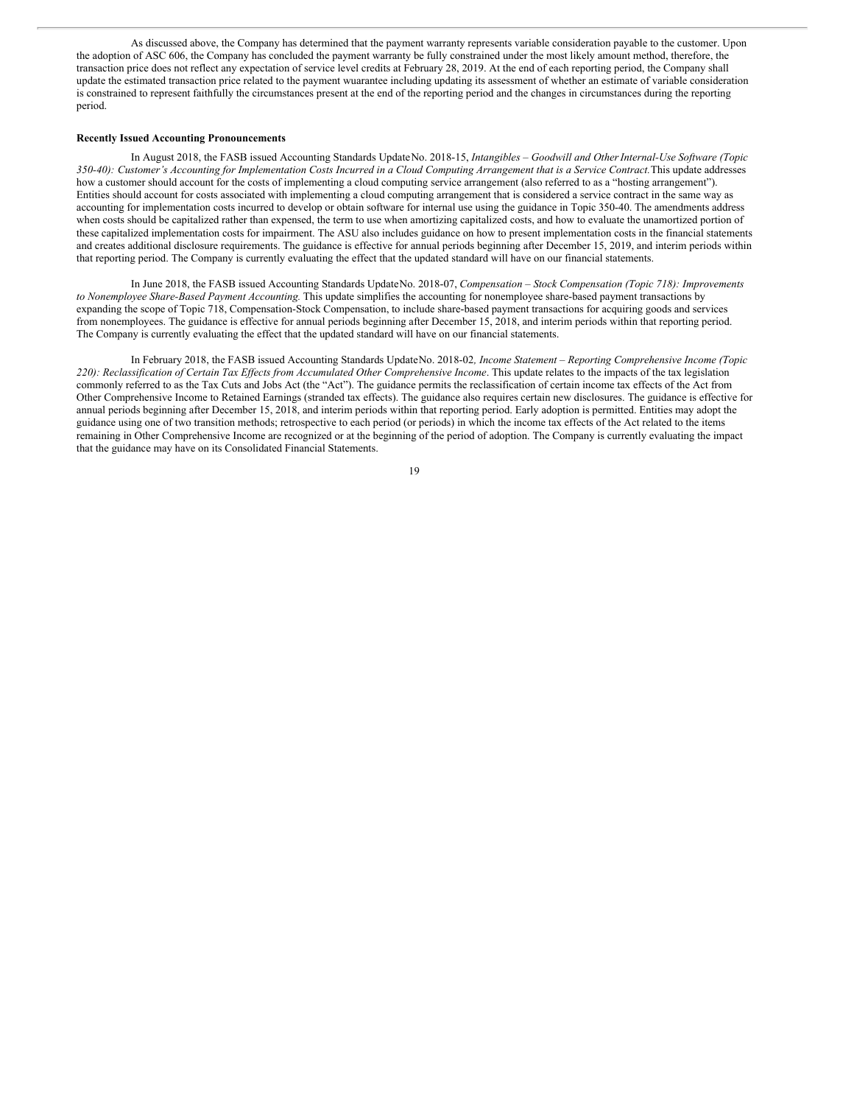As discussed above, the Company has determined that the payment warranty represents variable consideration payable to the customer. Upon the adoption of ASC 606, the Company has concluded the payment warranty be fully constrained under the most likely amount method, therefore, the transaction price does not reflect any expectation of service level credits at February 28, 2019. At the end of each reporting period, the Company shall update the estimated transaction price related to the payment wuarantee including updating its assessment of whether an estimate of variable consideration is constrained to represent faithfully the circumstances present at the end of the reporting period and the changes in circumstances during the reporting period.

#### **Recently Issued Accounting Pronouncements**

In August 2018, the FASB issued Accounting Standards UpdateNo. 2018-15, *Intangibles – Goodwill and OtherInternal-Use Software (Topic* 350-40): Customer's Accounting for Implementation Costs Incurred in a Cloud Computing Arrangement that is a Service Contract. This update addresses how a customer should account for the costs of implementing a cloud computing service arrangement (also referred to as a "hosting arrangement"). Entities should account for costs associated with implementing a cloud computing arrangement that is considered a service contract in the same way as accounting for implementation costs incurred to develop or obtain software for internal use using the guidance in Topic 350-40. The amendments address when costs should be capitalized rather than expensed, the term to use when amortizing capitalized costs, and how to evaluate the unamortized portion of these capitalized implementation costs for impairment. The ASU also includes guidance on how to present implementation costs in the financial statements and creates additional disclosure requirements. The guidance is effective for annual periods beginning after December 15, 2019, and interim periods within that reporting period. The Company is currently evaluating the effect that the updated standard will have on our financial statements.

In June 2018, the FASB issued Accounting Standards UpdateNo. 2018-07, *Compensation – Stock Compensation (Topic 718): Improvements to Nonemployee Share-Based Payment Accounting.* This update simplifies the accounting for nonemployee share-based payment transactions by expanding the scope of Topic 718, Compensation-Stock Compensation, to include share-based payment transactions for acquiring goods and services from nonemployees. The guidance is effective for annual periods beginning after December 15, 2018, and interim periods within that reporting period. The Company is currently evaluating the effect that the updated standard will have on our financial statements.

In February 2018, the FASB issued Accounting Standards UpdateNo. 2018-02*, Income Statement – Reporting Comprehensive Income (Topic* 220): Reclassification of Certain Tax Effects from Accumulated Other Comprehensive Income. This update relates to the impacts of the tax legislation commonly referred to as the Tax Cuts and Jobs Act (the "Act"). The guidance permits the reclassification of certain income tax effects of the Act from Other Comprehensive Income to Retained Earnings (stranded tax effects). The guidance also requires certain new disclosures. The guidance is effective for annual periods beginning after December 15, 2018, and interim periods within that reporting period. Early adoption is permitted. Entities may adopt the guidance using one of two transition methods; retrospective to each period (or periods) in which the income tax effects of the Act related to the items remaining in Other Comprehensive Income are recognized or at the beginning of the period of adoption. The Company is currently evaluating the impact that the guidance may have on its Consolidated Financial Statements.

<sup>19</sup>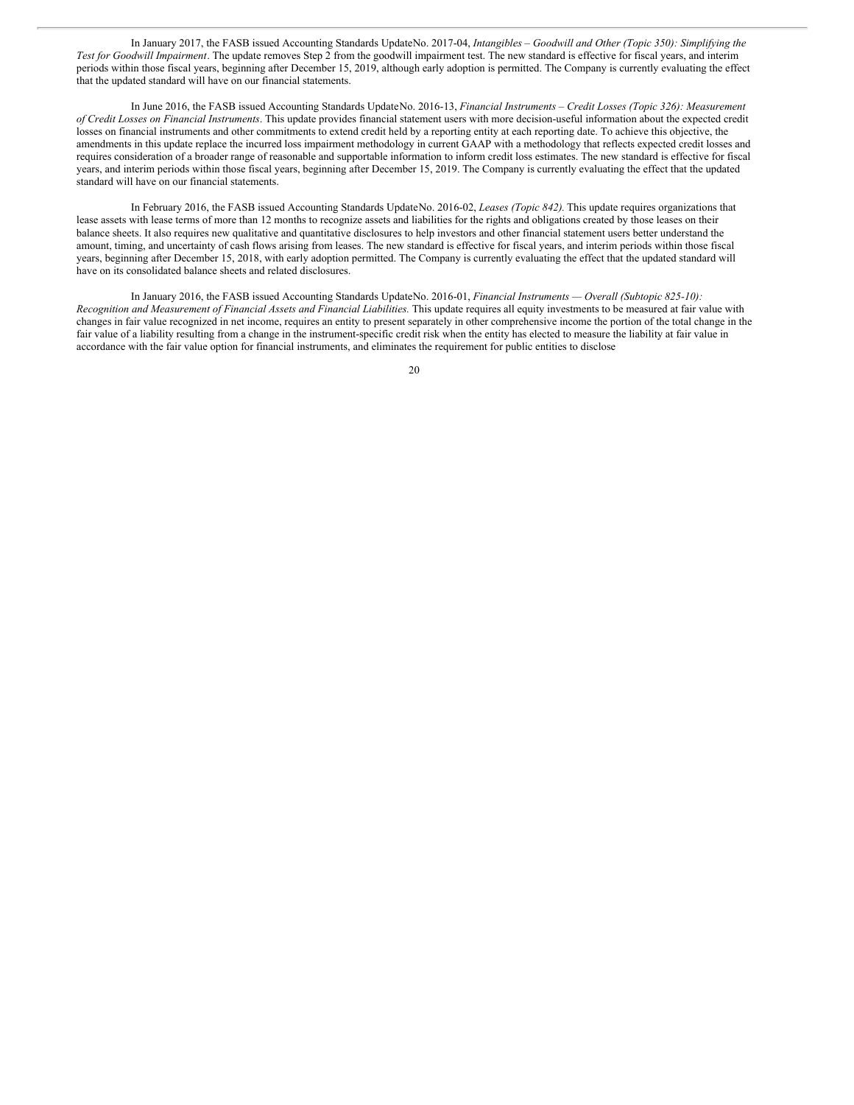In January 2017, the FASB issued Accounting Standards UpdateNo. 2017-04, *Intangibles – Goodwill and Other (Topic 350): Simplifying the Test for Goodwill Impairment*. The update removes Step 2 from the goodwill impairment test. The new standard is effective for fiscal years, and interim periods within those fiscal years, beginning after December 15, 2019, although early adoption is permitted. The Company is currently evaluating the effect that the updated standard will have on our financial statements.

In June 2016, the FASB issued Accounting Standards UpdateNo. 2016-13, *Financial Instruments – Credit Losses (Topic 326): Measurement of Credit Losses on Financial Instruments*. This update provides financial statement users with more decision-useful information about the expected credit losses on financial instruments and other commitments to extend credit held by a reporting entity at each reporting date. To achieve this objective, the amendments in this update replace the incurred loss impairment methodology in current GAAP with a methodology that reflects expected credit losses and requires consideration of a broader range of reasonable and supportable information to inform credit loss estimates. The new standard is effective for fiscal years, and interim periods within those fiscal years, beginning after December 15, 2019. The Company is currently evaluating the effect that the updated standard will have on our financial statements.

In February 2016, the FASB issued Accounting Standards UpdateNo. 2016-02, *Leases (Topic 842).* This update requires organizations that lease assets with lease terms of more than 12 months to recognize assets and liabilities for the rights and obligations created by those leases on their balance sheets. It also requires new qualitative and quantitative disclosures to help investors and other financial statement users better understand the amount, timing, and uncertainty of cash flows arising from leases. The new standard is effective for fiscal years, and interim periods within those fiscal years, beginning after December 15, 2018, with early adoption permitted. The Company is currently evaluating the effect that the updated standard will have on its consolidated balance sheets and related disclosures.

In January 2016, the FASB issued Accounting Standards UpdateNo. 2016-01, *Financial Instruments — Overall (Subtopic 825-10): Recognition and Measurement of Financial Assets and Financial Liabilities.* This update requires all equity investments to be measured at fair value with changes in fair value recognized in net income, requires an entity to present separately in other comprehensive income the portion of the total change in the fair value of a liability resulting from a change in the instrument-specific credit risk when the entity has elected to measure the liability at fair value in accordance with the fair value option for financial instruments, and eliminates the requirement for public entities to disclose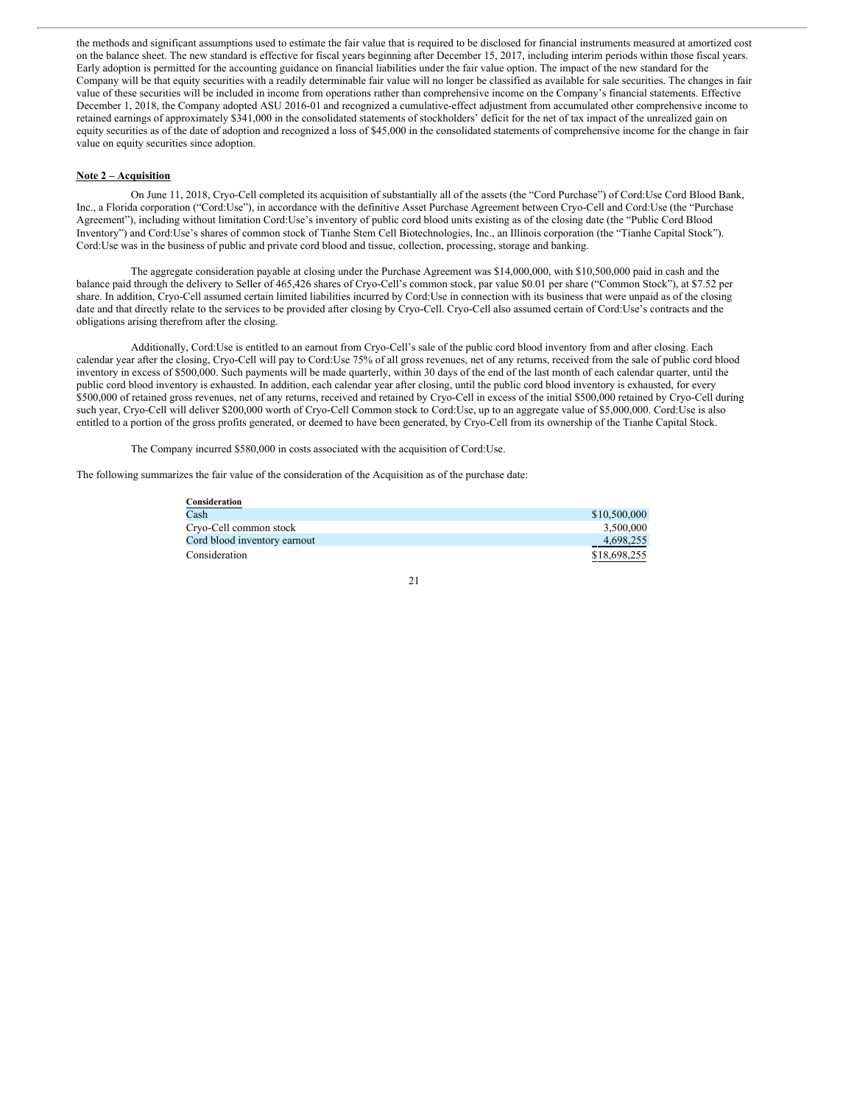the methods and significant assumptions used to estimate the fair value that is required to be disclosed for financial instruments measured at amortized cost on the balance sheet. The new standard is effective for fiscal years beginning after December 15, 2017, including interim periods within those fiscal years. Early adoption is permitted for the accounting guidance on financial liabilities under the fair value option. The impact of the new standard for the Company will be that equity securities with a readily determinable fair value will no longer be classified as available for sale securities. The changes in fair value of these securities will be included in income from operations rather than comprehensive income on the Company's financial statements. Effective December 1, 2018, the Company adopted ASU 2016-01 and recognized a cumulative-effect adjustment from accumulated other comprehensive income to retained earnings of approximately \$341,000 in the consolidated statements of stockholders' deficit for the net of tax impact of the unrealized gain on equity securities as of the date of adoption and recognized a loss of \$45,000 in the consolidated statements of comprehensive income for the change in fair value on equity securities since adoption.

#### **Note 2 – Acquisition**

On June 11, 2018, Cryo-Cell completed its acquisition of substantially all of the assets (the "Cord Purchase") of Cord:Use Cord Blood Bank, Inc., a Florida corporation ("Cord:Use"), in accordance with the definitive Asset Purchase Agreement between Cryo-Cell and Cord:Use (the "Purchase Agreement"), including without limitation Cord:Use's inventory of public cord blood units existing as of the closing date (the "Public Cord Blood Inventory") and Cord:Use's shares of common stock of Tianhe Stem Cell Biotechnologies, Inc., an Illinois corporation (the "Tianhe Capital Stock"). Cord:Use was in the business of public and private cord blood and tissue, collection, processing, storage and banking.

The aggregate consideration payable at closing under the Purchase Agreement was \$14,000,000, with \$10,500,000 paid in cash and the balance paid through the delivery to Seller of 465,426 shares of Cryo-Cell's common stock, par value \$0.01 per share ("Common Stock"), at \$7.52 per share. In addition, Cryo-Cell assumed certain limited liabilities incurred by Cord:Use in connection with its business that were unpaid as of the closing date and that directly relate to the services to be provided after closing by Cryo-Cell. Cryo-Cell also assumed certain of Cord:Use's contracts and the obligations arising therefrom after the closing.

Additionally, Cord:Use is entitled to an earnout from Cryo-Cell's sale of the public cord blood inventory from and after closing. Each calendar year after the closing, Cryo-Cell will pay to Cord:Use 75% of all gross revenues, net of any returns, received from the sale of public cord blood inventory in excess of \$500,000. Such payments will be made quarterly, within 30 days of the end of the last month of each calendar quarter, until the public cord blood inventory is exhausted. In addition, each calendar year after closing, until the public cord blood inventory is exhausted, for every \$500,000 of retained gross revenues, net of any returns, received and retained by Cryo-Cell in excess of the initial \$500,000 retained by Cryo-Cell during such year, Cryo-Cell will deliver \$200,000 worth of Cryo-Cell Common stock to Cord:Use, up to an aggregate value of \$5,000,000. Cord:Use is also entitled to a portion of the gross profits generated, or deemed to have been generated, by Cryo-Cell from its ownership of the Tianhe Capital Stock.

The Company incurred \$580,000 in costs associated with the acquisition of Cord:Use.

The following summarizes the fair value of the consideration of the Acquisition as of the purchase date:

| Consideration                |              |
|------------------------------|--------------|
| Cash                         | \$10,500,000 |
| Cryo-Cell common stock       | 3.500,000    |
| Cord blood inventory earnout | 4,698,255    |
| Consideration                | \$18,698,255 |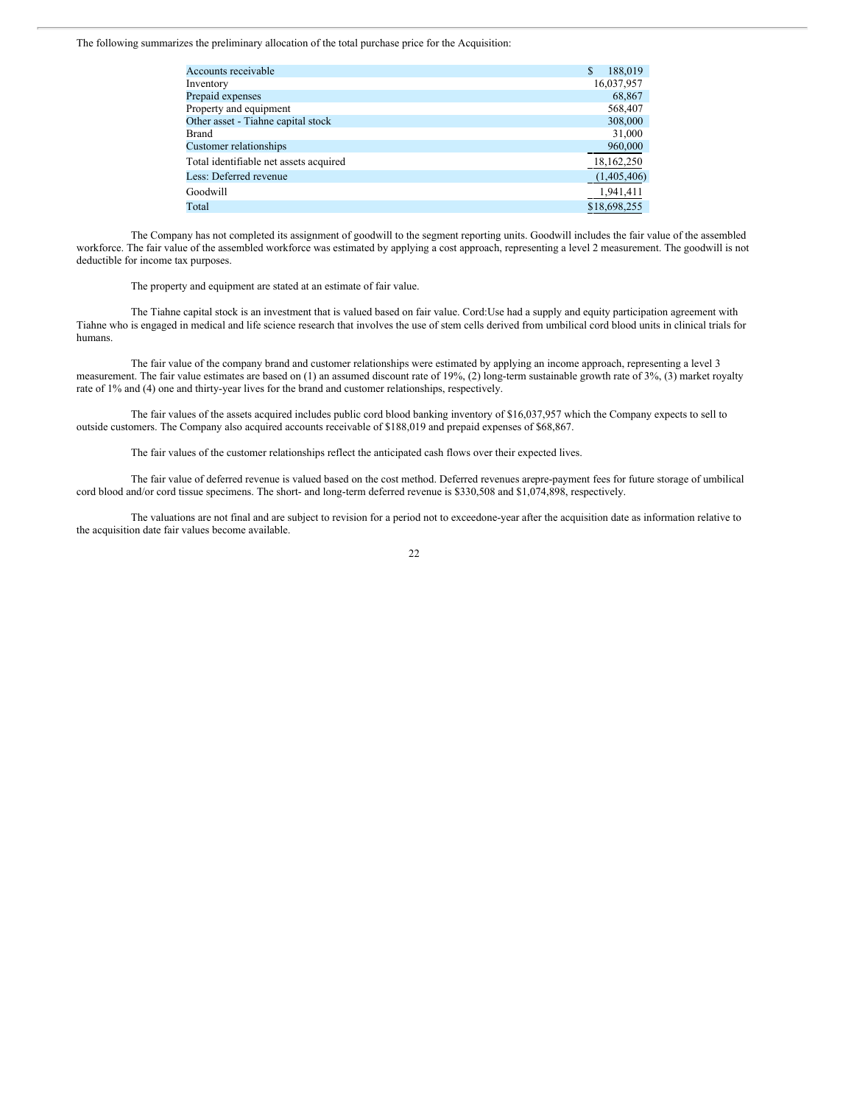The following summarizes the preliminary allocation of the total purchase price for the Acquisition:

| Accounts receivable                    | S | 188,019      |
|----------------------------------------|---|--------------|
| Inventory                              |   | 16,037,957   |
| Prepaid expenses                       |   | 68,867       |
| Property and equipment                 |   | 568,407      |
| Other asset - Tiahne capital stock     |   | 308,000      |
| Brand                                  |   | 31,000       |
| Customer relationships                 |   | 960,000      |
| Total identifiable net assets acquired |   | 18,162,250   |
| Less: Deferred revenue                 |   | (1,405,406)  |
| Goodwill                               |   | 1,941,411    |
| Total                                  |   | \$18,698,255 |
|                                        |   |              |

The Company has not completed its assignment of goodwill to the segment reporting units. Goodwill includes the fair value of the assembled workforce. The fair value of the assembled workforce was estimated by applying a cost approach, representing a level 2 measurement. The goodwill is not deductible for income tax purposes.

The property and equipment are stated at an estimate of fair value.

The Tiahne capital stock is an investment that is valued based on fair value. Cord:Use had a supply and equity participation agreement with Tiahne who is engaged in medical and life science research that involves the use of stem cells derived from umbilical cord blood units in clinical trials for humans.

The fair value of the company brand and customer relationships were estimated by applying an income approach, representing a level 3 measurement. The fair value estimates are based on (1) an assumed discount rate of 19%, (2) long-term sustainable growth rate of 3%, (3) market royalty rate of 1% and (4) one and thirty-year lives for the brand and customer relationships, respectively.

The fair values of the assets acquired includes public cord blood banking inventory of \$16,037,957 which the Company expects to sell to outside customers. The Company also acquired accounts receivable of \$188,019 and prepaid expenses of \$68,867.

The fair values of the customer relationships reflect the anticipated cash flows over their expected lives.

The fair value of deferred revenue is valued based on the cost method. Deferred revenues arepre-payment fees for future storage of umbilical cord blood and/or cord tissue specimens. The short- and long-term deferred revenue is \$330,508 and \$1,074,898, respectively.

The valuations are not final and are subject to revision for a period not to exceedone-year after the acquisition date as information relative to the acquisition date fair values become available.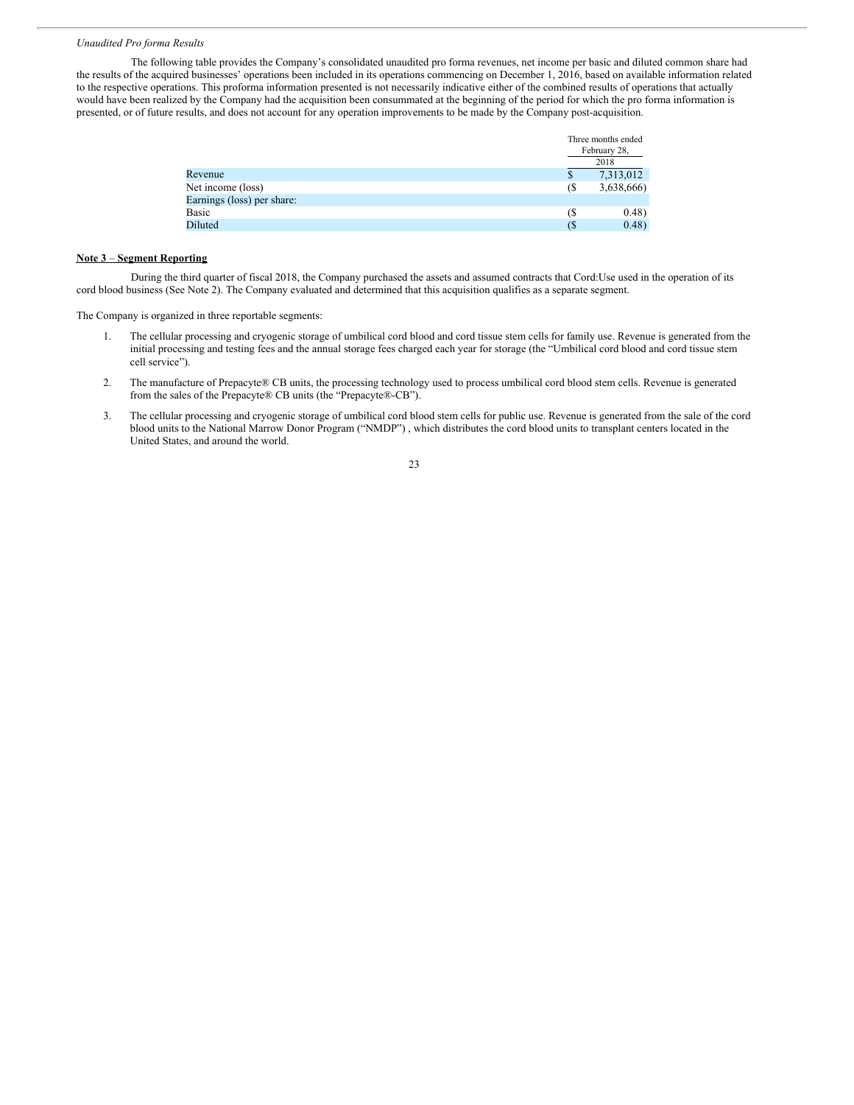#### *Unaudited Pro forma Results*

The following table provides the Company's consolidated unaudited pro forma revenues, net income per basic and diluted common share had the results of the acquired businesses' operations been included in its operations commencing on December 1, 2016, based on available information related to the respective operations. This proforma information presented is not necessarily indicative either of the combined results of operations that actually would have been realized by the Company had the acquisition been consummated at the beginning of the period for which the pro forma information is presented, or of future results, and does not account for any operation improvements to be made by the Company post-acquisition.

|                            |    | Three months ended<br>February 28,<br>2018 |  |  |
|----------------------------|----|--------------------------------------------|--|--|
|                            |    |                                            |  |  |
| Revenue                    | \$ | 7,313,012                                  |  |  |
| Net income (loss)          | (  | 3,638,666)                                 |  |  |
| Earnings (loss) per share: |    |                                            |  |  |
| Basic                      | (S | (0.48)                                     |  |  |
| Diluted                    | (S | 0.48)                                      |  |  |
|                            |    |                                            |  |  |

#### **Note 3** – **Segment Reporting**

During the third quarter of fiscal 2018, the Company purchased the assets and assumed contracts that Cord:Use used in the operation of its cord blood business (See Note 2). The Company evaluated and determined that this acquisition qualifies as a separate segment.

The Company is organized in three reportable segments:

- 1. The cellular processing and cryogenic storage of umbilical cord blood and cord tissue stem cells for family use. Revenue is generated from the initial processing and testing fees and the annual storage fees charged each year for storage (the "Umbilical cord blood and cord tissue stem cell service").
- 2. The manufacture of Prepacyte® CB units, the processing technology used to process umbilical cord blood stem cells. Revenue is generated from the sales of the Prepacyte® CB units (the "Prepacyte®-CB").
- 3. The cellular processing and cryogenic storage of umbilical cord blood stem cells for public use. Revenue is generated from the sale of the cord blood units to the National Marrow Donor Program ("NMDP") , which distributes the cord blood units to transplant centers located in the United States, and around the world.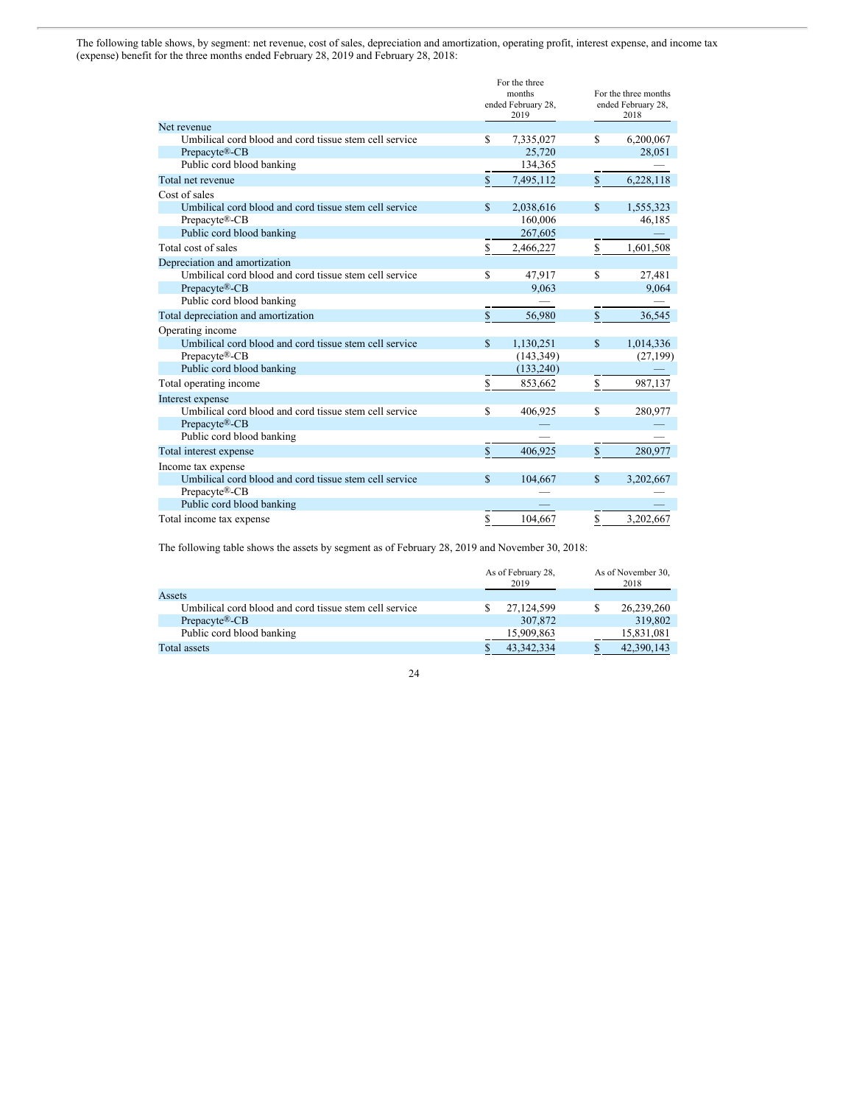The following table shows, by segment: net revenue, cost of sales, depreciation and amortization, operating profit, interest expense, and income tax (expense) benefit for the three months ended February 28, 2019 and February 28, 2018:

|                                                        | For the three<br>months<br>ended February 28,<br>2019 |            |             | For the three months<br>ended February 28,<br>2018 |
|--------------------------------------------------------|-------------------------------------------------------|------------|-------------|----------------------------------------------------|
| Net revenue                                            |                                                       |            |             |                                                    |
| Umbilical cord blood and cord tissue stem cell service | S                                                     | 7,335,027  | \$          | 6,200,067                                          |
| Prepacyte®-CB                                          |                                                       | 25,720     |             | 28,051                                             |
| Public cord blood banking                              |                                                       | 134,365    |             |                                                    |
| Total net revenue                                      | \$                                                    | 7,495,112  | \$          | 6,228,118                                          |
| Cost of sales                                          |                                                       |            |             |                                                    |
| Umbilical cord blood and cord tissue stem cell service | $\mathbf S$                                           | 2,038,616  | \$          | 1,555,323                                          |
| Prepacyte®-CB                                          |                                                       | 160,006    |             | 46,185                                             |
| Public cord blood banking                              |                                                       | 267,605    |             |                                                    |
| Total cost of sales                                    | \$                                                    | 2,466,227  | \$          | 1,601,508                                          |
| Depreciation and amortization                          |                                                       |            |             |                                                    |
| Umbilical cord blood and cord tissue stem cell service | S                                                     | 47,917     | \$          | 27,481                                             |
| Prepacyte®-CB                                          |                                                       | 9,063      |             | 9,064                                              |
| Public cord blood banking                              |                                                       |            |             |                                                    |
| Total depreciation and amortization                    | \$                                                    | 56,980     | \$          | 36,545                                             |
| Operating income                                       |                                                       |            |             |                                                    |
| Umbilical cord blood and cord tissue stem cell service | $\mathbb{S}$                                          | 1,130,251  | \$          | 1,014,336                                          |
| Prepacyte®-CB                                          |                                                       | (143, 349) |             | (27, 199)                                          |
| Public cord blood banking                              |                                                       | (133, 240) |             |                                                    |
| Total operating income                                 | \$                                                    | 853,662    | \$          | 987,137                                            |
| Interest expense                                       |                                                       |            |             |                                                    |
| Umbilical cord blood and cord tissue stem cell service | S                                                     | 406,925    | \$          | 280,977                                            |
| Prepacyte®-CB                                          |                                                       |            |             |                                                    |
| Public cord blood banking                              |                                                       |            |             |                                                    |
| Total interest expense                                 | S                                                     | 406,925    | $\mathbf S$ | 280,977                                            |
| Income tax expense                                     |                                                       |            |             |                                                    |
| Umbilical cord blood and cord tissue stem cell service | $\mathbf{s}$                                          | 104,667    | \$          | 3,202,667                                          |
| Prepacyte®-CB                                          |                                                       |            |             |                                                    |
| Public cord blood banking                              |                                                       |            |             |                                                    |
| Total income tax expense                               | \$                                                    | 104,667    | \$          | 3,202,667                                          |

The following table shows the assets by segment as of February 28, 2019 and November 30, 2018:

|                                                        | As of February 28,<br>2019 |            |  | As of November 30,<br>2018 |
|--------------------------------------------------------|----------------------------|------------|--|----------------------------|
| Assets                                                 |                            |            |  |                            |
| Umbilical cord blood and cord tissue stem cell service |                            | 27,124,599 |  | 26,239,260                 |
| Prepacyte <sup>®</sup> -CB                             |                            | 307,872    |  | 319,802                    |
| Public cord blood banking                              |                            | 15,909,863 |  | 15,831,081                 |
| Total assets                                           |                            | 43.342.334 |  | 42,390,143                 |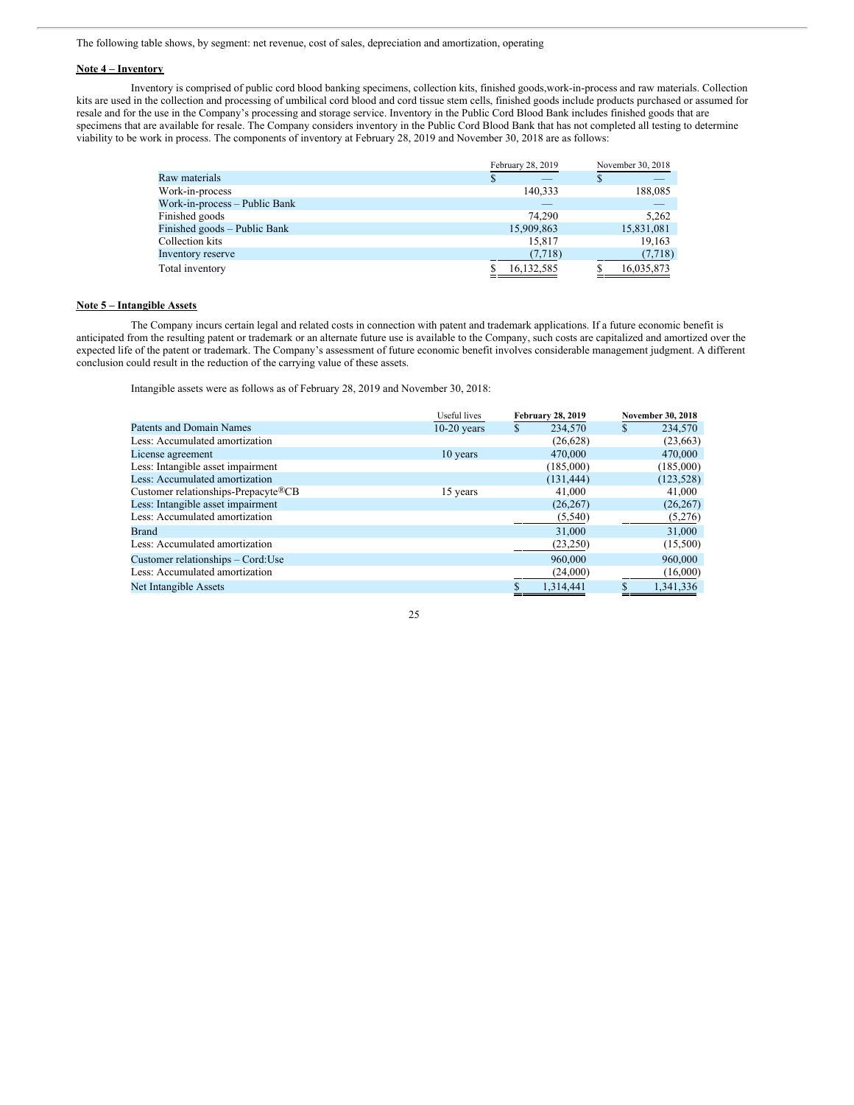The following table shows, by segment: net revenue, cost of sales, depreciation and amortization, operating

#### **Note 4 – Inventory**

Inventory is comprised of public cord blood banking specimens, collection kits, finished goods,work-in-process and raw materials. Collection kits are used in the collection and processing of umbilical cord blood and cord tissue stem cells, finished goods include products purchased or assumed for resale and for the use in the Company's processing and storage service. Inventory in the Public Cord Blood Bank includes finished goods that are specimens that are available for resale. The Company considers inventory in the Public Cord Blood Bank that has not completed all testing to determine viability to be work in process. The components of inventory at February 28, 2019 and November 30, 2018 are as follows:

|                               | February 28, 2019 | November 30, 2018 |
|-------------------------------|-------------------|-------------------|
| Raw materials                 | \$<br>_           | \$                |
| Work-in-process               | 140,333           | 188,085           |
| Work-in-process - Public Bank | _                 |                   |
| Finished goods                | 74.290            | 5,262             |
| Finished goods – Public Bank  | 15,909,863        | 15,831,081        |
| Collection kits               | 15.817            | 19,163            |
| Inventory reserve             | (7, 718)          | (7,718)           |
| Total inventory               | 16,132,585        | 16,035,873        |

#### **Note 5 – Intangible Assets**

The Company incurs certain legal and related costs in connection with patent and trademark applications. If a future economic benefit is anticipated from the resulting patent or trademark or an alternate future use is available to the Company, such costs are capitalized and amortized over the expected life of the patent or trademark. The Company's assessment of future economic benefit involves considerable management judgment. A different conclusion could result in the reduction of the carrying value of these assets.

Intangible assets were as follows as of February 28, 2019 and November 30, 2018:

|                                     | Useful lives  | <b>February 28, 2019</b> |            | <b>November 30, 2018</b> |            |  |
|-------------------------------------|---------------|--------------------------|------------|--------------------------|------------|--|
| <b>Patents and Domain Names</b>     | $10-20$ years | \$                       | 234,570    | \$                       | 234,570    |  |
| Less: Accumulated amortization      |               |                          | (26,628)   |                          | (23,663)   |  |
| License agreement                   | 10 years      |                          | 470,000    |                          | 470,000    |  |
| Less: Intangible asset impairment   |               |                          | (185,000)  |                          | (185,000)  |  |
| Less: Accumulated amortization      |               |                          | (131, 444) |                          | (123, 528) |  |
| Customer relationships-Prepacyte®CB | 15 years      |                          | 41,000     |                          | 41,000     |  |
| Less: Intangible asset impairment   |               |                          | (26, 267)  |                          | (26, 267)  |  |
| Less: Accumulated amortization      |               |                          | (5,540)    |                          | (5,276)    |  |
| <b>Brand</b>                        |               |                          | 31,000     |                          | 31,000     |  |
| Less: Accumulated amortization      |               |                          | (23,250)   |                          | (15,500)   |  |
| Customer relationships – Cord: Use  |               |                          | 960,000    |                          | 960,000    |  |
| Less: Accumulated amortization      |               |                          | (24,000)   |                          | (16,000)   |  |
| Net Intangible Assets               |               | S                        | 1.314.441  |                          | 1.341.336  |  |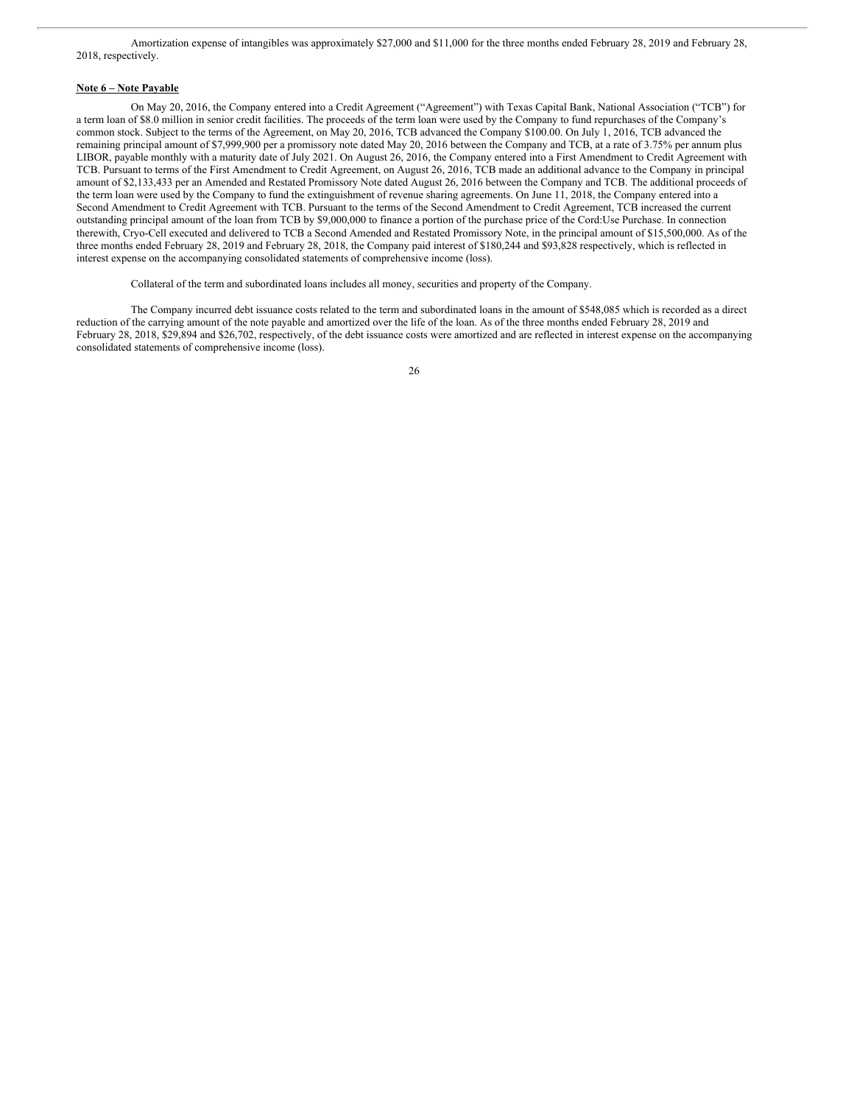Amortization expense of intangibles was approximately \$27,000 and \$11,000 for the three months ended February 28, 2019 and February 28, 2018, respectively.

#### **Note 6 – Note Payable**

On May 20, 2016, the Company entered into a Credit Agreement ("Agreement") with Texas Capital Bank, National Association ("TCB") for a term loan of \$8.0 million in senior credit facilities. The proceeds of the term loan were used by the Company to fund repurchases of the Company's common stock. Subject to the terms of the Agreement, on May 20, 2016, TCB advanced the Company \$100.00. On July 1, 2016, TCB advanced the remaining principal amount of \$7,999,900 per a promissory note dated May 20, 2016 between the Company and TCB, at a rate of 3.75% per annum plus LIBOR, payable monthly with a maturity date of July 2021. On August 26, 2016, the Company entered into a First Amendment to Credit Agreement with TCB. Pursuant to terms of the First Amendment to Credit Agreement, on August 26, 2016, TCB made an additional advance to the Company in principal amount of \$2,133,433 per an Amended and Restated Promissory Note dated August 26, 2016 between the Company and TCB. The additional proceeds of the term loan were used by the Company to fund the extinguishment of revenue sharing agreements. On June 11, 2018, the Company entered into a Second Amendment to Credit Agreement with TCB. Pursuant to the terms of the Second Amendment to Credit Agreement, TCB increased the current outstanding principal amount of the loan from TCB by \$9,000,000 to finance a portion of the purchase price of the Cord:Use Purchase. In connection therewith, Cryo-Cell executed and delivered to TCB a Second Amended and Restated Promissory Note, in the principal amount of \$15,500,000. As of the three months ended February 28, 2019 and February 28, 2018, the Company paid interest of \$180,244 and \$93,828 respectively, which is reflected in interest expense on the accompanying consolidated statements of comprehensive income (loss).

Collateral of the term and subordinated loans includes all money, securities and property of the Company.

The Company incurred debt issuance costs related to the term and subordinated loans in the amount of \$548,085 which is recorded as a direct reduction of the carrying amount of the note payable and amortized over the life of the loan. As of the three months ended February 28, 2019 and February 28, 2018, \$29,894 and \$26,702, respectively, of the debt issuance costs were amortized and are reflected in interest expense on the accompanying consolidated statements of comprehensive income (loss).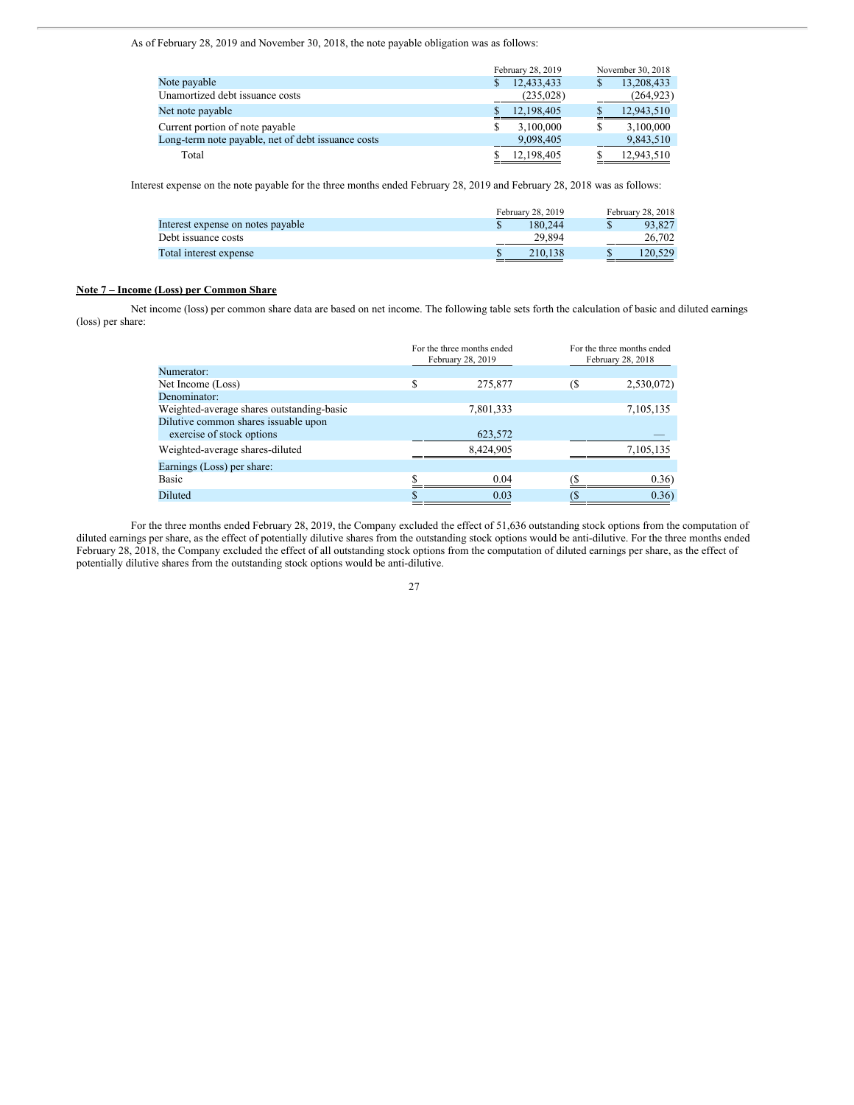As of February 28, 2019 and November 30, 2018, the note payable obligation was as follows:

|                                                    | February 28, 2019 | November 30, 2018 |
|----------------------------------------------------|-------------------|-------------------|
| Note payable                                       | 12,433,433        | 13,208,433<br>S   |
| Unamortized debt issuance costs                    | (235,028)         | (264, 923)        |
| Net note payable                                   | 12,198,405        | 12,943,510        |
| Current portion of note payable                    | 3,100,000         | 3,100,000<br>S    |
| Long-term note payable, net of debt issuance costs | 9,098,405         | 9,843,510         |
| Total                                              | 12,198,405        | 12,943,510        |

Interest expense on the note payable for the three months ended February 28, 2019 and February 28, 2018 was as follows:

|                                   | February 28, 2019 | February 28, 2018 |
|-----------------------------------|-------------------|-------------------|
| Interest expense on notes payable | 180 244           | 93.827            |
| Debt issuance costs               | 29.894            | 26,702            |
| Total interest expense            | 210.138           | 120.529           |

# **Note 7 – Income (Loss) per Common Share**

Net income (loss) per common share data are based on net income. The following table sets forth the calculation of basic and diluted earnings (loss) per share:

|                                           | For the three months ended<br>February 28, 2019 |           | For the three months ended<br>February 28, 2018 |            |
|-------------------------------------------|-------------------------------------------------|-----------|-------------------------------------------------|------------|
| Numerator:                                |                                                 |           |                                                 |            |
| Net Income (Loss)                         | S                                               | 275,877   | (\$                                             | 2,530,072) |
| Denominator:                              |                                                 |           |                                                 |            |
| Weighted-average shares outstanding-basic |                                                 | 7,801,333 |                                                 | 7,105,135  |
| Dilutive common shares issuable upon      |                                                 |           |                                                 |            |
| exercise of stock options                 |                                                 | 623,572   |                                                 |            |
| Weighted-average shares-diluted           |                                                 | 8,424,905 |                                                 | 7,105,135  |
| Earnings (Loss) per share:                |                                                 |           |                                                 |            |
| Basic                                     |                                                 | 0.04      |                                                 | 0.36)      |
| Diluted                                   |                                                 | 0.03      | (5                                              | 0.36)      |

For the three months ended February 28, 2019, the Company excluded the effect of 51,636 outstanding stock options from the computation of diluted earnings per share, as the effect of potentially dilutive shares from the outstanding stock options would be anti-dilutive. For the three months ended February 28, 2018, the Company excluded the effect of all outstanding stock options from the computation of diluted earnings per share, as the effect of potentially dilutive shares from the outstanding stock options would be anti-dilutive.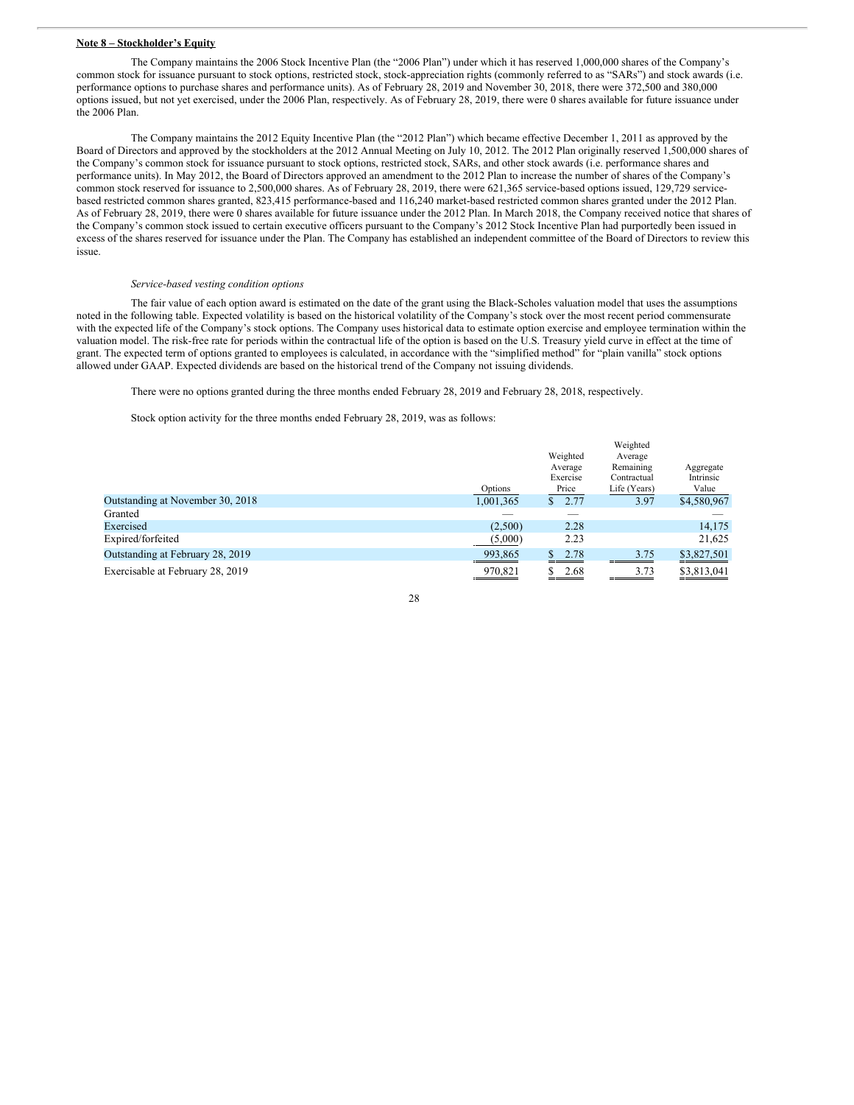#### **Note 8 – Stockholder's Equity**

The Company maintains the 2006 Stock Incentive Plan (the "2006 Plan") under which it has reserved 1,000,000 shares of the Company's common stock for issuance pursuant to stock options, restricted stock, stock-appreciation rights (commonly referred to as "SARs") and stock awards (i.e. performance options to purchase shares and performance units). As of February 28, 2019 and November 30, 2018, there were 372,500 and 380,000 options issued, but not yet exercised, under the 2006 Plan, respectively. As of February 28, 2019, there were 0 shares available for future issuance under the 2006 Plan.

The Company maintains the 2012 Equity Incentive Plan (the "2012 Plan") which became effective December 1, 2011 as approved by the Board of Directors and approved by the stockholders at the 2012 Annual Meeting on July 10, 2012. The 2012 Plan originally reserved 1,500,000 shares of the Company's common stock for issuance pursuant to stock options, restricted stock, SARs, and other stock awards (i.e. performance shares and performance units). In May 2012, the Board of Directors approved an amendment to the 2012 Plan to increase the number of shares of the Company's common stock reserved for issuance to 2,500,000 shares. As of February 28, 2019, there were 621,365 service-based options issued, 129,729 servicebased restricted common shares granted, 823,415 performance-based and 116,240 market-based restricted common shares granted under the 2012 Plan. As of February 28, 2019, there were 0 shares available for future issuance under the 2012 Plan. In March 2018, the Company received notice that shares of the Company's common stock issued to certain executive officers pursuant to the Company's 2012 Stock Incentive Plan had purportedly been issued in excess of the shares reserved for issuance under the Plan. The Company has established an independent committee of the Board of Directors to review this issue.

#### *Service-based vesting condition options*

The fair value of each option award is estimated on the date of the grant using the Black-Scholes valuation model that uses the assumptions noted in the following table. Expected volatility is based on the historical volatility of the Company's stock over the most recent period commensurate with the expected life of the Company's stock options. The Company uses historical data to estimate option exercise and employee termination within the valuation model. The risk-free rate for periods within the contractual life of the option is based on the U.S. Treasury yield curve in effect at the time of grant. The expected term of options granted to employees is calculated, in accordance with the "simplified method" for "plain vanilla" stock options allowed under GAAP. Expected dividends are based on the historical trend of the Company not issuing dividends.

There were no options granted during the three months ended February 28, 2019 and February 28, 2018, respectively.

Stock option activity for the three months ended February 28, 2019, was as follows:

|                                  | Options   | Weighted<br>Average<br>Exercise<br>Price | Weighted<br>Average<br>Remaining<br>Contractual<br>Life (Years) | Aggregate<br>Intrinsic<br>Value |
|----------------------------------|-----------|------------------------------------------|-----------------------------------------------------------------|---------------------------------|
| Outstanding at November 30, 2018 | 1,001,365 | 2.77<br>S.                               | 3.97                                                            | \$4,580,967                     |
| Granted                          |           |                                          |                                                                 |                                 |
| Exercised                        | (2.500)   | 2.28                                     |                                                                 | 14,175                          |
| Expired/forfeited                | (5,000)   | 2.23                                     |                                                                 | 21,625                          |
| Outstanding at February 28, 2019 | 993,865   | 2.78                                     | 3.75                                                            | \$3,827,501                     |
| Exercisable at February 28, 2019 | 970.821   | 2.68<br>S.                               | 3.73                                                            | \$3,813,041                     |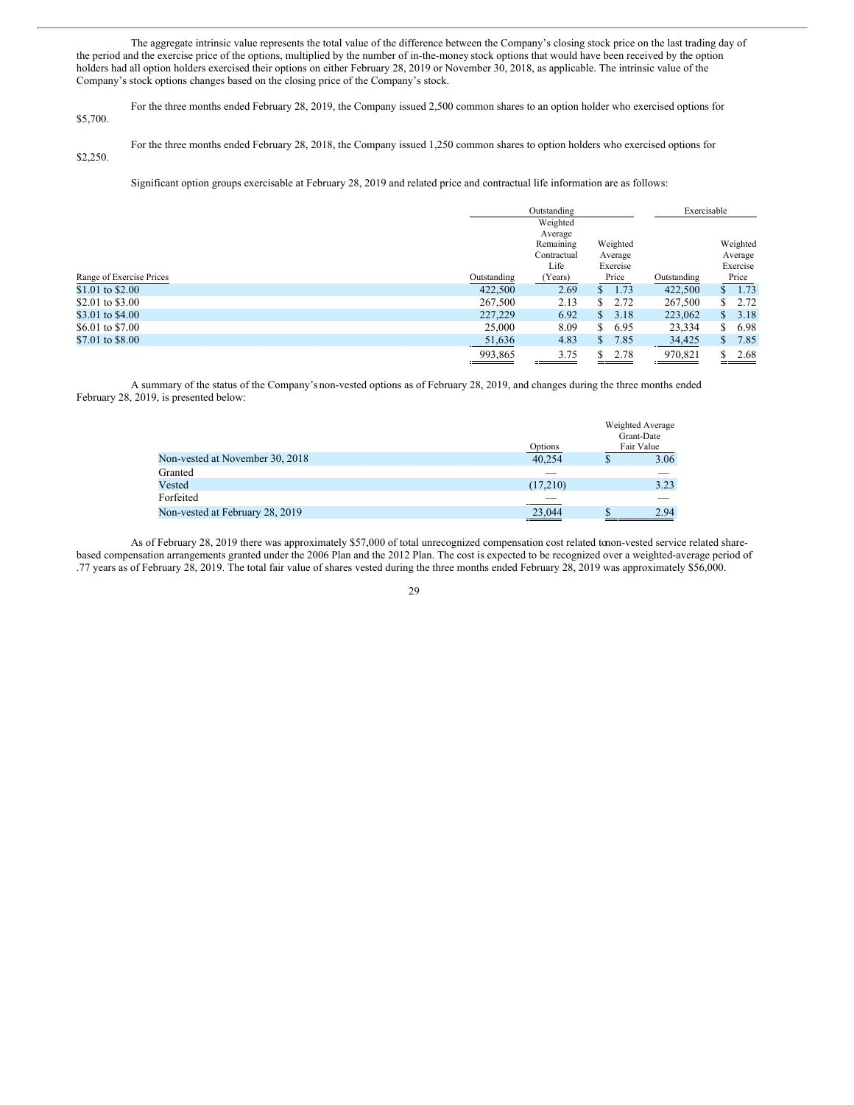The aggregate intrinsic value represents the total value of the difference between the Company's closing stock price on the last trading day of the period and the exercise price of the options, multiplied by the number of in-the-money stock options that would have been received by the option holders had all option holders exercised their options on either February 28, 2019 or November 30, 2018, as applicable. The intrinsic value of the Company's stock options changes based on the closing price of the Company's stock.

For the three months ended February 28, 2019, the Company issued 2,500 common shares to an option holder who exercised options for \$5,700.

For the three months ended February 28, 2018, the Company issued 1,250 common shares to option holders who exercised options for \$2,250.

Significant option groups exercisable at February 28, 2019 and related price and contractual life information are as follows:

|                          |             | Outstanding |                      |             | Exercisable        |
|--------------------------|-------------|-------------|----------------------|-------------|--------------------|
|                          |             | Weighted    |                      |             |                    |
|                          |             | Average     |                      |             |                    |
|                          |             | Remaining   | Weighted             |             | Weighted           |
|                          |             | Contractual | Average              |             | Average            |
|                          |             | Life        | Exercise             |             | Exercise           |
| Range of Exercise Prices | Outstanding | (Years)     | Price                | Outstanding | Price              |
| \$1.01 to \$2.00         | 422,500     | 2.69        | 1.73<br>\$           | 422,500     | \$1.73             |
| \$2.01 to \$3.00         | 267,500     | 2.13        | 2.72<br>S            | 267,500     | $\frac{1}{2}$ 2.72 |
| \$3.01 to \$4.00         | 227,229     | 6.92        | 3.18<br>S.           | 223,062     | \$3.18             |
| \$6.01 to \$7.00         | 25,000      | 8.09        | S<br>6.95            | 23,334      | 6.98<br>S.         |
| \$7.01 to \$8.00         | 51,636      | 4.83        | 7.85<br>$\mathbb{S}$ | 34,425      | \$7.85             |
|                          | 993,865     | 3.75        | 2.78<br>S            | 970,821     | 2.68               |

A summary of the status of the Company's non-vested options as of February 28, 2019, and changes during the three months ended February 28, 2019, is presented below:

|                                 | Options  |    | Weighted Average<br>Grant-Date<br>Fair Value |
|---------------------------------|----------|----|----------------------------------------------|
| Non-vested at November 30, 2018 | 40.254   |    | 3.06                                         |
|                                 |          | ۰D |                                              |
| Granted                         |          |    |                                              |
| Vested                          | (17,210) |    | 3.23                                         |
| Forfeited                       |          |    |                                              |
| Non-vested at February 28, 2019 | 23,044   | ۰D | 2.94                                         |

As of February 28, 2019 there was approximately \$57,000 of total unrecognized compensation cost related tonon-vested service related sharebased compensation arrangements granted under the 2006 Plan and the 2012 Plan. The cost is expected to be recognized over a weighted-average period of .77 years as of February 28, 2019. The total fair value of shares vested during the three months ended February 28, 2019 was approximately \$56,000.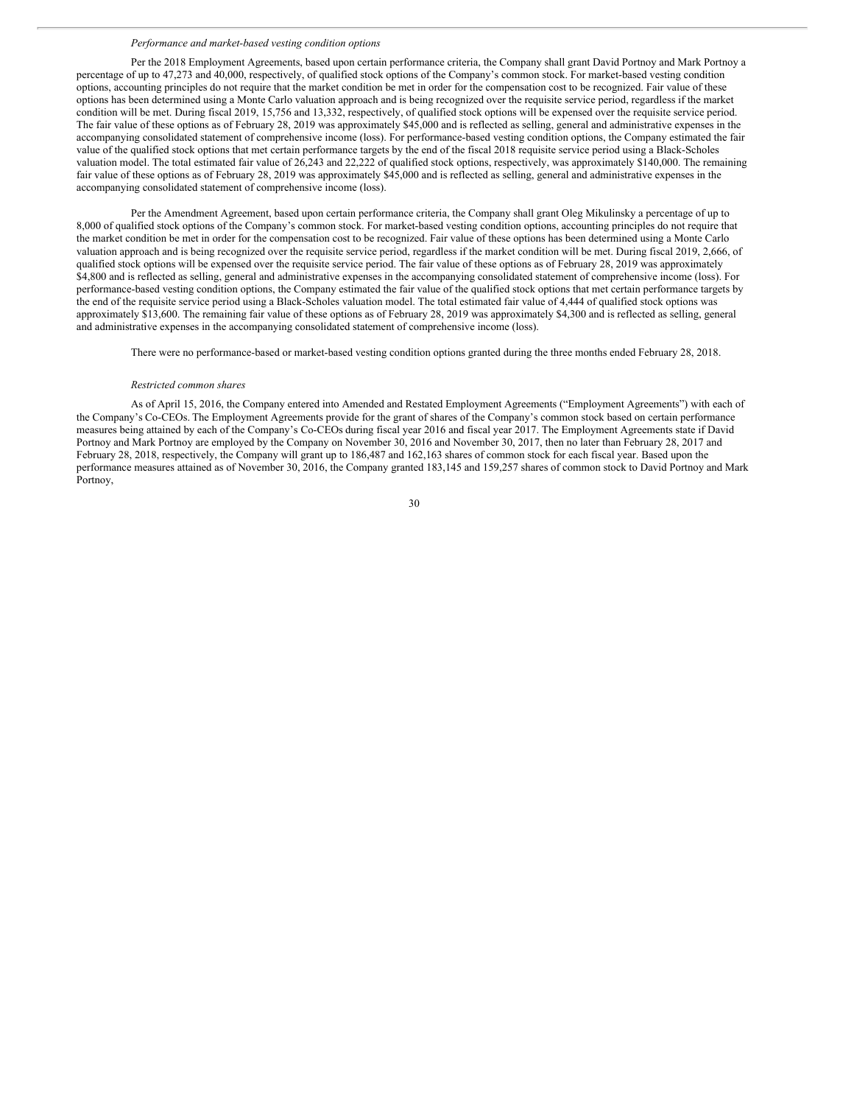#### *Performance and market-based vesting condition options*

Per the 2018 Employment Agreements, based upon certain performance criteria, the Company shall grant David Portnoy and Mark Portnoy a percentage of up to 47,273 and 40,000, respectively, of qualified stock options of the Company's common stock. For market-based vesting condition options, accounting principles do not require that the market condition be met in order for the compensation cost to be recognized. Fair value of these options has been determined using a Monte Carlo valuation approach and is being recognized over the requisite service period, regardless if the market condition will be met. During fiscal 2019, 15,756 and 13,332, respectively, of qualified stock options will be expensed over the requisite service period. The fair value of these options as of February 28, 2019 was approximately \$45,000 and is reflected as selling, general and administrative expenses in the accompanying consolidated statement of comprehensive income (loss). For performance-based vesting condition options, the Company estimated the fair value of the qualified stock options that met certain performance targets by the end of the fiscal 2018 requisite service period using a Black-Scholes valuation model. The total estimated fair value of 26,243 and 22,222 of qualified stock options, respectively, was approximately \$140,000. The remaining fair value of these options as of February 28, 2019 was approximately \$45,000 and is reflected as selling, general and administrative expenses in the accompanying consolidated statement of comprehensive income (loss).

Per the Amendment Agreement, based upon certain performance criteria, the Company shall grant Oleg Mikulinsky a percentage of up to 8,000 of qualified stock options of the Company's common stock. For market-based vesting condition options, accounting principles do not require that the market condition be met in order for the compensation cost to be recognized. Fair value of these options has been determined using a Monte Carlo valuation approach and is being recognized over the requisite service period, regardless if the market condition will be met. During fiscal 2019, 2,666, of qualified stock options will be expensed over the requisite service period. The fair value of these options as of February 28, 2019 was approximately \$4,800 and is reflected as selling, general and administrative expenses in the accompanying consolidated statement of comprehensive income (loss). For performance-based vesting condition options, the Company estimated the fair value of the qualified stock options that met certain performance targets by the end of the requisite service period using a Black-Scholes valuation model. The total estimated fair value of 4,444 of qualified stock options was approximately \$13,600. The remaining fair value of these options as of February 28, 2019 was approximately \$4,300 and is reflected as selling, general and administrative expenses in the accompanying consolidated statement of comprehensive income (loss).

There were no performance-based or market-based vesting condition options granted during the three months ended February 28, 2018.

#### *Restricted common shares*

As of April 15, 2016, the Company entered into Amended and Restated Employment Agreements ("Employment Agreements") with each of the Company's Co-CEOs. The Employment Agreements provide for the grant of shares of the Company's common stock based on certain performance measures being attained by each of the Company's Co-CEOs during fiscal year 2016 and fiscal year 2017. The Employment Agreements state if David Portnoy and Mark Portnoy are employed by the Company on November 30, 2016 and November 30, 2017, then no later than February 28, 2017 and February 28, 2018, respectively, the Company will grant up to 186,487 and 162,163 shares of common stock for each fiscal year. Based upon the performance measures attained as of November 30, 2016, the Company granted 183,145 and 159,257 shares of common stock to David Portnoy and Mark Portnoy,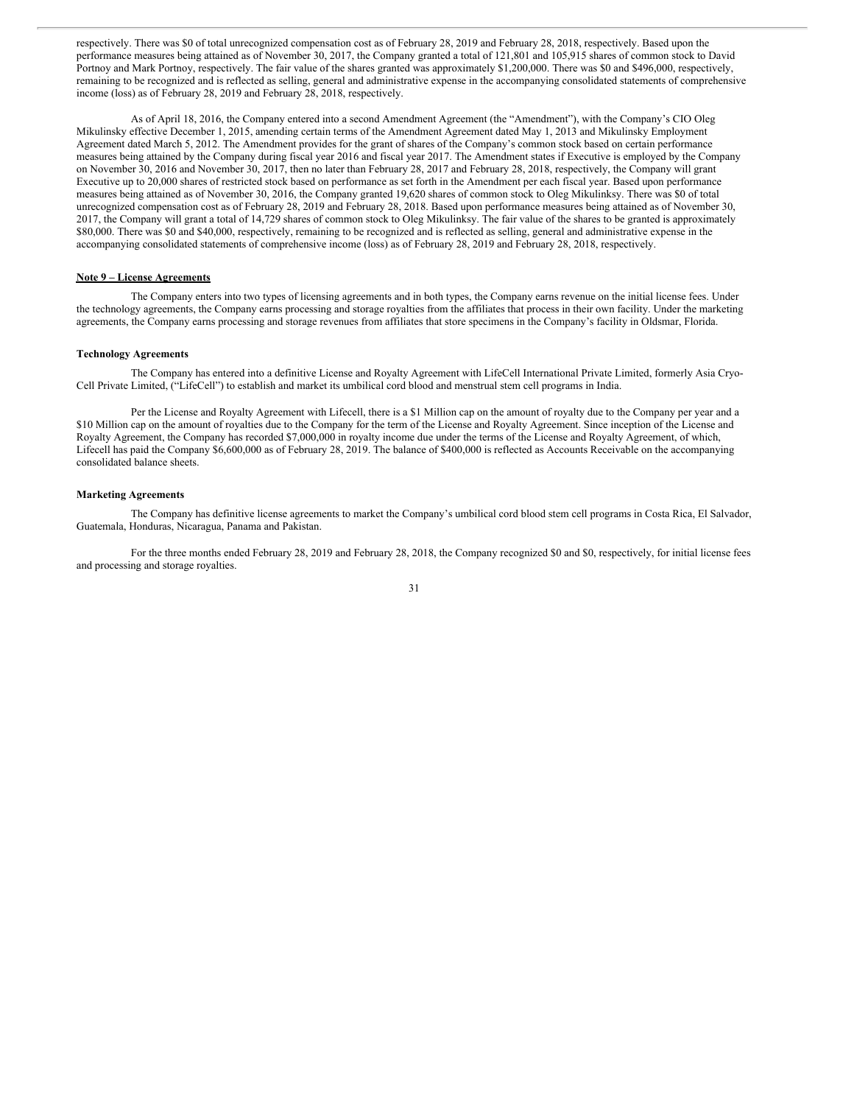respectively. There was \$0 of total unrecognized compensation cost as of February 28, 2019 and February 28, 2018, respectively. Based upon the performance measures being attained as of November 30, 2017, the Company granted a total of 121,801 and 105,915 shares of common stock to David Portnoy and Mark Portnoy, respectively. The fair value of the shares granted was approximately \$1,200,000. There was \$0 and \$496,000, respectively, remaining to be recognized and is reflected as selling, general and administrative expense in the accompanying consolidated statements of comprehensive income (loss) as of February 28, 2019 and February 28, 2018, respectively.

As of April 18, 2016, the Company entered into a second Amendment Agreement (the "Amendment"), with the Company's CIO Oleg Mikulinsky effective December 1, 2015, amending certain terms of the Amendment Agreement dated May 1, 2013 and Mikulinsky Employment Agreement dated March 5, 2012. The Amendment provides for the grant of shares of the Company's common stock based on certain performance measures being attained by the Company during fiscal year 2016 and fiscal year 2017. The Amendment states if Executive is employed by the Company on November 30, 2016 and November 30, 2017, then no later than February 28, 2017 and February 28, 2018, respectively, the Company will grant Executive up to 20,000 shares of restricted stock based on performance as set forth in the Amendment per each fiscal year. Based upon performance measures being attained as of November 30, 2016, the Company granted 19,620 shares of common stock to Oleg Mikulinksy. There was \$0 of total unrecognized compensation cost as of February 28, 2019 and February 28, 2018. Based upon performance measures being attained as of November 30, 2017, the Company will grant a total of 14,729 shares of common stock to Oleg Mikulinksy. The fair value of the shares to be granted is approximately \$80,000. There was \$0 and \$40,000, respectively, remaining to be recognized and is reflected as selling, general and administrative expense in the accompanying consolidated statements of comprehensive income (loss) as of February 28, 2019 and February 28, 2018, respectively.

# **Note 9 – License Agreements**

The Company enters into two types of licensing agreements and in both types, the Company earns revenue on the initial license fees. Under the technology agreements, the Company earns processing and storage royalties from the affiliates that process in their own facility. Under the marketing agreements, the Company earns processing and storage revenues from affiliates that store specimens in the Company's facility in Oldsmar, Florida.

#### **Technology Agreements**

The Company has entered into a definitive License and Royalty Agreement with LifeCell International Private Limited, formerly Asia Cryo-Cell Private Limited, ("LifeCell") to establish and market its umbilical cord blood and menstrual stem cell programs in India.

Per the License and Royalty Agreement with Lifecell, there is a \$1 Million cap on the amount of royalty due to the Company per year and a \$10 Million cap on the amount of royalties due to the Company for the term of the License and Royalty Agreement. Since inception of the License and Royalty Agreement, the Company has recorded \$7,000,000 in royalty income due under the terms of the License and Royalty Agreement, of which, Lifecell has paid the Company \$6,600,000 as of February 28, 2019. The balance of \$400,000 is reflected as Accounts Receivable on the accompanying consolidated balance sheets.

#### **Marketing Agreements**

The Company has definitive license agreements to market the Company's umbilical cord blood stem cell programs in Costa Rica, El Salvador, Guatemala, Honduras, Nicaragua, Panama and Pakistan.

For the three months ended February 28, 2019 and February 28, 2018, the Company recognized \$0 and \$0, respectively, for initial license fees and processing and storage royalties.

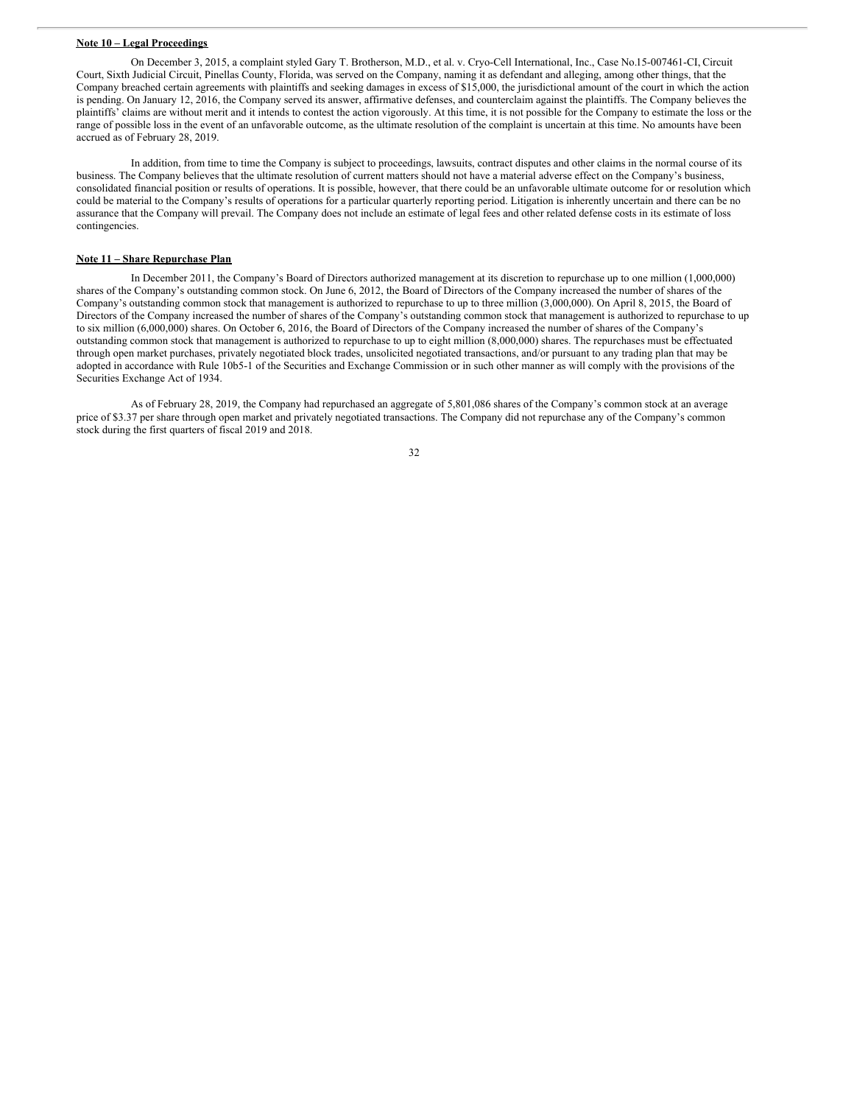#### **Note 10 – Legal Proceedings**

On December 3, 2015, a complaint styled Gary T. Brotherson, M.D., et al. v. Cryo-Cell International, Inc., Case No.15-007461-CI, Circuit Court, Sixth Judicial Circuit, Pinellas County, Florida, was served on the Company, naming it as defendant and alleging, among other things, that the Company breached certain agreements with plaintiffs and seeking damages in excess of \$15,000, the jurisdictional amount of the court in which the action is pending. On January 12, 2016, the Company served its answer, affirmative defenses, and counterclaim against the plaintiffs. The Company believes the plaintiffs' claims are without merit and it intends to contest the action vigorously. At this time, it is not possible for the Company to estimate the loss or the range of possible loss in the event of an unfavorable outcome, as the ultimate resolution of the complaint is uncertain at this time. No amounts have been accrued as of February 28, 2019.

In addition, from time to time the Company is subject to proceedings, lawsuits, contract disputes and other claims in the normal course of its business. The Company believes that the ultimate resolution of current matters should not have a material adverse effect on the Company's business, consolidated financial position or results of operations. It is possible, however, that there could be an unfavorable ultimate outcome for or resolution which could be material to the Company's results of operations for a particular quarterly reporting period. Litigation is inherently uncertain and there can be no assurance that the Company will prevail. The Company does not include an estimate of legal fees and other related defense costs in its estimate of loss contingencies.

#### **Note 11 – Share Repurchase Plan**

In December 2011, the Company's Board of Directors authorized management at its discretion to repurchase up to one million (1,000,000) shares of the Company's outstanding common stock. On June 6, 2012, the Board of Directors of the Company increased the number of shares of the Company's outstanding common stock that management is authorized to repurchase to up to three million (3,000,000). On April 8, 2015, the Board of Directors of the Company increased the number of shares of the Company's outstanding common stock that management is authorized to repurchase to up to six million (6,000,000) shares. On October 6, 2016, the Board of Directors of the Company increased the number of shares of the Company's outstanding common stock that management is authorized to repurchase to up to eight million (8,000,000) shares. The repurchases must be effectuated through open market purchases, privately negotiated block trades, unsolicited negotiated transactions, and/or pursuant to any trading plan that may be adopted in accordance with Rule 10b5-1 of the Securities and Exchange Commission or in such other manner as will comply with the provisions of the Securities Exchange Act of 1934.

As of February 28, 2019, the Company had repurchased an aggregate of 5,801,086 shares of the Company's common stock at an average price of \$3.37 per share through open market and privately negotiated transactions. The Company did not repurchase any of the Company's common stock during the first quarters of fiscal 2019 and 2018.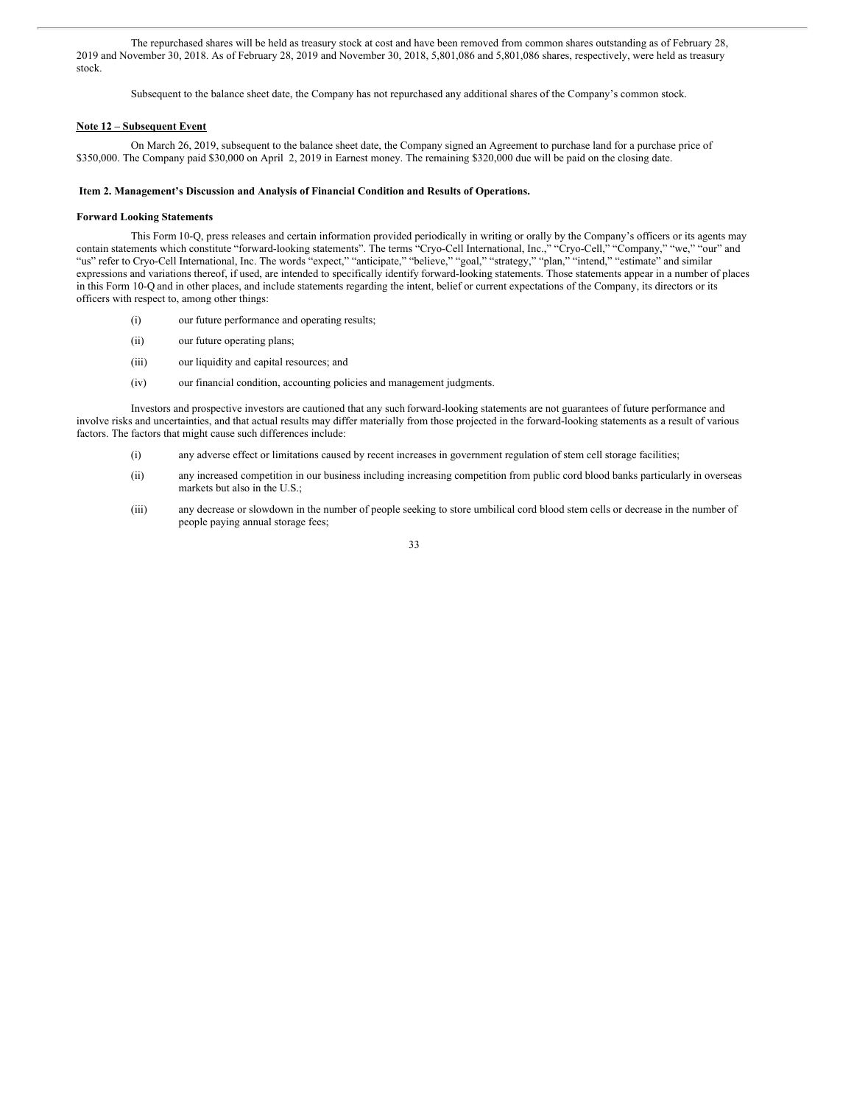The repurchased shares will be held as treasury stock at cost and have been removed from common shares outstanding as of February 28, 2019 and November 30, 2018. As of February 28, 2019 and November 30, 2018, 5,801,086 and 5,801,086 shares, respectively, were held as treasury stock.

Subsequent to the balance sheet date, the Company has not repurchased any additional shares of the Company's common stock.

#### **Note 12 – Subsequent Event**

On March 26, 2019, subsequent to the balance sheet date, the Company signed an Agreement to purchase land for a purchase price of \$350,000. The Company paid \$30,000 on April 2, 2019 in Earnest money. The remaining \$320,000 due will be paid on the closing date.

#### <span id="page-32-0"></span>**Item 2. Management's Discussion and Analysis of Financial Condition and Results of Operations.**

#### **Forward Looking Statements**

This Form 10-Q, press releases and certain information provided periodically in writing or orally by the Company's officers or its agents may contain statements which constitute "forward-looking statements". The terms "Cryo-Cell International, Inc.," "Cryo-Cell," "Company," "we," "our" and "us" refer to Cryo-Cell International, Inc. The words "expect," "anticipate," "believe," "goal," "strategy," "plan," "intend," "estimate" and similar expressions and variations thereof, if used, are intended to specifically identify forward-looking statements. Those statements appear in a number of places in this Form 10-Q and in other places, and include statements regarding the intent, belief or current expectations of the Company, its directors or its officers with respect to, among other things:

- (i) our future performance and operating results;
- (ii) our future operating plans;
- (iii) our liquidity and capital resources; and
- (iv) our financial condition, accounting policies and management judgments.

Investors and prospective investors are cautioned that any such forward-looking statements are not guarantees of future performance and involve risks and uncertainties, and that actual results may differ materially from those projected in the forward-looking statements as a result of various factors. The factors that might cause such differences include:

- (i) any adverse effect or limitations caused by recent increases in government regulation of stem cell storage facilities;
- (ii) any increased competition in our business including increasing competition from public cord blood banks particularly in overseas markets but also in the U.S.;
- (iii) any decrease or slowdown in the number of people seeking to store umbilical cord blood stem cells or decrease in the number of people paying annual storage fees;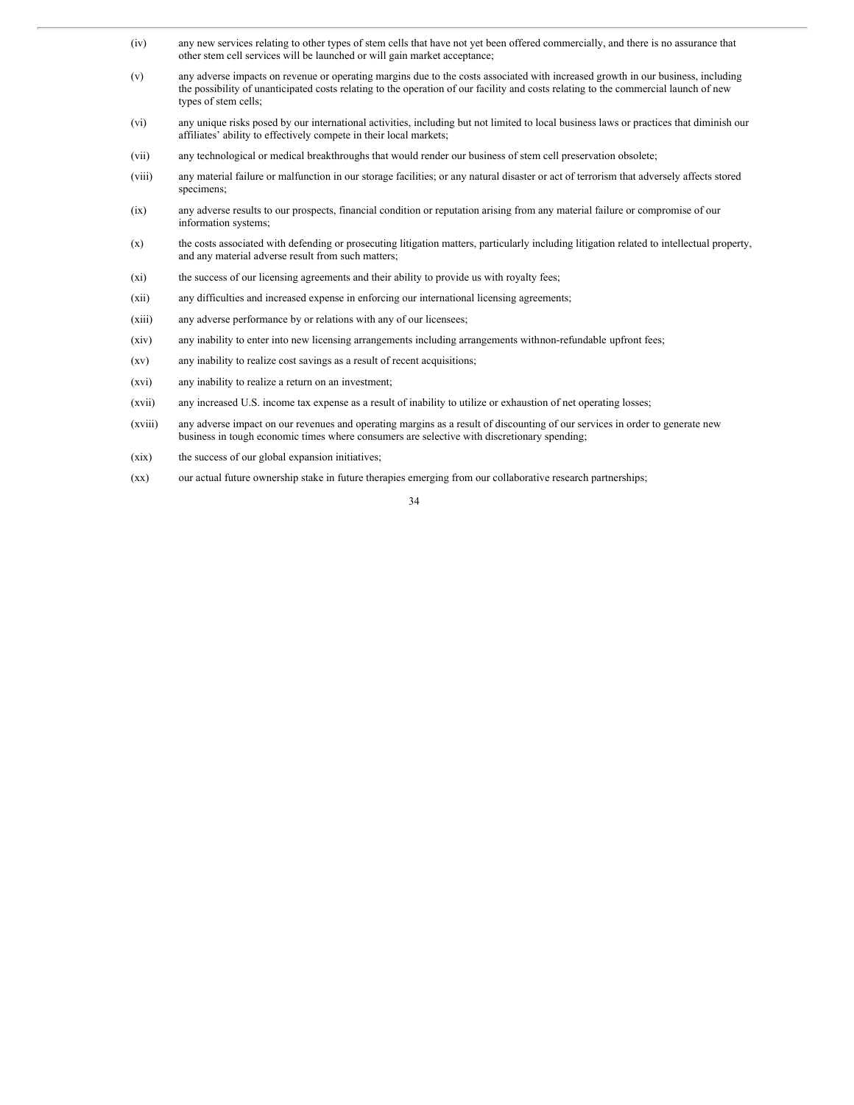- (iv) any new services relating to other types of stem cells that have not yet been offered commercially, and there is no assurance that other stem cell services will be launched or will gain market acceptance;
- (v) any adverse impacts on revenue or operating margins due to the costs associated with increased growth in our business, including the possibility of unanticipated costs relating to the operation of our facility and costs relating to the commercial launch of new types of stem cells;
- (vi) any unique risks posed by our international activities, including but not limited to local business laws or practices that diminish our affiliates' ability to effectively compete in their local markets;
- (vii) any technological or medical breakthroughs that would render our business of stem cell preservation obsolete;
- (viii) any material failure or malfunction in our storage facilities; or any natural disaster or act of terrorism that adversely affects stored specimens:
- (ix) any adverse results to our prospects, financial condition or reputation arising from any material failure or compromise of our information systems;
- (x) the costs associated with defending or prosecuting litigation matters, particularly including litigation related to intellectual property, and any material adverse result from such matters;
- (xi) the success of our licensing agreements and their ability to provide us with royalty fees;
- (xii) any difficulties and increased expense in enforcing our international licensing agreements;
- (xiii) any adverse performance by or relations with any of our licensees;
- (xiv) any inability to enter into new licensing arrangements including arrangements withnon-refundable upfront fees;
- (xv) any inability to realize cost savings as a result of recent acquisitions;
- (xvi) any inability to realize a return on an investment;
- (xvii) any increased U.S. income tax expense as a result of inability to utilize or exhaustion of net operating losses;
- (xviii) any adverse impact on our revenues and operating margins as a result of discounting of our services in order to generate new business in tough economic times where consumers are selective with discretionary spending;
- (xix) the success of our global expansion initiatives;
- (xx) our actual future ownership stake in future therapies emerging from our collaborative research partnerships;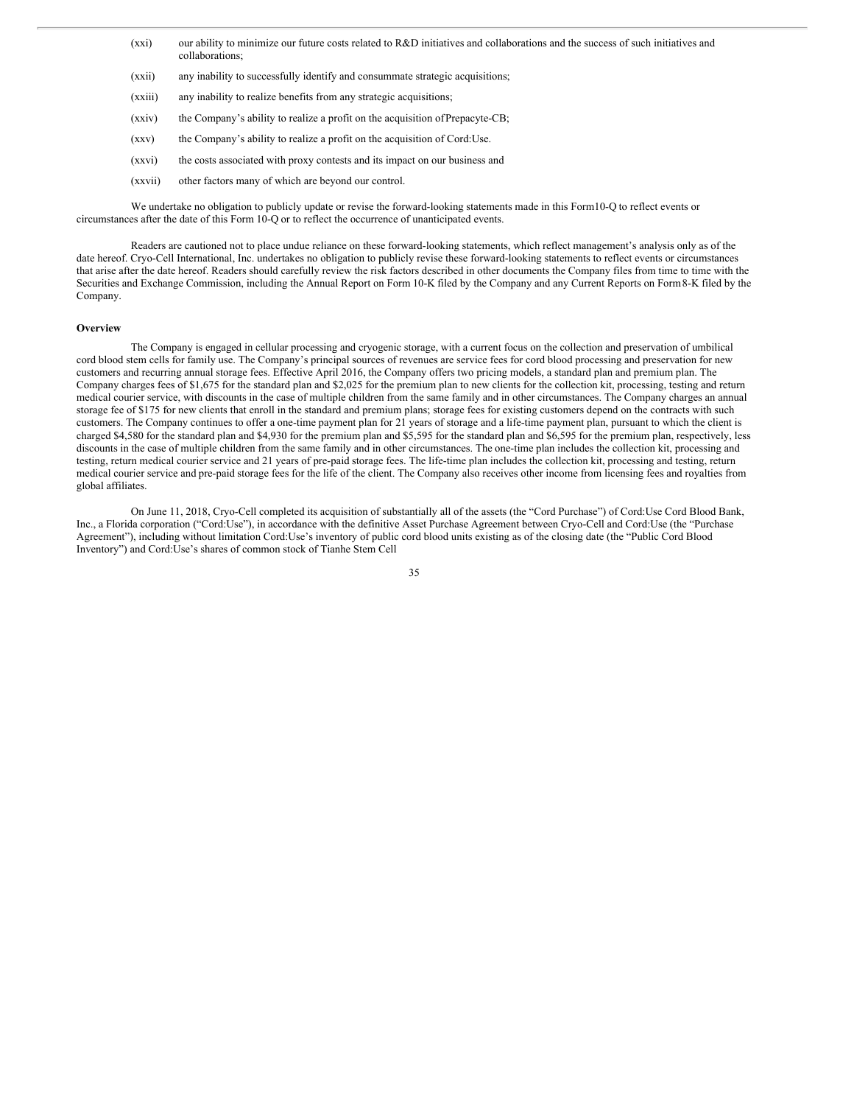- (xxi) our ability to minimize our future costs related to R&D initiatives and collaborations and the success of such initiatives and collaborations;
- (xxii) any inability to successfully identify and consummate strategic acquisitions;
- (xxiii) any inability to realize benefits from any strategic acquisitions;
- (xxiv) the Company's ability to realize a profit on the acquisition ofPrepacyte-CB;
- (xxv) the Company's ability to realize a profit on the acquisition of Cord:Use.
- (xxvi) the costs associated with proxy contests and its impact on our business and
- (xxvii) other factors many of which are beyond our control.

We undertake no obligation to publicly update or revise the forward-looking statements made in this Form10-Q to reflect events or circumstances after the date of this Form 10-Q or to reflect the occurrence of unanticipated events.

Readers are cautioned not to place undue reliance on these forward-looking statements, which reflect management's analysis only as of the date hereof. Cryo-Cell International, Inc. undertakes no obligation to publicly revise these forward-looking statements to reflect events or circumstances that arise after the date hereof. Readers should carefully review the risk factors described in other documents the Company files from time to time with the Securities and Exchange Commission, including the Annual Report on Form 10-K filed by the Company and any Current Reports on Form8-K filed by the Company.

#### **Overview**

The Company is engaged in cellular processing and cryogenic storage, with a current focus on the collection and preservation of umbilical cord blood stem cells for family use. The Company's principal sources of revenues are service fees for cord blood processing and preservation for new customers and recurring annual storage fees. Effective April 2016, the Company offers two pricing models, a standard plan and premium plan. The Company charges fees of \$1,675 for the standard plan and \$2,025 for the premium plan to new clients for the collection kit, processing, testing and return medical courier service, with discounts in the case of multiple children from the same family and in other circumstances. The Company charges an annual storage fee of \$175 for new clients that enroll in the standard and premium plans; storage fees for existing customers depend on the contracts with such customers. The Company continues to offer a one-time payment plan for 21 years of storage and a life-time payment plan, pursuant to which the client is charged \$4,580 for the standard plan and \$4,930 for the premium plan and \$5,595 for the standard plan and \$6,595 for the premium plan, respectively, less discounts in the case of multiple children from the same family and in other circumstances. The one-time plan includes the collection kit, processing and testing, return medical courier service and 21 years of pre-paid storage fees. The life-time plan includes the collection kit, processing and testing, return medical courier service and pre-paid storage fees for the life of the client. The Company also receives other income from licensing fees and royalties from global affiliates.

On June 11, 2018, Cryo-Cell completed its acquisition of substantially all of the assets (the "Cord Purchase") of Cord:Use Cord Blood Bank, Inc., a Florida corporation ("Cord:Use"), in accordance with the definitive Asset Purchase Agreement between Cryo-Cell and Cord:Use (the "Purchase Agreement"), including without limitation Cord:Use's inventory of public cord blood units existing as of the closing date (the "Public Cord Blood Inventory") and Cord:Use's shares of common stock of Tianhe Stem Cell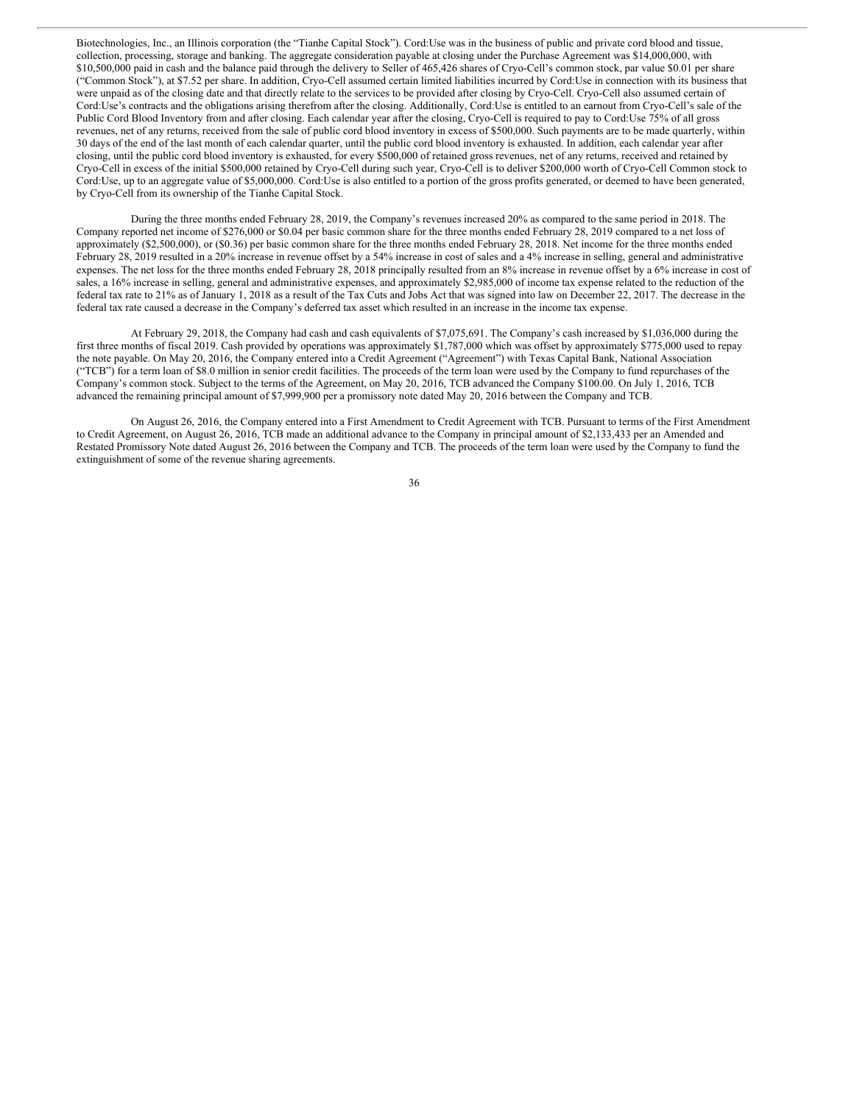Biotechnologies, Inc., an Illinois corporation (the "Tianhe Capital Stock"). Cord:Use was in the business of public and private cord blood and tissue, collection, processing, storage and banking. The aggregate consideration payable at closing under the Purchase Agreement was \$14,000,000, with \$10,500,000 paid in cash and the balance paid through the delivery to Seller of 465,426 shares of Cryo-Cell's common stock, par value \$0.01 per share ("Common Stock"), at \$7.52 per share. In addition, Cryo-Cell assumed certain limited liabilities incurred by Cord:Use in connection with its business that were unpaid as of the closing date and that directly relate to the services to be provided after closing by Cryo-Cell. Cryo-Cell also assumed certain of Cord:Use's contracts and the obligations arising therefrom after the closing. Additionally, Cord:Use is entitled to an earnout from Cryo-Cell's sale of the Public Cord Blood Inventory from and after closing. Each calendar year after the closing, Cryo-Cell is required to pay to Cord:Use 75% of all gross revenues, net of any returns, received from the sale of public cord blood inventory in excess of \$500,000. Such payments are to be made quarterly, within 30 days of the end of the last month of each calendar quarter, until the public cord blood inventory is exhausted. In addition, each calendar year after closing, until the public cord blood inventory is exhausted, for every \$500,000 of retained gross revenues, net of any returns, received and retained by Cryo-Cell in excess of the initial \$500,000 retained by Cryo-Cell during such year, Cryo-Cell is to deliver \$200,000 worth of Cryo-Cell Common stock to Cord:Use, up to an aggregate value of \$5,000,000. Cord:Use is also entitled to a portion of the gross profits generated, or deemed to have been generated, by Cryo-Cell from its ownership of the Tianhe Capital Stock.

During the three months ended February 28, 2019, the Company's revenues increased 20% as compared to the same period in 2018. The Company reported net income of \$276,000 or \$0.04 per basic common share for the three months ended February 28, 2019 compared to a net loss of approximately (\$2,500,000), or (\$0.36) per basic common share for the three months ended February 28, 2018. Net income for the three months ended February 28, 2019 resulted in a 20% increase in revenue offset by a 54% increase in cost of sales and a 4% increase in selling, general and administrative expenses. The net loss for the three months ended February 28, 2018 principally resulted from an 8% increase in revenue offset by a 6% increase in cost of sales, a 16% increase in selling, general and administrative expenses, and approximately \$2,985,000 of income tax expense related to the reduction of the federal tax rate to 21% as of January 1, 2018 as a result of the Tax Cuts and Jobs Act that was signed into law on December 22, 2017. The decrease in the federal tax rate caused a decrease in the Company's deferred tax asset which resulted in an increase in the income tax expense.

At February 29, 2018, the Company had cash and cash equivalents of \$7,075,691. The Company's cash increased by \$1,036,000 during the first three months of fiscal 2019. Cash provided by operations was approximately \$1,787,000 which was offset by approximately \$775,000 used to repay the note payable. On May 20, 2016, the Company entered into a Credit Agreement ("Agreement") with Texas Capital Bank, National Association ("TCB") for a term loan of \$8.0 million in senior credit facilities. The proceeds of the term loan were used by the Company to fund repurchases of the Company's common stock. Subject to the terms of the Agreement, on May 20, 2016, TCB advanced the Company \$100.00. On July 1, 2016, TCB advanced the remaining principal amount of \$7,999,900 per a promissory note dated May 20, 2016 between the Company and TCB.

On August 26, 2016, the Company entered into a First Amendment to Credit Agreement with TCB. Pursuant to terms of the First Amendment to Credit Agreement, on August 26, 2016, TCB made an additional advance to the Company in principal amount of \$2,133,433 per an Amended and Restated Promissory Note dated August 26, 2016 between the Company and TCB. The proceeds of the term loan were used by the Company to fund the extinguishment of some of the revenue sharing agreements.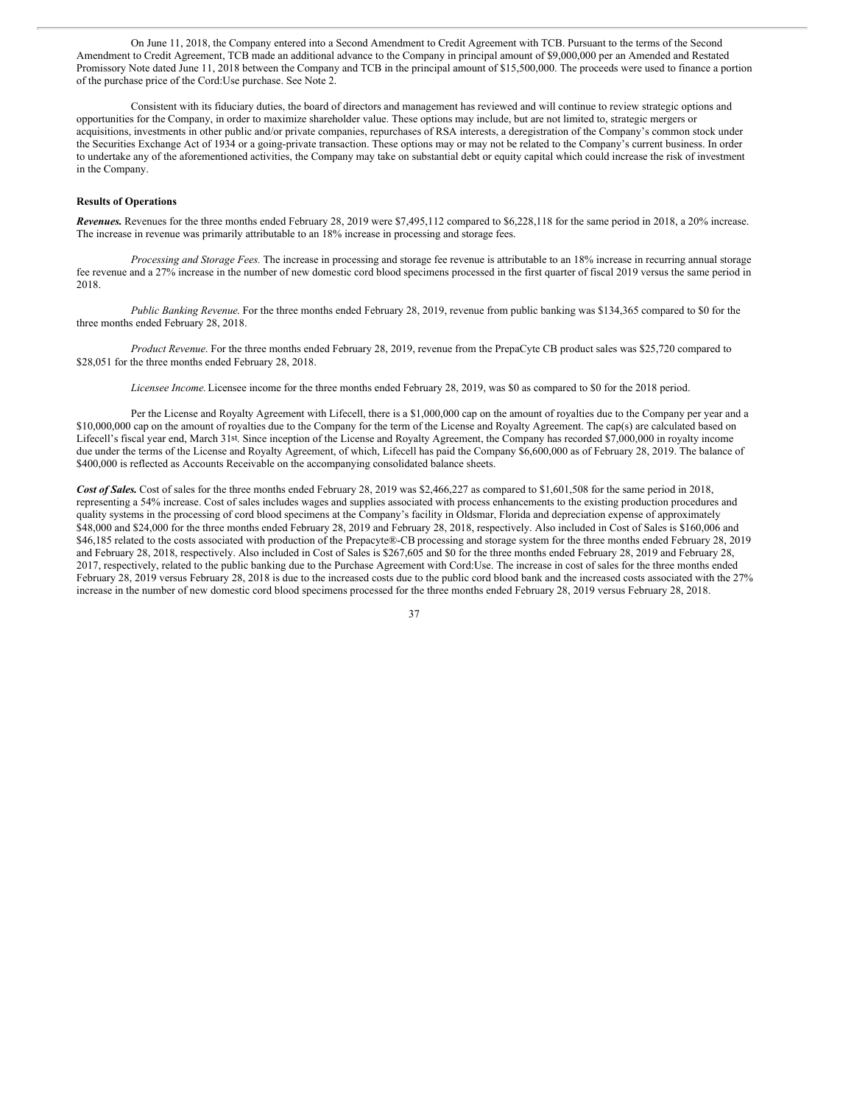On June 11, 2018, the Company entered into a Second Amendment to Credit Agreement with TCB. Pursuant to the terms of the Second Amendment to Credit Agreement, TCB made an additional advance to the Company in principal amount of \$9,000,000 per an Amended and Restated Promissory Note dated June 11, 2018 between the Company and TCB in the principal amount of \$15,500,000. The proceeds were used to finance a portion of the purchase price of the Cord:Use purchase. See Note 2.

Consistent with its fiduciary duties, the board of directors and management has reviewed and will continue to review strategic options and opportunities for the Company, in order to maximize shareholder value. These options may include, but are not limited to, strategic mergers or acquisitions, investments in other public and/or private companies, repurchases of RSA interests, a deregistration of the Company's common stock under the Securities Exchange Act of 1934 or a going-private transaction. These options may or may not be related to the Company's current business. In order to undertake any of the aforementioned activities, the Company may take on substantial debt or equity capital which could increase the risk of investment in the Company.

#### **Results of Operations**

*Revenues.* Revenues for the three months ended February 28, 2019 were \$7,495,112 compared to \$6,228,118 for the same period in 2018, a 20% increase. The increase in revenue was primarily attributable to an 18% increase in processing and storage fees.

*Processing and Storage Fees.* The increase in processing and storage fee revenue is attributable to an 18% increase in recurring annual storage fee revenue and a 27% increase in the number of new domestic cord blood specimens processed in the first quarter of fiscal 2019 versus the same period in 2018.

*Public Banking Revenue*. For the three months ended February 28, 2019, revenue from public banking was \$134,365 compared to \$0 for the three months ended February 28, 2018.

*Product Revenue*. For the three months ended February 28, 2019, revenue from the PrepaCyte CB product sales was \$25,720 compared to \$28,051 for the three months ended February 28, 2018.

*Licensee Income.*Licensee income for the three months ended February 28, 2019, was \$0 as compared to \$0 for the 2018 period.

Per the License and Royalty Agreement with Lifecell, there is a \$1,000,000 cap on the amount of royalties due to the Company per year and a \$10,000,000 cap on the amount of royalties due to the Company for the term of the License and Royalty Agreement. The cap(s) are calculated based on Lifecell's fiscal year end, March 31st. Since inception of the License and Royalty Agreement, the Company has recorded \$7,000,000 in royalty income due under the terms of the License and Royalty Agreement, of which, Lifecell has paid the Company \$6,600,000 as of February 28, 2019. The balance of \$400,000 is reflected as Accounts Receivable on the accompanying consolidated balance sheets.

*Cost of Sales.* Cost of sales for the three months ended February 28, 2019 was \$2,466,227 as compared to \$1,601,508 for the same period in 2018, representing a 54% increase. Cost of sales includes wages and supplies associated with process enhancements to the existing production procedures and quality systems in the processing of cord blood specimens at the Company's facility in Oldsmar, Florida and depreciation expense of approximately \$48,000 and \$24,000 for the three months ended February 28, 2019 and February 28, 2018, respectively. Also included in Cost of Sales is \$160,006 and \$46,185 related to the costs associated with production of the Prepacyte®-CB processing and storage system for the three months ended February 28, 2019 and February 28, 2018, respectively. Also included in Cost of Sales is \$267,605 and \$0 for the three months ended February 28, 2019 and February 28, 2017, respectively, related to the public banking due to the Purchase Agreement with Cord:Use. The increase in cost of sales for the three months ended February 28, 2019 versus February 28, 2018 is due to the increased costs due to the public cord blood bank and the increased costs associated with the 27% increase in the number of new domestic cord blood specimens processed for the three months ended February 28, 2019 versus February 28, 2018.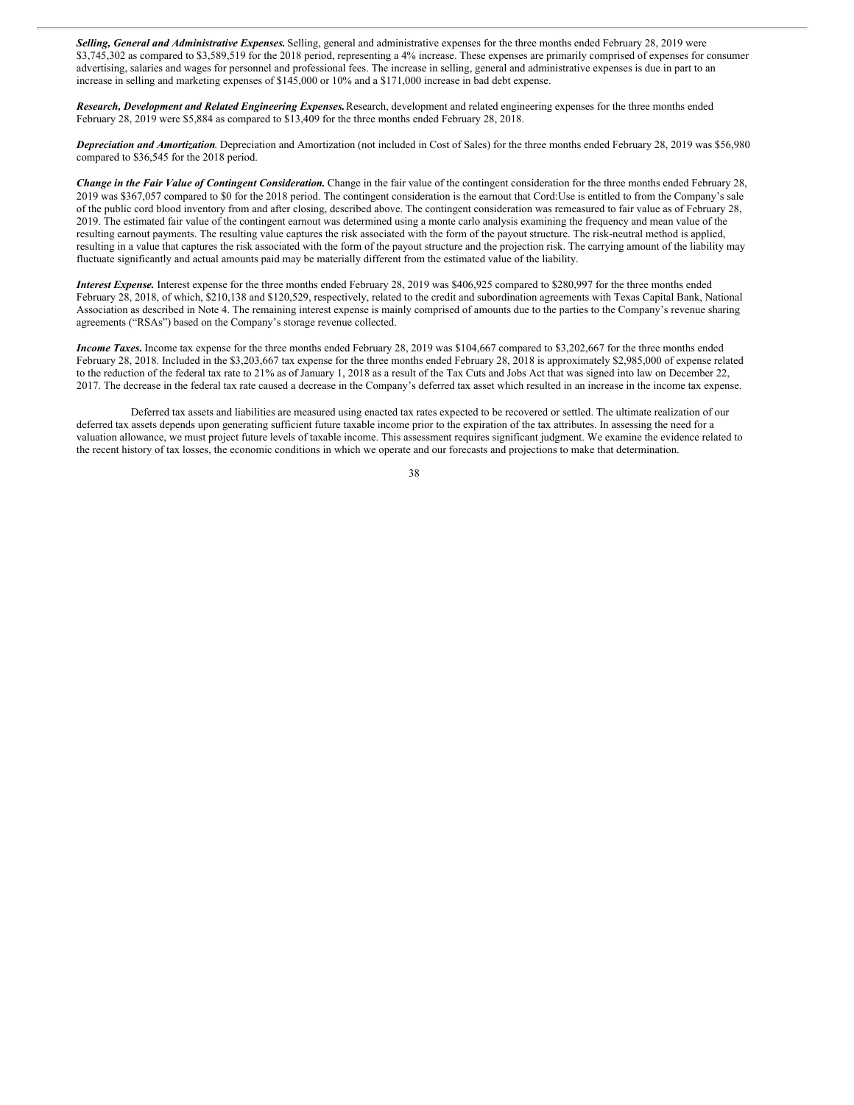*Selling, General and Administrative Expenses.* Selling, general and administrative expenses for the three months ended February 28, 2019 were \$3,745,302 as compared to \$3,589,519 for the 2018 period, representing a 4% increase. These expenses are primarily comprised of expenses for consumer advertising, salaries and wages for personnel and professional fees. The increase in selling, general and administrative expenses is due in part to an increase in selling and marketing expenses of \$145,000 or 10% and a \$171,000 increase in bad debt expense.

*Research, Development and Related Engineering Expenses.*Research, development and related engineering expenses for the three months ended February 28, 2019 were \$5,884 as compared to \$13,409 for the three months ended February 28, 2018.

*Depreciation and Amortization*. Depreciation and Amortization (not included in Cost of Sales) for the three months ended February 28, 2019 was \$56,980 compared to \$36,545 for the 2018 period.

*Change in the Fair Value of Contingent Consideration.* Change in the fair value of the contingent consideration for the three months ended February 28, 2019 was \$367,057 compared to \$0 for the 2018 period. The contingent consideration is the earnout that Cord:Use is entitled to from the Company's sale of the public cord blood inventory from and after closing, described above. The contingent consideration was remeasured to fair value as of February 28, 2019. The estimated fair value of the contingent earnout was determined using a monte carlo analysis examining the frequency and mean value of the resulting earnout payments. The resulting value captures the risk associated with the form of the payout structure. The risk-neutral method is applied, resulting in a value that captures the risk associated with the form of the payout structure and the projection risk. The carrying amount of the liability may fluctuate significantly and actual amounts paid may be materially different from the estimated value of the liability.

*Interest Expense.* Interest expense for the three months ended February 28, 2019 was \$406,925 compared to \$280,997 for the three months ended February 28, 2018, of which, \$210,138 and \$120,529, respectively, related to the credit and subordination agreements with Texas Capital Bank, National Association as described in Note 4. The remaining interest expense is mainly comprised of amounts due to the parties to the Company's revenue sharing agreements ("RSAs") based on the Company's storage revenue collected.

*Income Taxes***.** Income tax expense for the three months ended February 28, 2019 was \$104,667 compared to \$3,202,667 for the three months ended February 28, 2018. Included in the \$3,203,667 tax expense for the three months ended February 28, 2018 is approximately \$2,985,000 of expense related to the reduction of the federal tax rate to 21% as of January 1, 2018 as a result of the Tax Cuts and Jobs Act that was signed into law on December 22, 2017. The decrease in the federal tax rate caused a decrease in the Company's deferred tax asset which resulted in an increase in the income tax expense.

Deferred tax assets and liabilities are measured using enacted tax rates expected to be recovered or settled. The ultimate realization of our deferred tax assets depends upon generating sufficient future taxable income prior to the expiration of the tax attributes. In assessing the need for a valuation allowance, we must project future levels of taxable income. This assessment requires significant judgment. We examine the evidence related to the recent history of tax losses, the economic conditions in which we operate and our forecasts and projections to make that determination.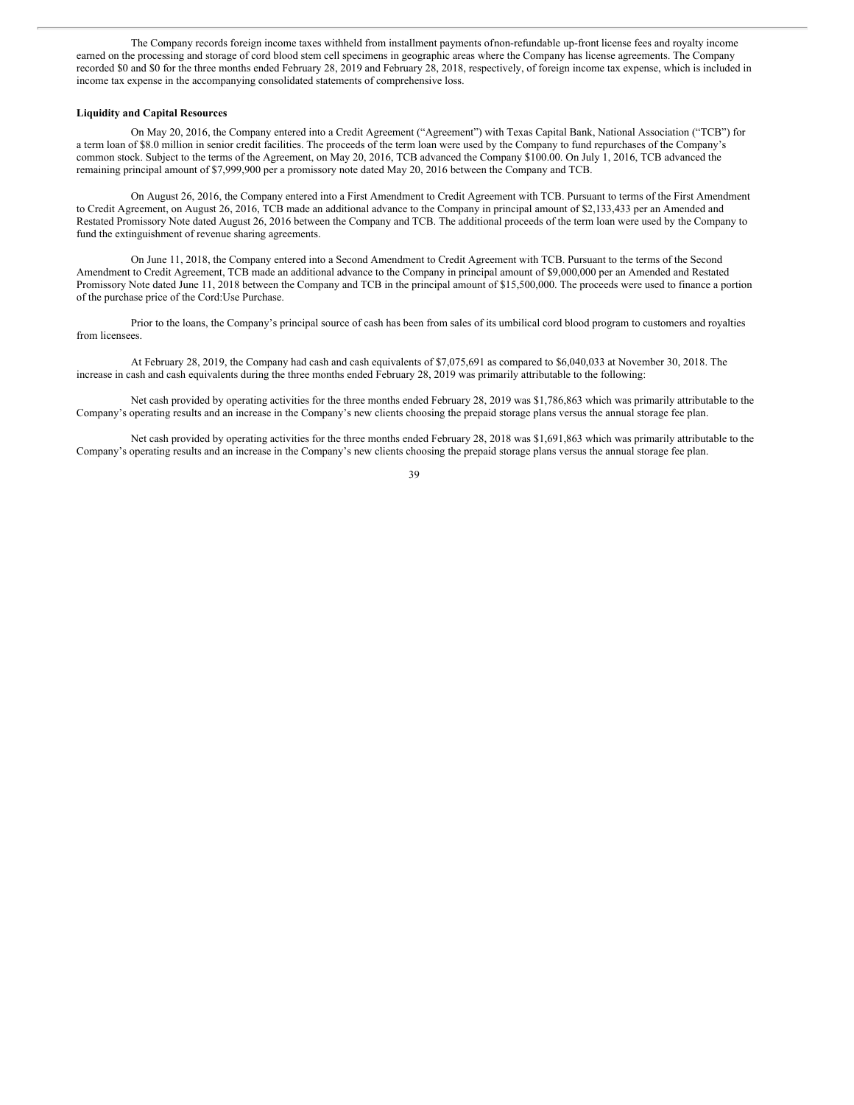The Company records foreign income taxes withheld from installment payments ofnon-refundable up-front license fees and royalty income earned on the processing and storage of cord blood stem cell specimens in geographic areas where the Company has license agreements. The Company recorded \$0 and \$0 for the three months ended February 28, 2019 and February 28, 2018, respectively, of foreign income tax expense, which is included in income tax expense in the accompanying consolidated statements of comprehensive loss.

#### **Liquidity and Capital Resources**

On May 20, 2016, the Company entered into a Credit Agreement ("Agreement") with Texas Capital Bank, National Association ("TCB") for a term loan of \$8.0 million in senior credit facilities. The proceeds of the term loan were used by the Company to fund repurchases of the Company's common stock. Subject to the terms of the Agreement, on May 20, 2016, TCB advanced the Company \$100.00. On July 1, 2016, TCB advanced the remaining principal amount of \$7,999,900 per a promissory note dated May 20, 2016 between the Company and TCB.

On August 26, 2016, the Company entered into a First Amendment to Credit Agreement with TCB. Pursuant to terms of the First Amendment to Credit Agreement, on August 26, 2016, TCB made an additional advance to the Company in principal amount of \$2,133,433 per an Amended and Restated Promissory Note dated August 26, 2016 between the Company and TCB. The additional proceeds of the term loan were used by the Company to fund the extinguishment of revenue sharing agreements.

On June 11, 2018, the Company entered into a Second Amendment to Credit Agreement with TCB. Pursuant to the terms of the Second Amendment to Credit Agreement, TCB made an additional advance to the Company in principal amount of \$9,000,000 per an Amended and Restated Promissory Note dated June 11, 2018 between the Company and TCB in the principal amount of \$15,500,000. The proceeds were used to finance a portion of the purchase price of the Cord:Use Purchase.

Prior to the loans, the Company's principal source of cash has been from sales of its umbilical cord blood program to customers and royalties from licensees.

At February 28, 2019, the Company had cash and cash equivalents of \$7,075,691 as compared to \$6,040,033 at November 30, 2018. The increase in cash and cash equivalents during the three months ended February 28, 2019 was primarily attributable to the following:

Net cash provided by operating activities for the three months ended February 28, 2019 was \$1,786,863 which was primarily attributable to the Company's operating results and an increase in the Company's new clients choosing the prepaid storage plans versus the annual storage fee plan.

Net cash provided by operating activities for the three months ended February 28, 2018 was \$1,691,863 which was primarily attributable to the Company's operating results and an increase in the Company's new clients choosing the prepaid storage plans versus the annual storage fee plan.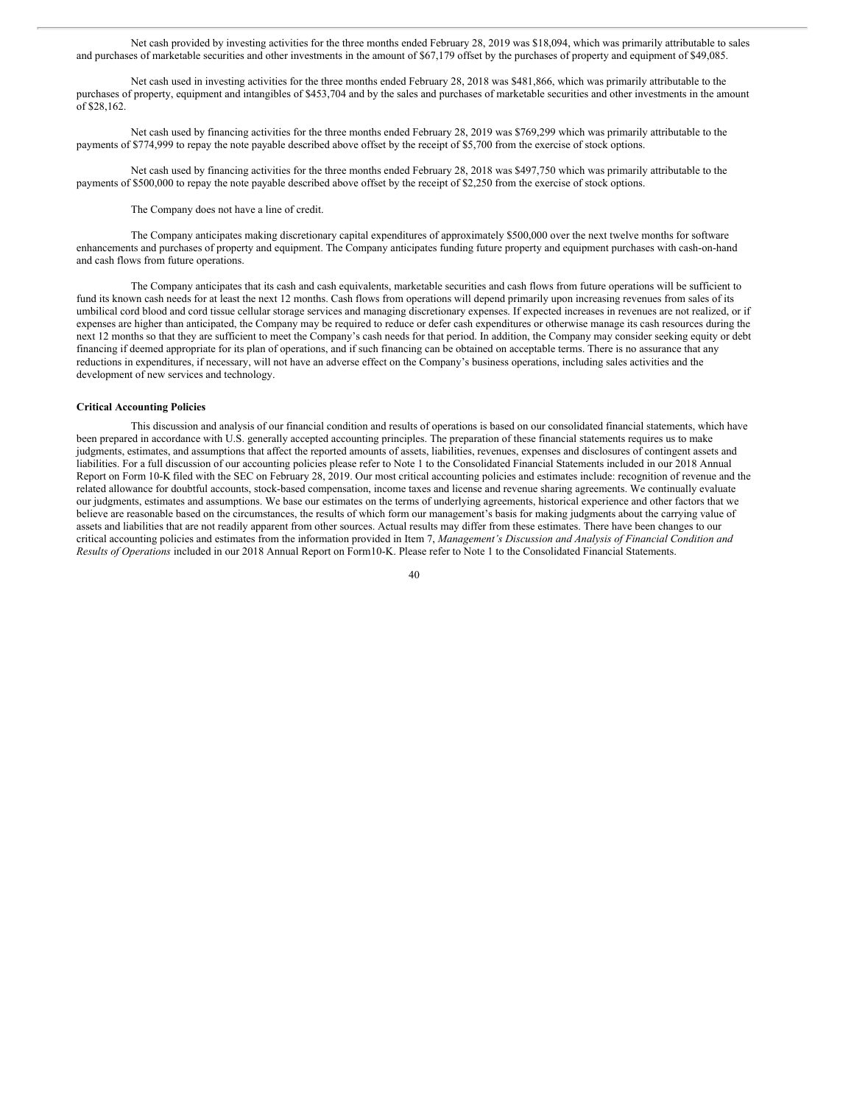Net cash provided by investing activities for the three months ended February 28, 2019 was \$18,094, which was primarily attributable to sales and purchases of marketable securities and other investments in the amount of \$67,179 offset by the purchases of property and equipment of \$49,085.

Net cash used in investing activities for the three months ended February 28, 2018 was \$481,866, which was primarily attributable to the purchases of property, equipment and intangibles of \$453,704 and by the sales and purchases of marketable securities and other investments in the amount of \$28,162.

Net cash used by financing activities for the three months ended February 28, 2019 was \$769,299 which was primarily attributable to the payments of \$774,999 to repay the note payable described above offset by the receipt of \$5,700 from the exercise of stock options.

Net cash used by financing activities for the three months ended February 28, 2018 was \$497,750 which was primarily attributable to the payments of \$500,000 to repay the note payable described above offset by the receipt of \$2,250 from the exercise of stock options.

The Company does not have a line of credit.

The Company anticipates making discretionary capital expenditures of approximately \$500,000 over the next twelve months for software enhancements and purchases of property and equipment. The Company anticipates funding future property and equipment purchases with cash-on-hand and cash flows from future operations.

The Company anticipates that its cash and cash equivalents, marketable securities and cash flows from future operations will be sufficient to fund its known cash needs for at least the next 12 months. Cash flows from operations will depend primarily upon increasing revenues from sales of its umbilical cord blood and cord tissue cellular storage services and managing discretionary expenses. If expected increases in revenues are not realized, or if expenses are higher than anticipated, the Company may be required to reduce or defer cash expenditures or otherwise manage its cash resources during the next 12 months so that they are sufficient to meet the Company's cash needs for that period. In addition, the Company may consider seeking equity or debt financing if deemed appropriate for its plan of operations, and if such financing can be obtained on acceptable terms. There is no assurance that any reductions in expenditures, if necessary, will not have an adverse effect on the Company's business operations, including sales activities and the development of new services and technology.

#### **Critical Accounting Policies**

This discussion and analysis of our financial condition and results of operations is based on our consolidated financial statements, which have been prepared in accordance with U.S. generally accepted accounting principles. The preparation of these financial statements requires us to make judgments, estimates, and assumptions that affect the reported amounts of assets, liabilities, revenues, expenses and disclosures of contingent assets and liabilities. For a full discussion of our accounting policies please refer to Note 1 to the Consolidated Financial Statements included in our 2018 Annual Report on Form 10-K filed with the SEC on February 28, 2019. Our most critical accounting policies and estimates include: recognition of revenue and the related allowance for doubtful accounts, stock-based compensation, income taxes and license and revenue sharing agreements. We continually evaluate our judgments, estimates and assumptions. We base our estimates on the terms of underlying agreements, historical experience and other factors that we believe are reasonable based on the circumstances, the results of which form our management's basis for making judgments about the carrying value of assets and liabilities that are not readily apparent from other sources. Actual results may differ from these estimates. There have been changes to our critical accounting policies and estimates from the information provided in Item 7, *Management's Discussion and Analysis of Financial Condition and Results of Operations* included in our 2018 Annual Report on Form10-K. Please refer to Note 1 to the Consolidated Financial Statements.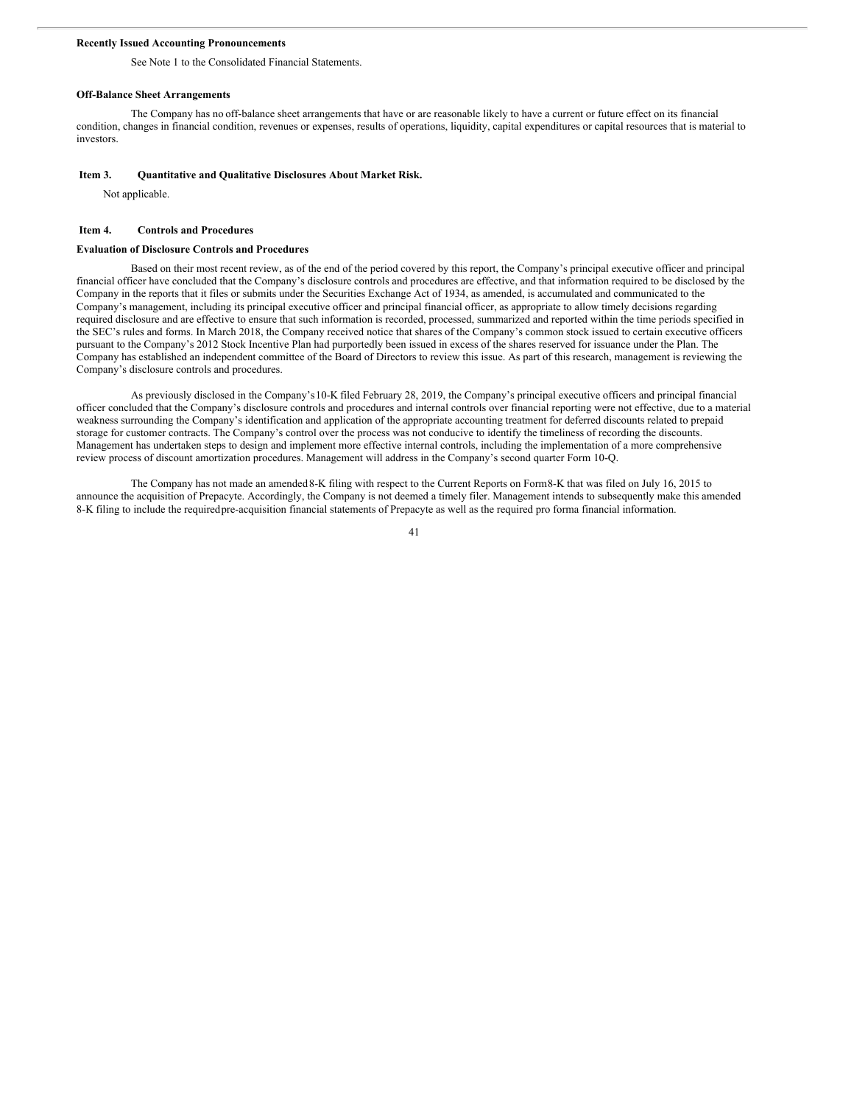#### **Recently Issued Accounting Pronouncements**

See Note 1 to the Consolidated Financial Statements.

#### **Off-Balance Sheet Arrangements**

The Company has no off-balance sheet arrangements that have or are reasonable likely to have a current or future effect on its financial condition, changes in financial condition, revenues or expenses, results of operations, liquidity, capital expenditures or capital resources that is material to investors.

#### <span id="page-40-0"></span>**Item 3. Quantitative and Qualitative Disclosures About Market Risk.**

Not applicable.

#### <span id="page-40-1"></span>**Item 4. Controls and Procedures**

#### **Evaluation of Disclosure Controls and Procedures**

Based on their most recent review, as of the end of the period covered by this report, the Company's principal executive officer and principal financial officer have concluded that the Company's disclosure controls and procedures are effective, and that information required to be disclosed by the Company in the reports that it files or submits under the Securities Exchange Act of 1934, as amended, is accumulated and communicated to the Company's management, including its principal executive officer and principal financial officer, as appropriate to allow timely decisions regarding required disclosure and are effective to ensure that such information is recorded, processed, summarized and reported within the time periods specified in the SEC's rules and forms. In March 2018, the Company received notice that shares of the Company's common stock issued to certain executive officers pursuant to the Company's 2012 Stock Incentive Plan had purportedly been issued in excess of the shares reserved for issuance under the Plan. The Company has established an independent committee of the Board of Directors to review this issue. As part of this research, management is reviewing the Company's disclosure controls and procedures.

As previously disclosed in the Company's 10-K filed February 28, 2019, the Company's principal executive officers and principal financial officer concluded that the Company's disclosure controls and procedures and internal controls over financial reporting were not effective, due to a material weakness surrounding the Company's identification and application of the appropriate accounting treatment for deferred discounts related to prepaid storage for customer contracts. The Company's control over the process was not conducive to identify the timeliness of recording the discounts. Management has undertaken steps to design and implement more effective internal controls, including the implementation of a more comprehensive review process of discount amortization procedures. Management will address in the Company's second quarter Form 10-Q.

The Company has not made an amended8-K filing with respect to the Current Reports on Form8-K that was filed on July 16, 2015 to announce the acquisition of Prepacyte. Accordingly, the Company is not deemed a timely filer. Management intends to subsequently make this amended 8-K filing to include the requiredpre-acquisition financial statements of Prepacyte as well as the required pro forma financial information.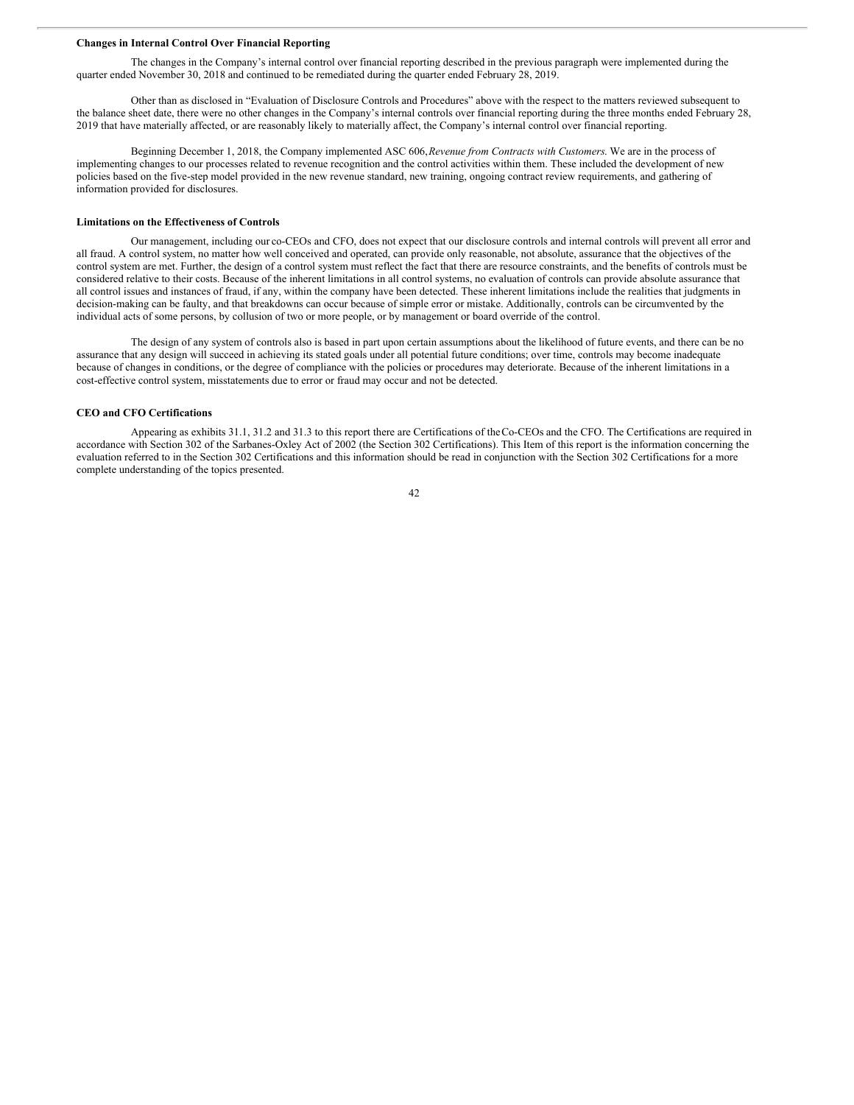#### **Changes in Internal Control Over Financial Reporting**

The changes in the Company's internal control over financial reporting described in the previous paragraph were implemented during the quarter ended November 30, 2018 and continued to be remediated during the quarter ended February 28, 2019.

Other than as disclosed in "Evaluation of Disclosure Controls and Procedures" above with the respect to the matters reviewed subsequent to the balance sheet date, there were no other changes in the Company's internal controls over financial reporting during the three months ended February 28, 2019 that have materially affected, or are reasonably likely to materially affect, the Company's internal control over financial reporting.

Beginning December 1, 2018, the Company implemented ASC 606,*Revenue from Contracts with Customers*. We are in the process of implementing changes to our processes related to revenue recognition and the control activities within them. These included the development of new policies based on the five-step model provided in the new revenue standard, new training, ongoing contract review requirements, and gathering of information provided for disclosures.

# **Limitations on the Effectiveness of Controls**

Our management, including our co-CEOs and CFO, does not expect that our disclosure controls and internal controls will prevent all error and all fraud. A control system, no matter how well conceived and operated, can provide only reasonable, not absolute, assurance that the objectives of the control system are met. Further, the design of a control system must reflect the fact that there are resource constraints, and the benefits of controls must be considered relative to their costs. Because of the inherent limitations in all control systems, no evaluation of controls can provide absolute assurance that all control issues and instances of fraud, if any, within the company have been detected. These inherent limitations include the realities that judgments in decision-making can be faulty, and that breakdowns can occur because of simple error or mistake. Additionally, controls can be circumvented by the individual acts of some persons, by collusion of two or more people, or by management or board override of the control.

The design of any system of controls also is based in part upon certain assumptions about the likelihood of future events, and there can be no assurance that any design will succeed in achieving its stated goals under all potential future conditions; over time, controls may become inadequate because of changes in conditions, or the degree of compliance with the policies or procedures may deteriorate. Because of the inherent limitations in a cost-effective control system, misstatements due to error or fraud may occur and not be detected.

# **CEO and CFO Certifications**

Appearing as exhibits 31.1, 31.2 and 31.3 to this report there are Certifications of theCo-CEOs and the CFO. The Certifications are required in accordance with Section 302 of the Sarbanes-Oxley Act of 2002 (the Section 302 Certifications). This Item of this report is the information concerning the evaluation referred to in the Section 302 Certifications and this information should be read in conjunction with the Section 302 Certifications for a more complete understanding of the topics presented.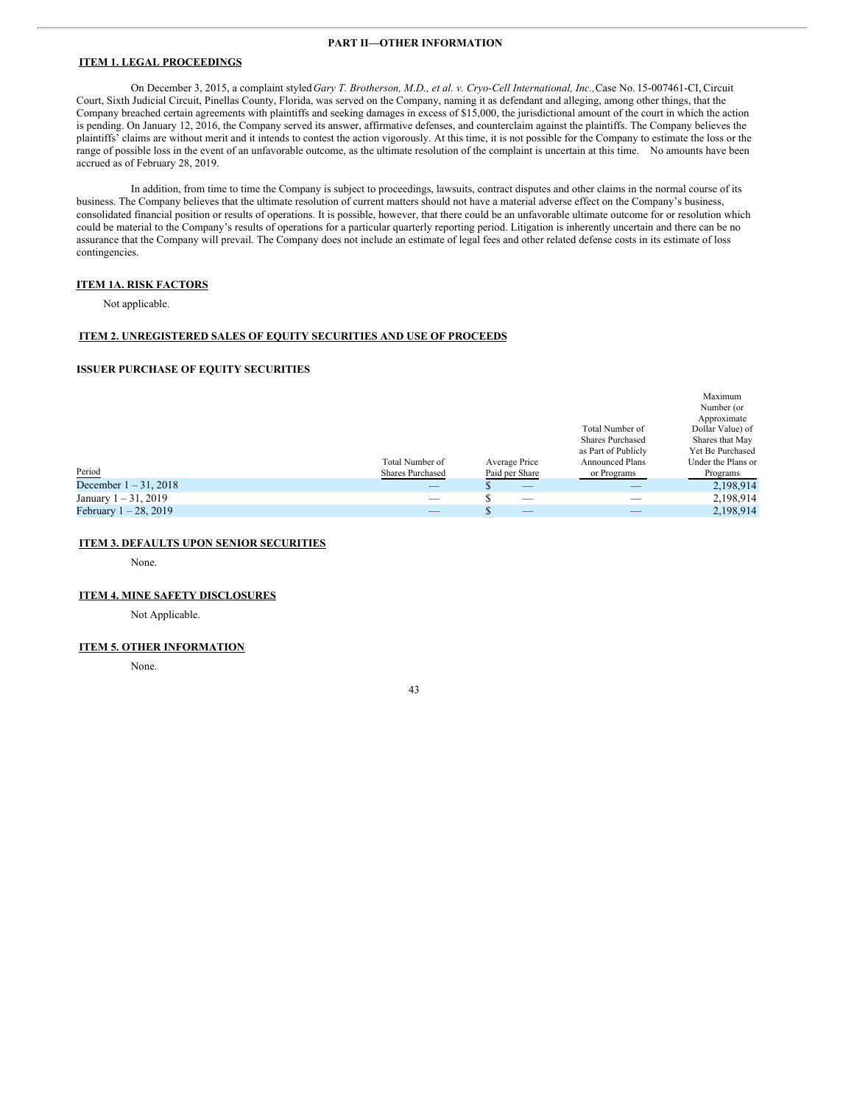#### <span id="page-42-0"></span>**PART II—OTHER INFORMATION**

#### <span id="page-42-1"></span>**ITEM 1. LEGAL PROCEEDINGS**

On December 3, 2015, a complaint styled*Gary T. Brotherson, M.D., et al. v. Cryo-Cell International, Inc.,*Case No. 15-007461-CI, Circuit Court, Sixth Judicial Circuit, Pinellas County, Florida, was served on the Company, naming it as defendant and alleging, among other things, that the Company breached certain agreements with plaintiffs and seeking damages in excess of \$15,000, the jurisdictional amount of the court in which the action is pending. On January 12, 2016, the Company served its answer, affirmative defenses, and counterclaim against the plaintiffs. The Company believes the plaintiffs' claims are without merit and it intends to contest the action vigorously. At this time, it is not possible for the Company to estimate the loss or the range of possible loss in the event of an unfavorable outcome, as the ultimate resolution of the complaint is uncertain at this time. No amounts have been accrued as of February 28, 2019.

In addition, from time to time the Company is subject to proceedings, lawsuits, contract disputes and other claims in the normal course of its business. The Company believes that the ultimate resolution of current matters should not have a material adverse effect on the Company's business, consolidated financial position or results of operations. It is possible, however, that there could be an unfavorable ultimate outcome for or resolution which could be material to the Company's results of operations for a particular quarterly reporting period. Litigation is inherently uncertain and there can be no assurance that the Company will prevail. The Company does not include an estimate of legal fees and other related defense costs in its estimate of loss contingencies.

# **ITEM 1A. RISK FACTORS**

Not applicable.

# <span id="page-42-2"></span>**ITEM 2. UNREGISTERED SALES OF EQUITY SECURITIES AND USE OF PROCEEDS**

# **ISSUER PURCHASE OF EQUITY SECURITIES**

|                          |                         |                          |                         | Maximum            |
|--------------------------|-------------------------|--------------------------|-------------------------|--------------------|
|                          |                         |                          |                         | Number (or         |
|                          |                         |                          |                         | Approximate        |
|                          |                         |                          | Total Number of         | Dollar Value) of   |
|                          |                         |                          | <b>Shares Purchased</b> | Shares that May    |
|                          |                         |                          | as Part of Publicly     | Yet Be Purchased   |
|                          | Total Number of         | Average Price            | <b>Announced Plans</b>  | Under the Plans or |
| Period                   | <b>Shares Purchased</b> | Paid per Share           | or Programs             | Programs           |
| December $1 - 31, 2018$  |                         | _                        |                         | 2,198,914          |
| January $1 - 31$ , 2019  |                         | $\overline{\phantom{a}}$ |                         | 2,198,914          |
| February $1 - 28$ , 2019 |                         | _                        |                         | 2,198,914          |
|                          |                         |                          |                         |                    |

# <span id="page-42-3"></span>**ITEM 3. DEFAULTS UPON SENIOR SECURITIES**

None.

#### <span id="page-42-4"></span>**ITEM 4. MINE SAFETY DISCLOSURES**

Not Applicable.

#### <span id="page-42-5"></span>**ITEM 5. OTHER INFORMATION**

None.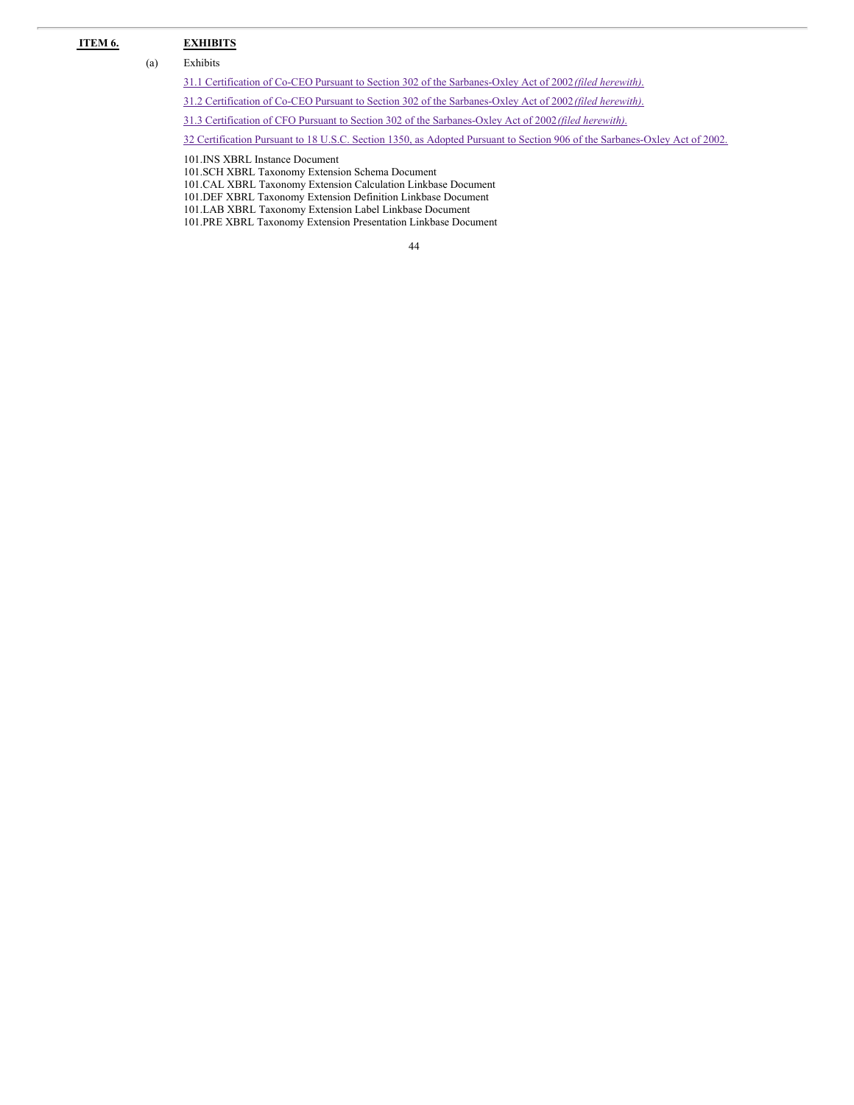# <span id="page-43-0"></span>**ITEM 6. EXHIBITS**

(a) Exhibits

31.1 Certification of Co-CEO Pursuant to Section 302 of the [Sarbanes-Oxley](#page-45-0) Act of 2002*(filed herewith)*.

31.2 Certification of Co-CEO Pursuant to Section 302 of the [Sarbanes-Oxley](#page-46-0) Act of 2002*(filed herewith)*.

31.3 Certification of CFO Pursuant to Section 302 of the [Sarbanes-Oxley](#page-47-0) Act of 2002*(filed herewith)*.

32 Certification Pursuant to 18 U.S.C. Section 1350, as Adopted Pursuant to Section 906 of the [Sarbanes-Oxley](#page-48-0) Act of 2002.

101.SCH XBRL Taxonomy Extension Schema Document

101.CAL XBRL Taxonomy Extension Calculation Linkbase Document

101.DEF XBRL Taxonomy Extension Definition Linkbase Document

101.LAB XBRL Taxonomy Extension Label Linkbase Document

101.PRE XBRL Taxonomy Extension Presentation Linkbase Document

<sup>101.</sup>INS XBRL Instance Document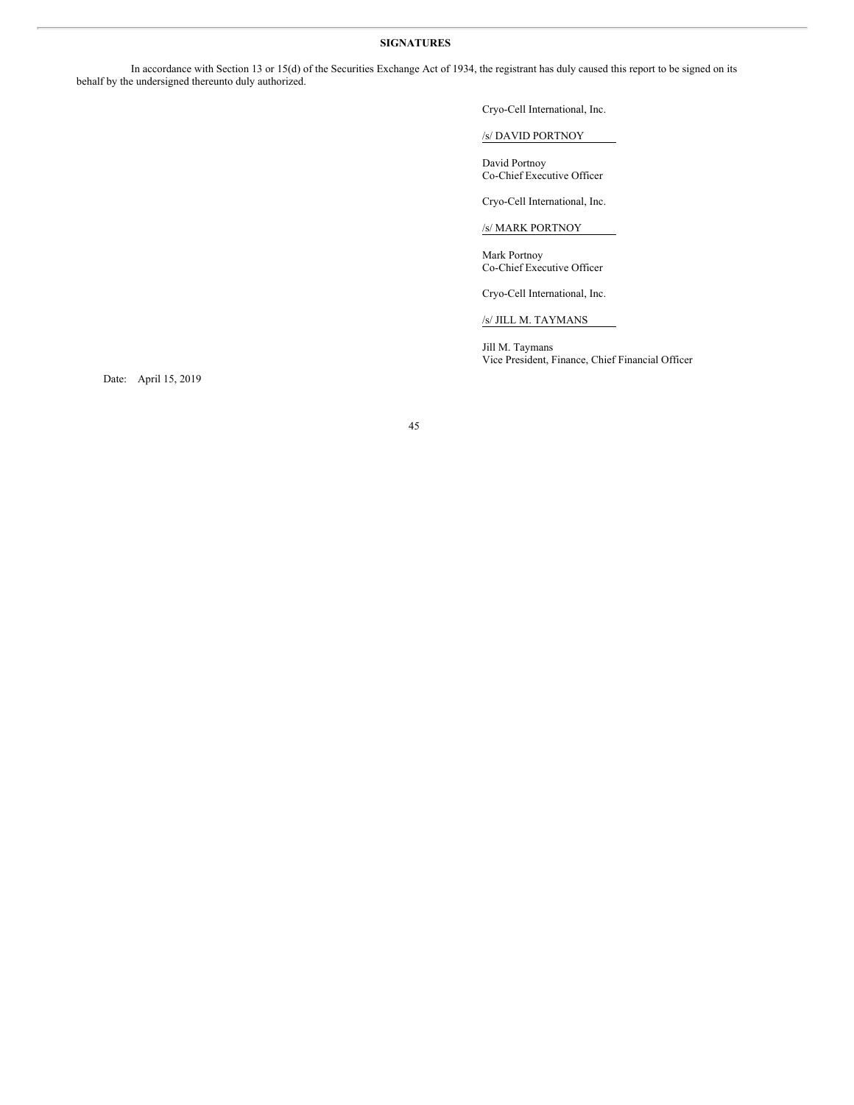# <span id="page-44-0"></span>**SIGNATURES**

In accordance with Section 13 or 15(d) of the Securities Exchange Act of 1934, the registrant has duly caused this report to be signed on its behalf by the undersigned thereunto duly authorized.

Cryo-Cell International, Inc.

/s/ DAVID PORTNOY

David Portnoy Co-Chief Executive Officer

Cryo-Cell International, Inc.

/s/ MARK PORTNOY

Mark Portnoy Co-Chief Executive Officer

Cryo-Cell International, Inc.

/s/ JILL M. TAYMANS

Jill M. Taymans Vice President, Finance, Chief Financial Officer

Date: April 15, 2019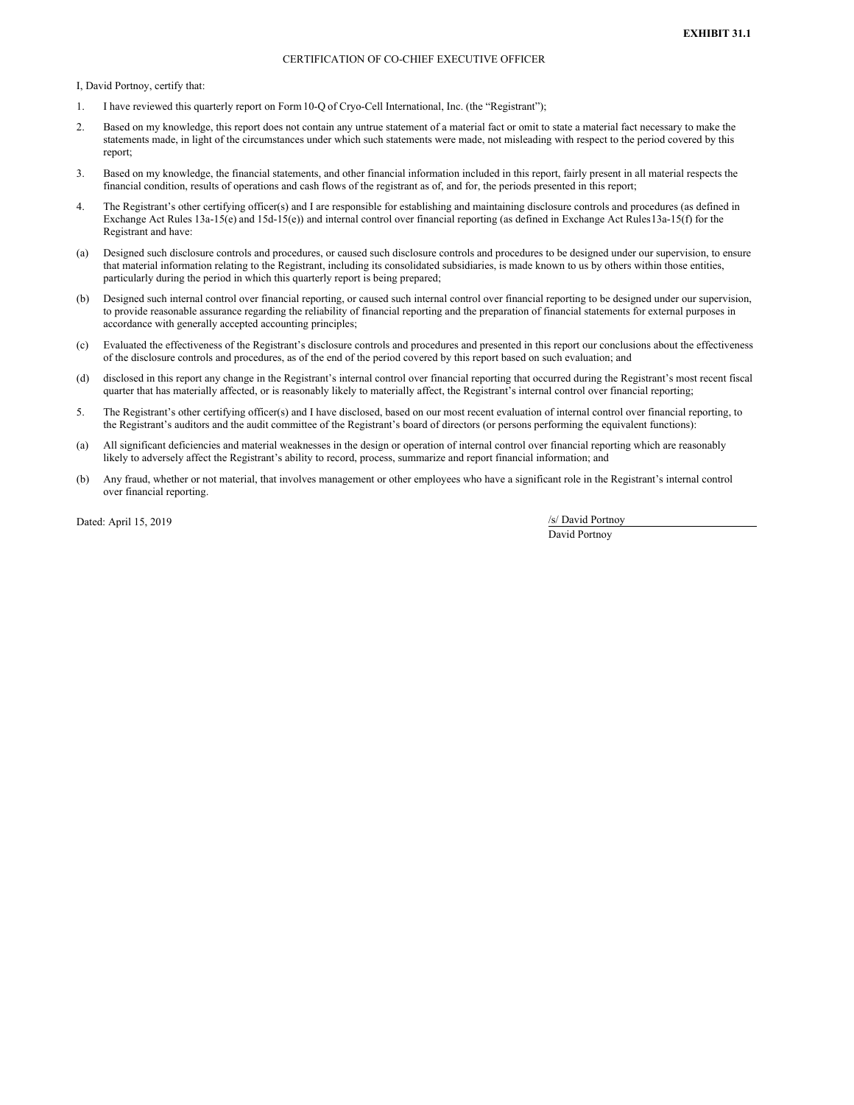# CERTIFICATION OF CO-CHIEF EXECUTIVE OFFICER

<span id="page-45-0"></span>I, David Portnoy, certify that:

- 1. I have reviewed this quarterly report on Form10-Q of Cryo-Cell International, Inc. (the "Registrant");
- 2. Based on my knowledge, this report does not contain any untrue statement of a material fact or omit to state a material fact necessary to make the statements made, in light of the circumstances under which such statements were made, not misleading with respect to the period covered by this report;
- 3. Based on my knowledge, the financial statements, and other financial information included in this report, fairly present in all material respects the financial condition, results of operations and cash flows of the registrant as of, and for, the periods presented in this report;
- 4. The Registrant's other certifying officer(s) and I are responsible for establishing and maintaining disclosure controls and procedures (as defined in Exchange Act Rules 13a-15(e) and 15d-15(e)) and internal control over financial reporting (as defined in Exchange Act Rules13a-15(f) for the Registrant and have:
- (a) Designed such disclosure controls and procedures, or caused such disclosure controls and procedures to be designed under our supervision, to ensure that material information relating to the Registrant, including its consolidated subsidiaries, is made known to us by others within those entities, particularly during the period in which this quarterly report is being prepared;
- (b) Designed such internal control over financial reporting, or caused such internal control over financial reporting to be designed under our supervision, to provide reasonable assurance regarding the reliability of financial reporting and the preparation of financial statements for external purposes in accordance with generally accepted accounting principles;
- (c) Evaluated the effectiveness of the Registrant's disclosure controls and procedures and presented in this report our conclusions about the effectiveness of the disclosure controls and procedures, as of the end of the period covered by this report based on such evaluation; and
- (d) disclosed in this report any change in the Registrant's internal control over financial reporting that occurred during the Registrant's most recent fiscal quarter that has materially affected, or is reasonably likely to materially affect, the Registrant's internal control over financial reporting;
- 5. The Registrant's other certifying officer(s) and I have disclosed, based on our most recent evaluation of internal control over financial reporting, to the Registrant's auditors and the audit committee of the Registrant's board of directors (or persons performing the equivalent functions):
- (a) All significant deficiencies and material weaknesses in the design or operation of internal control over financial reporting which are reasonably likely to adversely affect the Registrant's ability to record, process, summarize and report financial information; and
- (b) Any fraud, whether or not material, that involves management or other employees who have a significant role in the Registrant's internal control over financial reporting.

Dated: April 15, 2019 /s/ David Portnoy

David Portnoy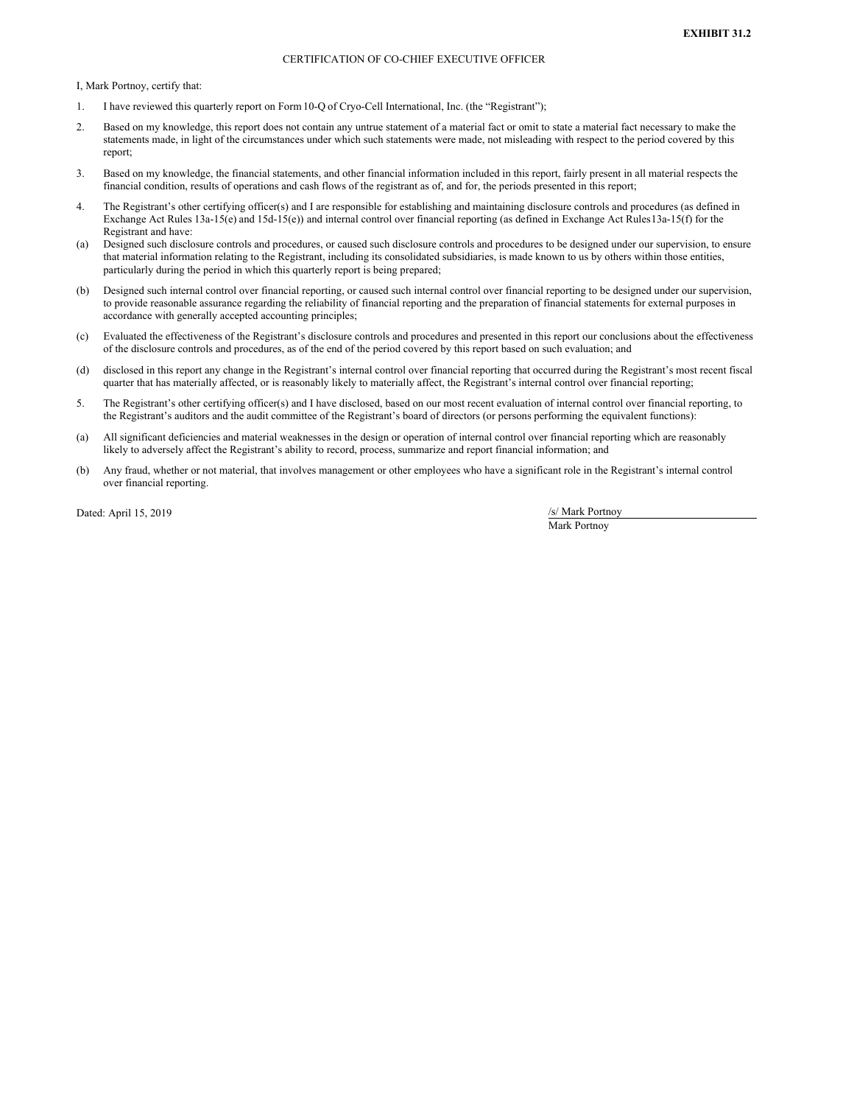# CERTIFICATION OF CO-CHIEF EXECUTIVE OFFICER

<span id="page-46-0"></span>I, Mark Portnoy, certify that:

- 1. I have reviewed this quarterly report on Form10-Q of Cryo-Cell International, Inc. (the "Registrant");
- 2. Based on my knowledge, this report does not contain any untrue statement of a material fact or omit to state a material fact necessary to make the statements made, in light of the circumstances under which such statements were made, not misleading with respect to the period covered by this report;
- 3. Based on my knowledge, the financial statements, and other financial information included in this report, fairly present in all material respects the financial condition, results of operations and cash flows of the registrant as of, and for, the periods presented in this report;
- 4. The Registrant's other certifying officer(s) and I are responsible for establishing and maintaining disclosure controls and procedures (as defined in Exchange Act Rules 13a-15(e) and 15d-15(e)) and internal control over financial reporting (as defined in Exchange Act Rules13a-15(f) for the Registrant and have:
- (a) Designed such disclosure controls and procedures, or caused such disclosure controls and procedures to be designed under our supervision, to ensure that material information relating to the Registrant, including its consolidated subsidiaries, is made known to us by others within those entities, particularly during the period in which this quarterly report is being prepared;
- (b) Designed such internal control over financial reporting, or caused such internal control over financial reporting to be designed under our supervision, to provide reasonable assurance regarding the reliability of financial reporting and the preparation of financial statements for external purposes in accordance with generally accepted accounting principles;
- (c) Evaluated the effectiveness of the Registrant's disclosure controls and procedures and presented in this report our conclusions about the effectiveness of the disclosure controls and procedures, as of the end of the period covered by this report based on such evaluation; and
- (d) disclosed in this report any change in the Registrant's internal control over financial reporting that occurred during the Registrant's most recent fiscal quarter that has materially affected, or is reasonably likely to materially affect, the Registrant's internal control over financial reporting;
- 5. The Registrant's other certifying officer(s) and I have disclosed, based on our most recent evaluation of internal control over financial reporting, to the Registrant's auditors and the audit committee of the Registrant's board of directors (or persons performing the equivalent functions):
- (a) All significant deficiencies and material weaknesses in the design or operation of internal control over financial reporting which are reasonably likely to adversely affect the Registrant's ability to record, process, summarize and report financial information; and
- (b) Any fraud, whether or not material, that involves management or other employees who have a significant role in the Registrant's internal control over financial reporting.

Dated: April 15, 2019 /s/ Mark Portnoy

Mark Portnoy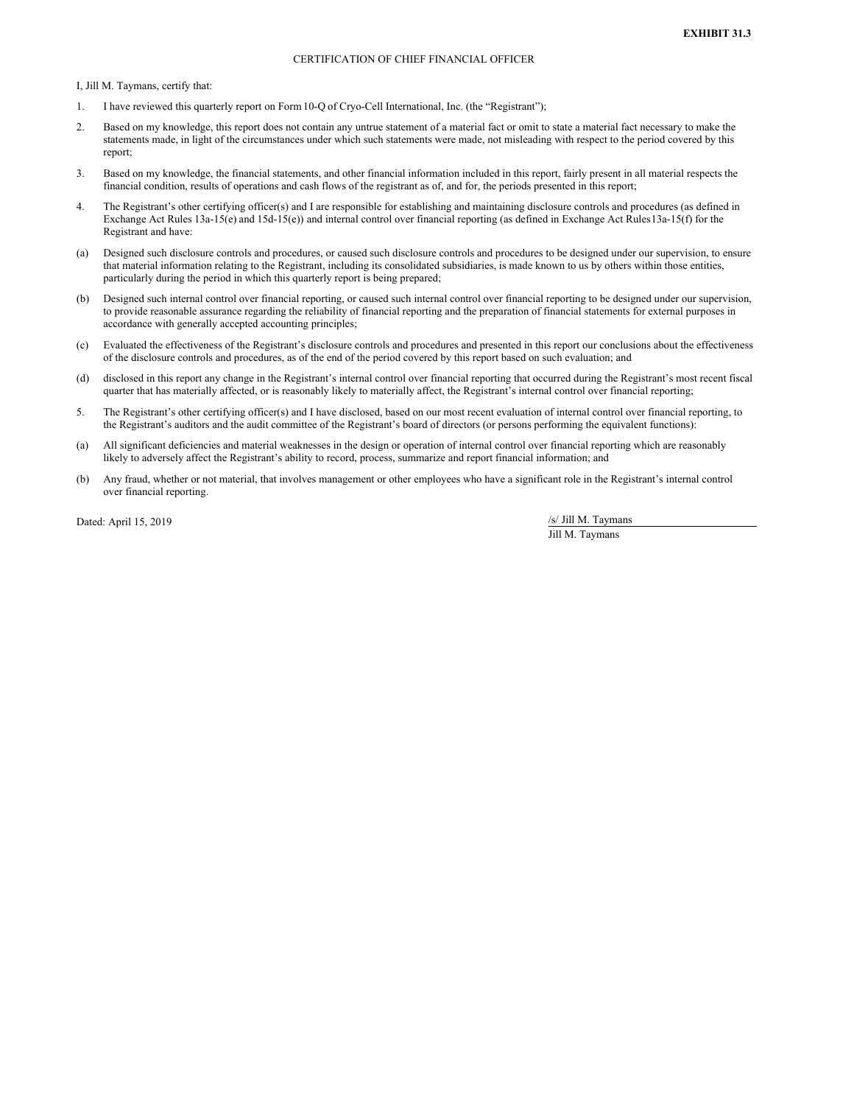# CERTIFICATION OF CHIEF FINANCIAL OFFICER

<span id="page-47-0"></span>I, Jill M. Taymans, certify that:

- 1. I have reviewed this quarterly report on Form10-Q of Cryo-Cell International, Inc. (the "Registrant");
- 2. Based on my knowledge, this report does not contain any untrue statement of a material fact or omit to state a material fact necessary to make the statements made, in light of the circumstances under which such statements were made, not misleading with respect to the period covered by this report;
- 3. Based on my knowledge, the financial statements, and other financial information included in this report, fairly present in all material respects the financial condition, results of operations and cash flows of the registrant as of, and for, the periods presented in this report;
- 4. The Registrant's other certifying officer(s) and I are responsible for establishing and maintaining disclosure controls and procedures (as defined in Exchange Act Rules 13a-15(e) and 15d-15(e)) and internal control over financial reporting (as defined in Exchange Act Rules13a-15(f) for the Registrant and have:
- (a) Designed such disclosure controls and procedures, or caused such disclosure controls and procedures to be designed under our supervision, to ensure that material information relating to the Registrant, including its consolidated subsidiaries, is made known to us by others within those entities, particularly during the period in which this quarterly report is being prepared;
- (b) Designed such internal control over financial reporting, or caused such internal control over financial reporting to be designed under our supervision, to provide reasonable assurance regarding the reliability of financial reporting and the preparation of financial statements for external purposes in accordance with generally accepted accounting principles;
- (c) Evaluated the effectiveness of the Registrant's disclosure controls and procedures and presented in this report our conclusions about the effectiveness of the disclosure controls and procedures, as of the end of the period covered by this report based on such evaluation; and
- (d) disclosed in this report any change in the Registrant's internal control over financial reporting that occurred during the Registrant's most recent fiscal quarter that has materially affected, or is reasonably likely to materially affect, the Registrant's internal control over financial reporting;
- 5. The Registrant's other certifying officer(s) and I have disclosed, based on our most recent evaluation of internal control over financial reporting, to the Registrant's auditors and the audit committee of the Registrant's board of directors (or persons performing the equivalent functions):
- (a) All significant deficiencies and material weaknesses in the design or operation of internal control over financial reporting which are reasonably likely to adversely affect the Registrant's ability to record, process, summarize and report financial information; and
- (b) Any fraud, whether or not material, that involves management or other employees who have a significant role in the Registrant's internal control over financial reporting.

Dated: April 15, 2019 /s/ Jill M. Taymans Jill M. Taymans